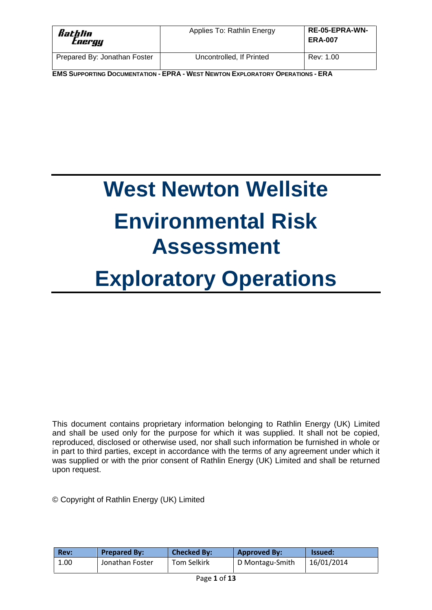| Rathlin<br><i>Energy</i>     | Applies To: Rathlin Energy | <b>RE-05-EPRA-WN-</b><br><b>ERA-007</b> |
|------------------------------|----------------------------|-----------------------------------------|
| Prepared By: Jonathan Foster | Uncontrolled, If Printed   | Rev: 1.00                               |

# **West Newton Wellsite Environmental Risk Assessment Exploratory Operations**

This document contains proprietary information belonging to Rathlin Energy (UK) Limited and shall be used only for the purpose for which it was supplied. It shall not be copied, reproduced, disclosed or otherwise used, nor shall such information be furnished in whole or in part to third parties, except in accordance with the terms of any agreement under which it was supplied or with the prior consent of Rathlin Energy (UK) Limited and shall be returned upon request.

© Copyright of Rathlin Energy (UK) Limited

| <b>Rev:</b> | <b>Prepared By:</b> | <b>Checked By:</b> | <b>Approved By:</b> | <b>Issued:</b> |
|-------------|---------------------|--------------------|---------------------|----------------|
| 1.00        | Jonathan Foster     | <b>Tom Selkirk</b> | D Montagu-Smith     | 16/01/2014     |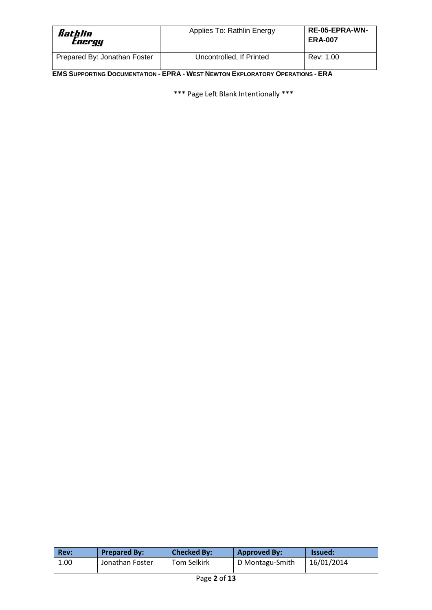| Rathlin<br><i>Energy</i>     | Applies To: Rathlin Energy | <b>RE-05-EPRA-WN-</b><br><b>ERA-007</b> |
|------------------------------|----------------------------|-----------------------------------------|
| Prepared By: Jonathan Foster | Uncontrolled, If Printed   | Rev: 1.00                               |

| <b>Rev:</b> | <b>Prepared By:</b> | <b>Checked By:</b> | <b>Approved By:</b> | <b>Issued:</b> |
|-------------|---------------------|--------------------|---------------------|----------------|
| 1.00        | Jonathan Foster     | Tom Selkirk        | D Montagu-Smith     | 16/01/2014     |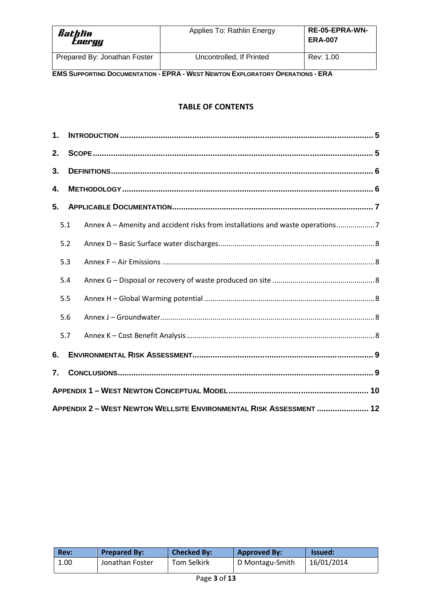| Rathlin<br><i>Energy</i>     | Applies To: Rathlin Energy | RE-05-EPRA-WN-<br><b>ERA-007</b> |
|------------------------------|----------------------------|----------------------------------|
| Prepared By: Jonathan Foster | Uncontrolled, If Printed   | Rev: 1.00                        |

#### **TABLE OF CONTENTS**

| 1. |     |                                                                               |  |  |
|----|-----|-------------------------------------------------------------------------------|--|--|
| 2. |     |                                                                               |  |  |
| 3. |     |                                                                               |  |  |
| 4. |     |                                                                               |  |  |
| 5. |     |                                                                               |  |  |
|    | 5.1 | Annex A – Amenity and accident risks from installations and waste operations7 |  |  |
|    | 5.2 |                                                                               |  |  |
|    | 5.3 |                                                                               |  |  |
|    | 5.4 |                                                                               |  |  |
|    | 5.5 |                                                                               |  |  |
|    | 5.6 |                                                                               |  |  |
|    | 5.7 |                                                                               |  |  |
| 6. |     |                                                                               |  |  |
| 7. |     |                                                                               |  |  |
|    |     |                                                                               |  |  |
|    |     | APPENDIX 2 - WEST NEWTON WELLSITE ENVIRONMENTAL RISK ASSESSMENT  12           |  |  |

| Rev: | <b>Prepared By:</b> | <b>Checked By:</b> | <b>Approved By:</b> | Issued:    |
|------|---------------------|--------------------|---------------------|------------|
| 1.00 | Jonathan Foster     | Tom Selkirk        | D Montagu-Smith     | 16/01/2014 |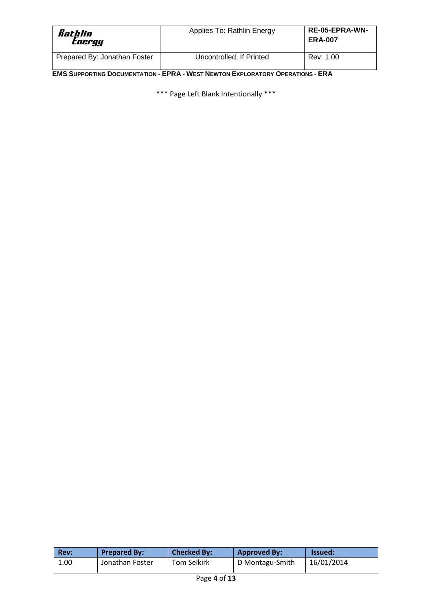| Rathlin<br><i>Energy</i>     | Applies To: Rathlin Energy | <b>RE-05-EPRA-WN-</b><br><b>ERA-007</b> |
|------------------------------|----------------------------|-----------------------------------------|
| Prepared By: Jonathan Foster | Uncontrolled, If Printed   | Rev: 1.00                               |

| Rev: | <b>Prepared By:</b> | <b>Checked By:</b> | <b>Approved By:</b> | <b>Issued:</b> |
|------|---------------------|--------------------|---------------------|----------------|
| 1.00 | Jonathan Foster     | Tom Selkirk        | D Montagu-Smith     | 16/01/2014     |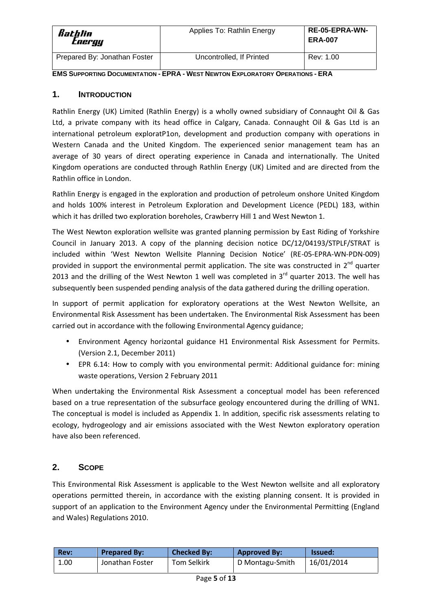| Rathlin<br><i>Energy</i>     | Applies To: Rathlin Energy | <b>RE-05-EPRA-WN-</b><br><b>ERA-007</b> |
|------------------------------|----------------------------|-----------------------------------------|
| Prepared By: Jonathan Foster | Uncontrolled, If Printed   | Rev: 1.00                               |

#### **1. INTRODUCTION**

Rathlin Energy (UK) Limited (Rathlin Energy) is a wholly owned subsidiary of Connaught Oil & Gas Ltd, a private company with its head office in Calgary, Canada. Connaught Oil & Gas Ltd is an international petroleum exploratP1on, development and production company with operations in Western Canada and the United Kingdom. The experienced senior management team has an average of 30 years of direct operating experience in Canada and internationally. The United Kingdom operations are conducted through Rathlin Energy (UK) Limited and are directed from the Rathlin office in London.

Rathlin Energy is engaged in the exploration and production of petroleum onshore United Kingdom and holds 100% interest in Petroleum Exploration and Development Licence (PEDL) 183, within which it has drilled two exploration boreholes, Crawberry Hill 1 and West Newton 1.

The West Newton exploration wellsite was granted planning permission by East Riding of Yorkshire Council in January 2013. A copy of the planning decision notice DC/12/04193/STPLF/STRAT is included within 'West Newton Wellsite Planning Decision Notice' (RE-05-EPRA-WN-PDN-009) provided in support the environmental permit application. The site was constructed in 2<sup>nd</sup> quarter 2013 and the drilling of the West Newton 1 well was completed in  $3<sup>rd</sup>$  quarter 2013. The well has subsequently been suspended pending analysis of the data gathered during the drilling operation.

In support of permit application for exploratory operations at the West Newton Wellsite, an Environmental Risk Assessment has been undertaken. The Environmental Risk Assessment has been carried out in accordance with the following Environmental Agency guidance;

- Environment Agency horizontal guidance H1 Environmental Risk Assessment for Permits. (Version 2.1, December 2011)
- EPR 6.14: How to comply with you environmental permit: Additional guidance for: mining waste operations, Version 2 February 2011

When undertaking the Environmental Risk Assessment a conceptual model has been referenced based on a true representation of the subsurface geology encountered during the drilling of WN1. The conceptual is model is included as Appendix 1. In addition, specific risk assessments relating to ecology, hydrogeology and air emissions associated with the West Newton exploratory operation have also been referenced.

#### **2. SCOPE**

This Environmental Risk Assessment is applicable to the West Newton wellsite and all exploratory operations permitted therein, in accordance with the existing planning consent. It is provided in support of an application to the Environment Agency under the Environmental Permitting (England and Wales) Regulations 2010.

| <b>Rev:</b> | <b>Prepared By:</b> | <b>Checked By:</b> | <b>Approved By:</b> | <b>Issued:</b> |
|-------------|---------------------|--------------------|---------------------|----------------|
| 1.00        | Jonathan Foster     | Tom Selkirk        | D Montagu-Smith     | 16/01/2014     |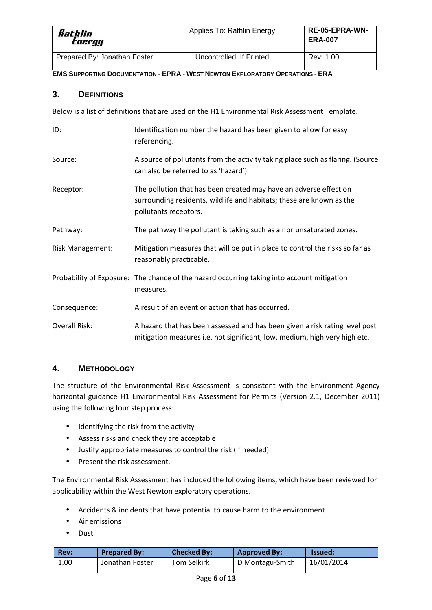| Rathlin<br><i>Energy</i>     | Applies To: Rathlin Energy | RE-05-EPRA-WN-<br><b>ERA-007</b> |
|------------------------------|----------------------------|----------------------------------|
| Prepared By: Jonathan Foster | Uncontrolled, If Printed   | Rev: 1.00                        |

#### **3. DEFINITIONS**

Below is a list of definitions that are used on the H1 Environmental Risk Assessment Template.

| ID:                     | Identification number the hazard has been given to allow for easy<br>referencing.                                                                                  |
|-------------------------|--------------------------------------------------------------------------------------------------------------------------------------------------------------------|
| Source:                 | A source of pollutants from the activity taking place such as flaring. (Source<br>can also be referred to as 'hazard').                                            |
| Receptor:               | The pollution that has been created may have an adverse effect on<br>surrounding residents, wildlife and habitats; these are known as the<br>pollutants receptors. |
| Pathway:                | The pathway the pollutant is taking such as air or unsaturated zones.                                                                                              |
| <b>Risk Management:</b> | Mitigation measures that will be put in place to control the risks so far as<br>reasonably practicable.                                                            |
|                         | Probability of Exposure: The chance of the hazard occurring taking into account mitigation<br>measures.                                                            |
| Consequence:            | A result of an event or action that has occurred.                                                                                                                  |
| <b>Overall Risk:</b>    | A hazard that has been assessed and has been given a risk rating level post<br>mitigation measures i.e. not significant, low, medium, high very high etc.          |

#### **4. METHODOLOGY**

The structure of the Environmental Risk Assessment is consistent with the Environment Agency horizontal guidance H1 Environmental Risk Assessment for Permits (Version 2.1, December 2011) using the following four step process:

- Identifying the risk from the activity
- Assess risks and check they are acceptable
- Justify appropriate measures to control the risk (if needed)
- Present the risk assessment.

The Environmental Risk Assessment has included the following items, which have been reviewed for applicability within the West Newton exploratory operations.

- Accidents & incidents that have potential to cause harm to the environment
- Air emissions
- Dust

| Rev: | <b>Prepared By:</b> | <b>Checked By:</b> | <b>Approved By:</b> | Issued:    |
|------|---------------------|--------------------|---------------------|------------|
| 1.00 | Jonathan Foster     | Tom Selkirk        | D Montagu-Smith     | 16/01/2014 |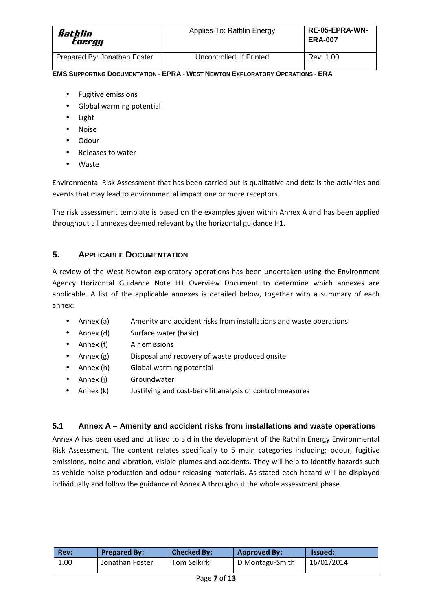| Rathlin<br>Energy            | Applies To: Rathlin Energy | RE-05-EPRA-WN-<br><b>ERA-007</b> |
|------------------------------|----------------------------|----------------------------------|
| Prepared By: Jonathan Foster | Uncontrolled, If Printed   | Rev: 1.00                        |

- Fugitive emissions
- Global warming potential
- Light
- Noise
- Odour
- Releases to water
- Waste

Environmental Risk Assessment that has been carried out is qualitative and details the activities and events that may lead to environmental impact one or more receptors.

The risk assessment template is based on the examples given within Annex A and has been applied throughout all annexes deemed relevant by the horizontal guidance H1.

#### **5. APPLICABLE DOCUMENTATION**

A review of the West Newton exploratory operations has been undertaken using the Environment Agency Horizontal Guidance Note H1 Overview Document to determine which annexes are applicable. A list of the applicable annexes is detailed below, together with a summary of each annex:

- Annex (a) Amenity and accident risks from installations and waste operations
- Annex (d) Surface water (basic)
- Annex (f) Air emissions
- Annex (g) Disposal and recovery of waste produced onsite
- Annex (h) Global warming potential
- Annex (j) Groundwater
- Annex (k) Justifying and cost-benefit analysis of control measures

#### **5.1 Annex A – Amenity and accident risks from installations and waste operations**

Annex A has been used and utilised to aid in the development of the Rathlin Energy Environmental Risk Assessment. The content relates specifically to 5 main categories including; odour, fugitive emissions, noise and vibration, visible plumes and accidents. They will help to identify hazards such as vehicle noise production and odour releasing materials. As stated each hazard will be displayed individually and follow the guidance of Annex A throughout the whole assessment phase.

| Rev: | <b>Prepared By:</b> | <b>Checked By:</b> | <b>Approved By:</b> | <b>Issued:</b> |
|------|---------------------|--------------------|---------------------|----------------|
| 1.00 | Jonathan Foster     | Tom Selkirk        | D Montagu-Smith     | 16/01/2014     |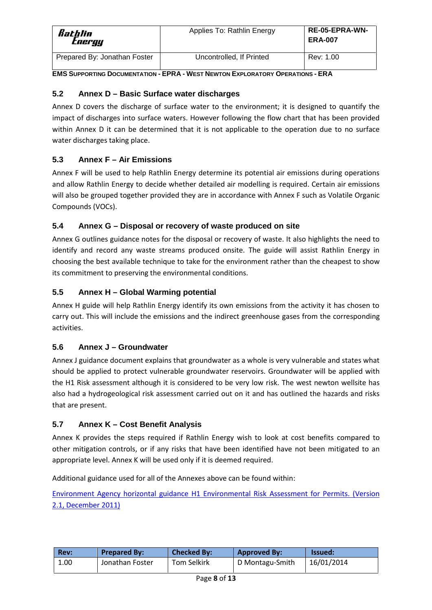| Rathlin<br><i>Energy</i>     | Applies To: Rathlin Energy | <b>RE-05-EPRA-WN-</b><br><b>ERA-007</b> |
|------------------------------|----------------------------|-----------------------------------------|
| Prepared By: Jonathan Foster | Uncontrolled, If Printed   | Rev: 1.00                               |

#### **5.2 Annex D – Basic Surface water discharges**

Annex D covers the discharge of surface water to the environment; it is designed to quantify the impact of discharges into surface waters. However following the flow chart that has been provided within Annex D it can be determined that it is not applicable to the operation due to no surface water discharges taking place.

### **5.3 Annex F – Air Emissions**

Annex F will be used to help Rathlin Energy determine its potential air emissions during operations and allow Rathlin Energy to decide whether detailed air modelling is required. Certain air emissions will also be grouped together provided they are in accordance with Annex F such as Volatile Organic Compounds (VOCs).

#### **5.4 Annex G – Disposal or recovery of waste produced on site**

Annex G outlines guidance notes for the disposal or recovery of waste. It also highlights the need to identify and record any waste streams produced onsite. The guide will assist Rathlin Energy in choosing the best available technique to take for the environment rather than the cheapest to show its commitment to preserving the environmental conditions.

#### **5.5 Annex H – Global Warming potential**

Annex H guide will help Rathlin Energy identify its own emissions from the activity it has chosen to carry out. This will include the emissions and the indirect greenhouse gases from the corresponding activities.

#### **5.6 Annex J – Groundwater**

Annex J guidance document explains that groundwater as a whole is very vulnerable and states what should be applied to protect vulnerable groundwater reservoirs. Groundwater will be applied with the H1 Risk assessment although it is considered to be very low risk. The west newton wellsite has also had a hydrogeological risk assessment carried out on it and has outlined the hazards and risks that are present.

### **5.7 Annex K – Cost Benefit Analysis**

Annex K provides the steps required if Rathlin Energy wish to look at cost benefits compared to other mitigation controls, or if any risks that have been identified have not been mitigated to an appropriate level. Annex K will be used only if it is deemed required.

Additional guidance used for all of the Annexes above can be found within:

Environment Agency horizontal guidance H1 Environmental Risk Assessment for Permits. (Version 2.1, December 2011)

| Rev:              | <b>Prepared By:</b> | <b>Checked By:</b> | <b>Approved By:</b> | lssued:    |
|-------------------|---------------------|--------------------|---------------------|------------|
| 1.00 <sub>1</sub> | Jonathan Foster     | <b>Tom Selkirk</b> | D Montagu-Smith     | 16/01/2014 |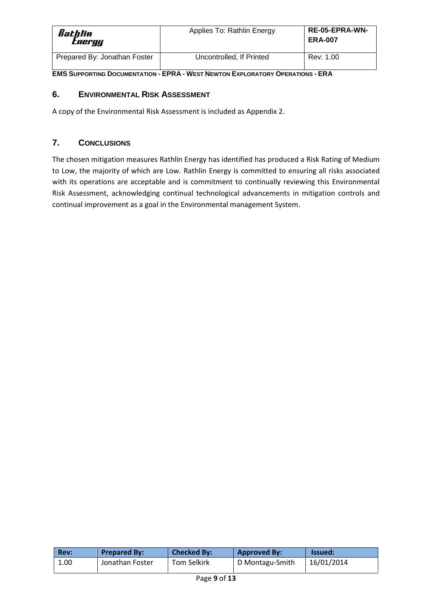| Rathlin<br><i>Energy</i>     | Applies To: Rathlin Energy | <b>RE-05-EPRA-WN-</b><br><b>ERA-007</b> |
|------------------------------|----------------------------|-----------------------------------------|
| Prepared By: Jonathan Foster | Uncontrolled, If Printed   | Rev: 1.00                               |

#### **6. ENVIRONMENTAL RISK ASSESSMENT**

A copy of the Environmental Risk Assessment is included as Appendix 2.

#### **7. CONCLUSIONS**

The chosen mitigation measures Rathlin Energy has identified has produced a Risk Rating of Medium to Low, the majority of which are Low. Rathlin Energy is committed to ensuring all risks associated with its operations are acceptable and is commitment to continually reviewing this Environmental Risk Assessment, acknowledging continual technological advancements in mitigation controls and continual improvement as a goal in the Environmental management System.

| <b>Rev:</b> | <b>Prepared By:</b> | <b>Checked By:</b> | <b>Approved By:</b> | <b>Issued:</b> |
|-------------|---------------------|--------------------|---------------------|----------------|
| 1.00        | Jonathan Foster     | Tom Selkirk        | D Montagu-Smith     | 16/01/2014     |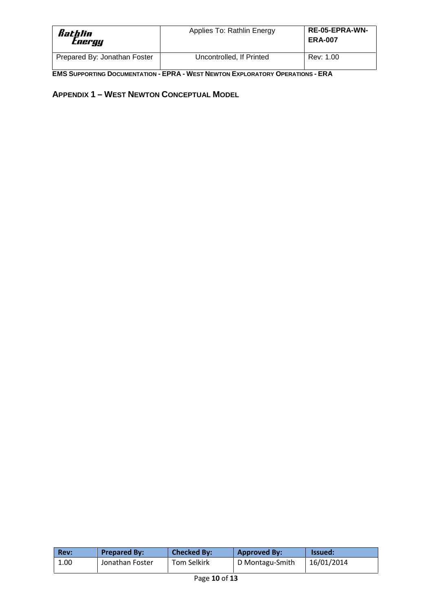| Rathlin<br><i>Energy</i>     | Applies To: Rathlin Energy | <b>RE-05-EPRA-WN-</b><br><b>ERA-007</b> |
|------------------------------|----------------------------|-----------------------------------------|
| Prepared By: Jonathan Foster | Uncontrolled, If Printed   | Rev: 1.00                               |

### **APPENDIX 1 – WEST NEWTON CONCEPTUAL MODEL**

| Rev: | <b>Prepared By:</b> | <b>Checked By:</b> | <b>Approved By:</b> | <b>Issued:</b> |
|------|---------------------|--------------------|---------------------|----------------|
| 1.00 | Jonathan Foster     | Tom Selkirk        | D Montagu-Smith     | 16/01/2014     |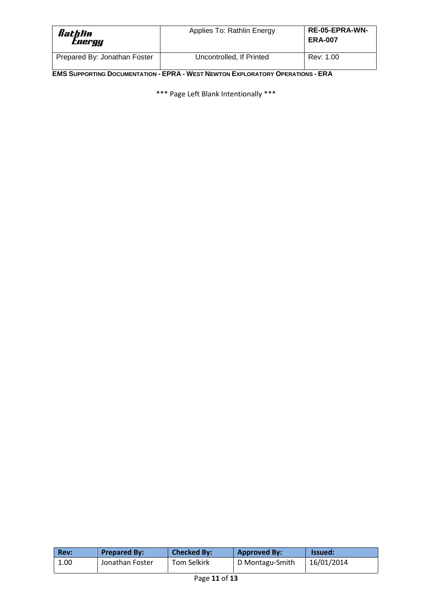| Rathlin<br><i>Energy</i>     | Applies To: Rathlin Energy | <b>RE-05-EPRA-WN-</b><br><b>ERA-007</b> |
|------------------------------|----------------------------|-----------------------------------------|
| Prepared By: Jonathan Foster | Uncontrolled, If Printed   | Rev: 1.00                               |

| Rev: | <b>Prepared By:</b> | <b>Checked By:</b> | <b>Approved By:</b> | <b>Issued:</b> |
|------|---------------------|--------------------|---------------------|----------------|
| 1.00 | Jonathan Foster     | Tom Selkirk        | D Montagu-Smith     | 16/01/2014     |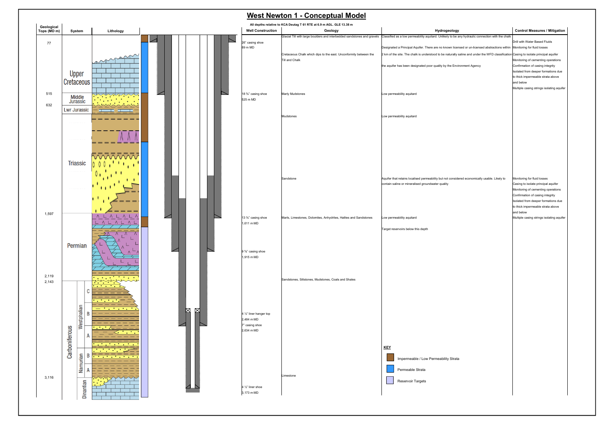

| y hydraulic connection with the chalk<br>ed or un-licensed abstractions within Monitoring for fluid losses<br>line and under the WFD classification Casing to isolate principal aquifer<br>nment Agency | Drill with Water Based Fluids                  |
|---------------------------------------------------------------------------------------------------------------------------------------------------------------------------------------------------------|------------------------------------------------|
|                                                                                                                                                                                                         |                                                |
|                                                                                                                                                                                                         |                                                |
|                                                                                                                                                                                                         |                                                |
|                                                                                                                                                                                                         | Monitoring of cementing operations             |
|                                                                                                                                                                                                         | Confirmation of casing integrity               |
|                                                                                                                                                                                                         | Isolated from deeper formations due            |
|                                                                                                                                                                                                         | to thick impermeable strata above<br>and below |
|                                                                                                                                                                                                         | Multiple casing strings isolating aquifer      |
|                                                                                                                                                                                                         |                                                |
|                                                                                                                                                                                                         |                                                |
|                                                                                                                                                                                                         |                                                |
|                                                                                                                                                                                                         |                                                |
|                                                                                                                                                                                                         |                                                |
|                                                                                                                                                                                                         |                                                |
|                                                                                                                                                                                                         |                                                |
|                                                                                                                                                                                                         |                                                |
|                                                                                                                                                                                                         |                                                |
|                                                                                                                                                                                                         |                                                |
|                                                                                                                                                                                                         |                                                |
|                                                                                                                                                                                                         |                                                |
|                                                                                                                                                                                                         |                                                |
|                                                                                                                                                                                                         |                                                |
| ed economically usable. Likely to                                                                                                                                                                       | Monitoring for fluid losses                    |
|                                                                                                                                                                                                         | Casing to isolate principal aquifer            |
|                                                                                                                                                                                                         | Monitoring of cementing operations             |
|                                                                                                                                                                                                         | Confirmation of casing integrity               |
|                                                                                                                                                                                                         | Isolated from deeper formations due            |
|                                                                                                                                                                                                         | to thick impermeable strata above<br>and below |
|                                                                                                                                                                                                         | Multiple casing strings isolating aquifer      |
|                                                                                                                                                                                                         |                                                |
|                                                                                                                                                                                                         |                                                |
|                                                                                                                                                                                                         |                                                |
|                                                                                                                                                                                                         |                                                |
|                                                                                                                                                                                                         |                                                |
|                                                                                                                                                                                                         |                                                |
|                                                                                                                                                                                                         |                                                |
|                                                                                                                                                                                                         |                                                |
|                                                                                                                                                                                                         |                                                |
|                                                                                                                                                                                                         |                                                |
|                                                                                                                                                                                                         |                                                |
|                                                                                                                                                                                                         |                                                |
|                                                                                                                                                                                                         |                                                |
|                                                                                                                                                                                                         |                                                |
|                                                                                                                                                                                                         |                                                |
|                                                                                                                                                                                                         |                                                |
|                                                                                                                                                                                                         |                                                |
|                                                                                                                                                                                                         |                                                |
|                                                                                                                                                                                                         |                                                |
|                                                                                                                                                                                                         |                                                |
|                                                                                                                                                                                                         |                                                |
|                                                                                                                                                                                                         |                                                |
|                                                                                                                                                                                                         |                                                |
|                                                                                                                                                                                                         |                                                |
|                                                                                                                                                                                                         |                                                |
|                                                                                                                                                                                                         |                                                |
|                                                                                                                                                                                                         |                                                |
|                                                                                                                                                                                                         |                                                |
|                                                                                                                                                                                                         |                                                |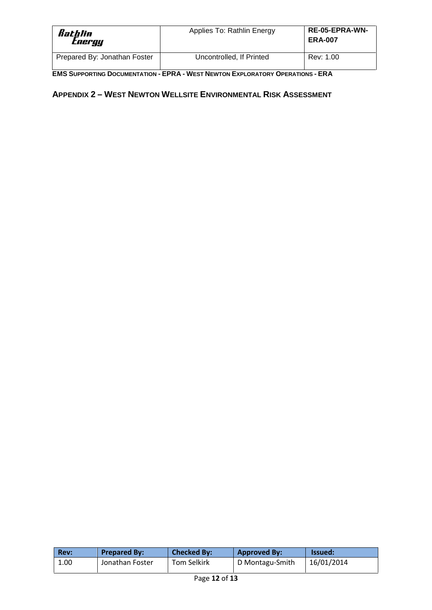| Rathlin<br><i>Energy</i>     | Applies To: Rathlin Energy | <b>RE-05-EPRA-WN-</b><br><b>ERA-007</b> |
|------------------------------|----------------------------|-----------------------------------------|
| Prepared By: Jonathan Foster | Uncontrolled, If Printed   | Rev: 1.00                               |

### **APPENDIX 2 – WEST NEWTON WELLSITE ENVIRONMENTAL RISK ASSESSMENT**

| Rev: | <b>Prepared By:</b> | <b>Checked By:</b> | <b>Approved By:</b> | lssued:    |
|------|---------------------|--------------------|---------------------|------------|
| 1.00 | Jonathan Foster     | Tom Selkirk        | D Montagu-Smith     | 16/01/2014 |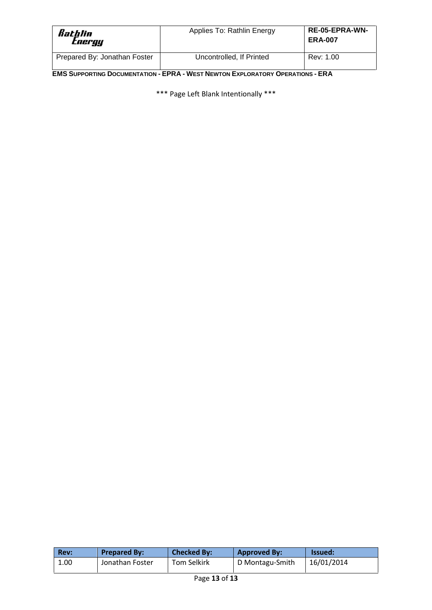| Rathlin<br><i>Energy</i>     | Applies To: Rathlin Energy | <b>RE-05-EPRA-WN-</b><br><b>ERA-007</b> |
|------------------------------|----------------------------|-----------------------------------------|
| Prepared By: Jonathan Foster | Uncontrolled, If Printed   | Rev: 1.00                               |

| Rev: | <b>Prepared By:</b> | <b>Checked By:</b> | <b>Approved By:</b> | <b>Issued:</b> |
|------|---------------------|--------------------|---------------------|----------------|
| 1.00 | Jonathan Foster     | Tom Selkirk        | D Montagu-Smith     | 16/01/2014     |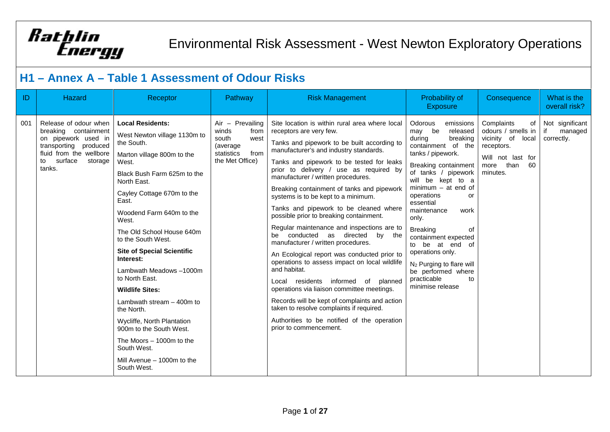# Rathlin<br>Energy

# Environmental Risk Assessment - West Newton Exploratory Operations

## **H1 – Annex A – Table 1 Assessment of Odour Risks**

| ID  | Hazard                                                                                                                                                         | Receptor                                                                                                                                                                                                                                                                                                                                                                                                                                                                                                                                                                                                         | Pathway                                                                                                 | <b>Risk Management</b>                                                                                                                                                                                                                                                                                                                                                                                                                                                                                                                                                                                                                                                                                                                                                                                                                                                                                                                                                               | Probability of<br><b>Exposure</b>                                                                                                                                                                                                                                                                                                                                                                                                                                  | Consequence                                                                                                                         | What is the<br>overall risk?                   |
|-----|----------------------------------------------------------------------------------------------------------------------------------------------------------------|------------------------------------------------------------------------------------------------------------------------------------------------------------------------------------------------------------------------------------------------------------------------------------------------------------------------------------------------------------------------------------------------------------------------------------------------------------------------------------------------------------------------------------------------------------------------------------------------------------------|---------------------------------------------------------------------------------------------------------|--------------------------------------------------------------------------------------------------------------------------------------------------------------------------------------------------------------------------------------------------------------------------------------------------------------------------------------------------------------------------------------------------------------------------------------------------------------------------------------------------------------------------------------------------------------------------------------------------------------------------------------------------------------------------------------------------------------------------------------------------------------------------------------------------------------------------------------------------------------------------------------------------------------------------------------------------------------------------------------|--------------------------------------------------------------------------------------------------------------------------------------------------------------------------------------------------------------------------------------------------------------------------------------------------------------------------------------------------------------------------------------------------------------------------------------------------------------------|-------------------------------------------------------------------------------------------------------------------------------------|------------------------------------------------|
| 001 | Release of odour when<br>breaking containment<br>on pipework used in<br>transporting produced<br>fluid from the wellbore<br>surface<br>storage<br>to<br>tanks. | <b>Local Residents:</b><br>West Newton village 1130m to<br>the South.<br>Marton village 800m to the<br>West.<br>Black Bush Farm 625m to the<br>North East.<br>Cayley Cottage 670m to the<br>East.<br>Woodend Farm 640m to the<br>West.<br>The Old School House 640m<br>to the South West.<br><b>Site of Special Scientific</b><br>Interest:<br>Lambwath Meadows -1000m<br>to North East.<br><b>Wildlife Sites:</b><br>Lambwath stream - 400m to<br>the North.<br>Wycliffe, North Plantation<br>900m to the South West.<br>The Moors $-1000m$ to the<br>South West.<br>Mill Avenue $-1000m$ to the<br>South West. | Air - Prevailing<br>winds<br>from<br>south<br>west<br>(average<br>statistics<br>from<br>the Met Office) | Site location is within rural area where local<br>receptors are very few.<br>Tanks and pipework to be built according to<br>manufacturer's and industry standards.<br>Tanks and pipework to be tested for leaks<br>prior to delivery / use as required by<br>manufacturer / written procedures.<br>Breaking containment of tanks and pipework<br>systems is to be kept to a minimum.<br>Tanks and pipework to be cleaned where<br>possible prior to breaking containment.<br>Regular maintenance and inspections are to<br>be conducted as directed by<br>the<br>manufacturer / written procedures.<br>An Ecological report was conducted prior to<br>operations to assess impact on local wildlife<br>and habitat.<br>Local residents informed<br>of<br>planned<br>operations via liaison committee meetings.<br>Records will be kept of complaints and action<br>taken to resolve complaints if required.<br>Authorities to be notified of the operation<br>prior to commencement. | emissions<br>Odorous<br>be<br>released<br>may<br>breaking<br>during<br>containment of the<br>tanks / pipework.<br>Breaking containment<br>of tanks / pipework<br>will be kept to a<br>minimum $-$ at end of<br>operations<br>or<br>essential<br>maintenance<br>work<br>only.<br><b>Breaking</b><br>οf<br>containment expected<br>to be at end of<br>operations only.<br>$N_2$ Purging to flare will<br>be performed where<br>practicable<br>to<br>minimise release | Complaints<br>οf<br>odours / smells in<br>vicinity of<br>local<br>receptors.<br>Will not last for<br>than<br>60<br>more<br>minutes. | Not significant<br>if<br>managed<br>correctly. |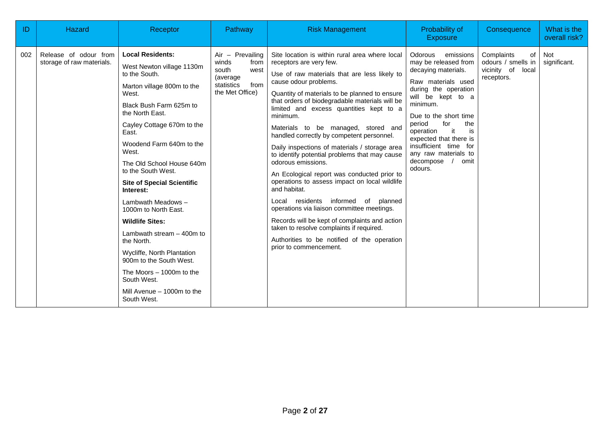| ID  | Hazard                                             | Receptor                                                                                                                                                                                                                                                                                                                                                                                                                                                                                                                                                                                                            | Pathway                                                                                                   | <b>Risk Management</b>                                                                                                                                                                                                                                                                                                                                                                                                                                                                                                                                                                                                                                                                                                                                                                                                                                                                              | Probability of<br><b>Exposure</b>                                                                                                                                                                                                                                                                                                       | Consequence                                                               | What is the<br>overall risk? |
|-----|----------------------------------------------------|---------------------------------------------------------------------------------------------------------------------------------------------------------------------------------------------------------------------------------------------------------------------------------------------------------------------------------------------------------------------------------------------------------------------------------------------------------------------------------------------------------------------------------------------------------------------------------------------------------------------|-----------------------------------------------------------------------------------------------------------|-----------------------------------------------------------------------------------------------------------------------------------------------------------------------------------------------------------------------------------------------------------------------------------------------------------------------------------------------------------------------------------------------------------------------------------------------------------------------------------------------------------------------------------------------------------------------------------------------------------------------------------------------------------------------------------------------------------------------------------------------------------------------------------------------------------------------------------------------------------------------------------------------------|-----------------------------------------------------------------------------------------------------------------------------------------------------------------------------------------------------------------------------------------------------------------------------------------------------------------------------------------|---------------------------------------------------------------------------|------------------------------|
| 002 | Release of odour from<br>storage of raw materials. | <b>Local Residents:</b><br>West Newton village 1130m<br>to the South.<br>Marton village 800m to the<br>West.<br>Black Bush Farm 625m to<br>the North East.<br>Cayley Cottage 670m to the<br>East.<br>Woodend Farm 640m to the<br>West.<br>The Old School House 640m<br>to the South West.<br><b>Site of Special Scientific</b><br>Interest:<br>Lambwath Meadows -<br>1000m to North East.<br><b>Wildlife Sites:</b><br>Lambwath stream $-$ 400m to<br>the North.<br>Wycliffe, North Plantation<br>900m to the South West.<br>The Moors $-1000m$ to the<br>South West.<br>Mill Avenue $-1000m$ to the<br>South West. | $Air - Prevailing$<br>winds<br>from<br>south<br>west<br>(average<br>statistics<br>from<br>the Met Office) | Site location is within rural area where local<br>receptors are very few.<br>Use of raw materials that are less likely to<br>cause odour problems.<br>Quantity of materials to be planned to ensure<br>that orders of biodegradable materials will be<br>limited and excess quantities kept to a<br>minimum.<br>Materials to be managed, stored and<br>handled correctly by competent personnel.<br>Daily inspections of materials / storage area<br>to identify potential problems that may cause<br>odorous emissions.<br>An Ecological report was conducted prior to<br>operations to assess impact on local wildlife<br>and habitat.<br>Local residents informed of planned<br>operations via liaison committee meetings.<br>Records will be kept of complaints and action<br>taken to resolve complaints if required.<br>Authorities to be notified of the operation<br>prior to commencement. | Odorous<br>emissions<br>may be released from<br>decaying materials.<br>Raw materials used<br>during the operation<br>will be kept to a<br>minimum.<br>Due to the short time<br>for<br>period<br>the<br>operation<br>it<br>is<br>expected that there is<br>insufficient time for<br>any raw materials to<br>decompose<br>omit<br>odours. | Complaints<br>of<br>odours / smells in<br>vicinity of local<br>receptors. | Not<br>significant.          |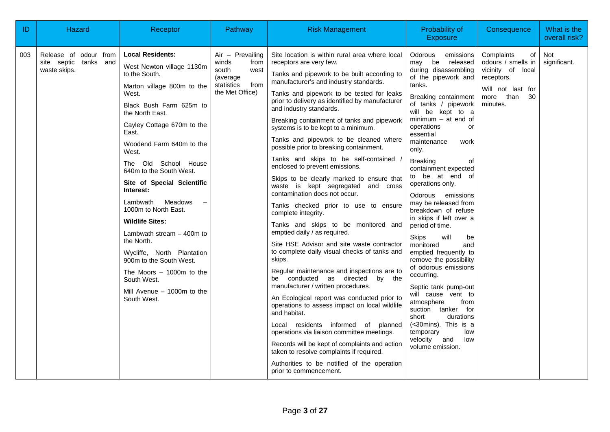| ID  | Hazard                                                         | Receptor                                                                                                                                                                                                                                                                                                                                                                                                                                                                                                                                                                                                       | <b>Pathway</b>                                                                                            | <b>Risk Management</b>                                                                                                                                                                                                                                                                                                                                                                                                                                                                                                                                                                                                                                                                                                                                                                                                                                                                                                                                                                                                                                                                                                                                                                                                                                                                                                                                                                                                | Probability of<br><b>Exposure</b>                                                                                                                                                                                                                                                                                                                                                                                                                                                                                                                                                                                                                                                                                                                                                                                         | Consequence                                                                                                                | What is the<br>overall risk? |
|-----|----------------------------------------------------------------|----------------------------------------------------------------------------------------------------------------------------------------------------------------------------------------------------------------------------------------------------------------------------------------------------------------------------------------------------------------------------------------------------------------------------------------------------------------------------------------------------------------------------------------------------------------------------------------------------------------|-----------------------------------------------------------------------------------------------------------|-----------------------------------------------------------------------------------------------------------------------------------------------------------------------------------------------------------------------------------------------------------------------------------------------------------------------------------------------------------------------------------------------------------------------------------------------------------------------------------------------------------------------------------------------------------------------------------------------------------------------------------------------------------------------------------------------------------------------------------------------------------------------------------------------------------------------------------------------------------------------------------------------------------------------------------------------------------------------------------------------------------------------------------------------------------------------------------------------------------------------------------------------------------------------------------------------------------------------------------------------------------------------------------------------------------------------------------------------------------------------------------------------------------------------|---------------------------------------------------------------------------------------------------------------------------------------------------------------------------------------------------------------------------------------------------------------------------------------------------------------------------------------------------------------------------------------------------------------------------------------------------------------------------------------------------------------------------------------------------------------------------------------------------------------------------------------------------------------------------------------------------------------------------------------------------------------------------------------------------------------------------|----------------------------------------------------------------------------------------------------------------------------|------------------------------|
| 003 | Release of odour from<br>site septic tanks and<br>waste skips. | <b>Local Residents:</b><br>West Newton village 1130m<br>to the South.<br>Marton village 800m to the<br>West.<br>Black Bush Farm 625m to<br>the North East.<br>Cayley Cottage 670m to the<br>East.<br>Woodend Farm 640m to the<br>West.<br>The Old School House<br>640m to the South West.<br>Site of Special Scientific<br>Interest:<br>Meadows<br>Lambwath<br>1000m to North East.<br><b>Wildlife Sites:</b><br>Lambwath stream $-$ 400m to<br>the North.<br>Wycliffe, North Plantation<br>900m to the South West.<br>The Moors $-1000m$ to the<br>South West.<br>Mill Avenue $-$ 1000m to the<br>South West. | $Air - Prevailing$<br>winds<br>from<br>south<br>west<br>(average<br>statistics<br>from<br>the Met Office) | Site location is within rural area where local<br>receptors are very few.<br>Tanks and pipework to be built according to<br>manufacturer's and industry standards.<br>Tanks and pipework to be tested for leaks<br>prior to delivery as identified by manufacturer<br>and industry standards.<br>Breaking containment of tanks and pipework<br>systems is to be kept to a minimum.<br>Tanks and pipework to be cleaned where<br>possible prior to breaking containment.<br>Tanks and skips to be self-contained<br>enclosed to prevent emissions.<br>Skips to be clearly marked to ensure that<br>waste is kept segregated and cross<br>contamination does not occur.<br>Tanks checked prior to use to ensure<br>complete integrity.<br>Tanks and skips to be monitored and<br>emptied daily / as required.<br>Site HSE Advisor and site waste contractor<br>to complete daily visual checks of tanks and<br>skips.<br>Regular maintenance and inspections are to<br>be conducted as directed by the<br>manufacturer / written procedures.<br>An Ecological report was conducted prior to<br>operations to assess impact on local wildlife<br>and habitat.<br>Local residents informed of planned<br>operations via liaison committee meetings.<br>Records will be kept of complaints and action<br>taken to resolve complaints if required.<br>Authorities to be notified of the operation<br>prior to commencement. | Odorous<br>emissions<br>be released<br>may<br>during disassembling<br>of the pipework and<br>tanks.<br>Breaking containment<br>of tanks / pipework<br>will be kept to a<br>$minimum - at end of$<br>operations<br>or<br>essential<br>maintenance<br>work<br>only.<br><b>Breaking</b><br>of<br>containment expected<br>to be at end of<br>operations only.<br>Odorous<br>emissions<br>may be released from<br>breakdown of refuse<br>in skips if left over a<br>period of time.<br>Skips<br>will<br>be<br>monitored<br>and<br>emptied frequently to<br>remove the possibility<br>of odorous emissions<br>occurring.<br>Septic tank pump-out<br>will cause vent to<br>atmosphere<br>from<br>suction tanker for<br>durations<br>short<br>(<30mins). This is a<br>low<br>temporary<br>velocity and<br>low<br>volume emission. | Complaints<br>оf<br>odours / smells in<br>vicinity of local<br>receptors.<br>Will not last for<br>more than 30<br>minutes. | Not<br>significant.          |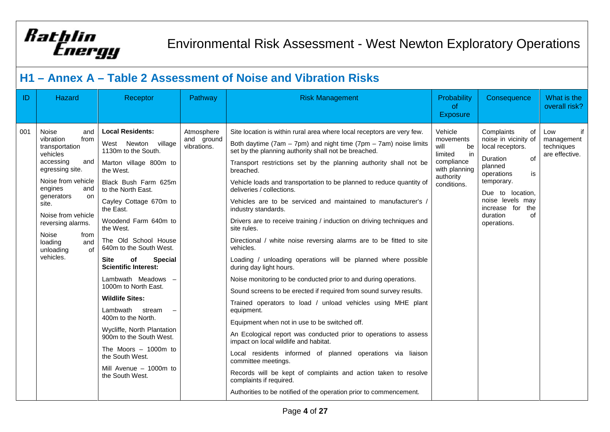

# Environmental Risk Assessment - West Newton Exploratory Operations

#### **H1 – Annex A – Table 2 Assessment of Noise and Vibration Risks** ID | Hazard | Receptor | Pathway | Risk Management Probability | Cor of **Exposure** Consequence What is the overall risk? 001 Noise and **Local Residents:** vibration from West Newton village and<br>transportation West Newton village <sub>vibratio</sub> transportation vehicles accessing and egressing site. Noise from vehicle engines and generators on site. Noise from vehicle reversing alarms. Noise from loading and<br>unloading of unloading vehicles. 1130m to the South. Marton village 800m to the West. Black Bush Farm 625m to the North East. Cayley Cottage 670m to the East. Woodend Farm 640m to the West. The Old School House 640m to the South West. **Site of Special Scientific Interest:** Lambwath Meadows – 1000m to North East. **Wildlife Sites:** Lambwath stream – 400m to the North. Wycliffe, North Plantation 900m to the South West. The Moors – 1000m to the South West. Mill Avenue – 1000m to the South West. **Atmosphere** and ground vibrations. Site location is within rural area where local receptors are very few. Both daytime (7am – 7pm) and night time (7pm – 7am) noise limits  $\begin{bmatrix} 1 & 1 & 1 \\ 1 & 1 & 1 \end{bmatrix}$ set by the planning authority shall not be breached. Transport restrictions set by the planning authority shall not be breached. Vehicle loads and transportation to be planned to reduce quantity of deliveries / collections. Vehicles are to be serviced and maintained to manufacturer's / industry standards. Drivers are to receive training / induction on driving techniques and site rules. Directional / white noise reversing alarms are to be fitted to site vehicles. Loading / unloading operations will be planned where possible during day light hours. Noise monitoring to be conducted prior to and during operations. Sound screens to be erected if required from sound survey results. Trained operators to load / unload vehicles using MHE plant equipment. Equipment when not in use to be switched off. An Ecological report was conducted prior to operations to assess impact on local wildlife and habitat. Local residents informed of planned operations via liaison committee meetings. Records will be kept of complaints and action taken to resolve complaints if required. Authorities to be notified of the operation prior to commencement. Vehicle movements will be local receptors. limited in compliance with planning authority conditions. Complaints of noise in vicinity of Duration of planned operations is temporary. Due to location. noise levels may increase for the duration of operations. Low if management techniques are effective.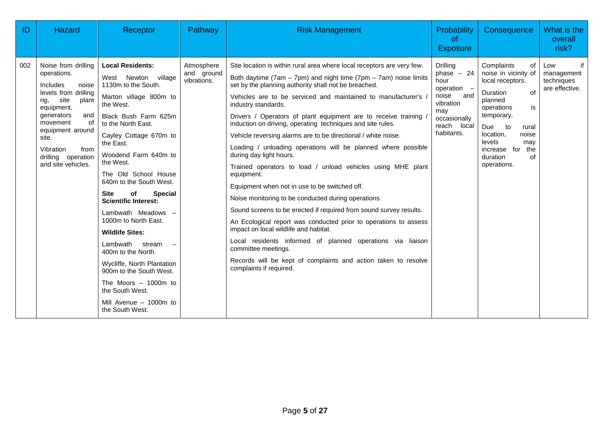| ID  | <b>Hazard</b>                                                                                                                                                                                                                                                      | Receptor                                                                                                                                                                                                                                                                                                                                                                                                                                                                                                                                                                                                                            | Pathway                                 | <b>Risk Management</b>                                                                                                                                                                                                                                                                                                                                                                                                                                                                                                                                                                                                                                                                                                                                                                                                                                                                                                                                                                                                                                                                                                                                     | Probability<br>of                                                                                                               | Consequence                                                                                                                                                                                                                                      | What is the<br>overall                                  |
|-----|--------------------------------------------------------------------------------------------------------------------------------------------------------------------------------------------------------------------------------------------------------------------|-------------------------------------------------------------------------------------------------------------------------------------------------------------------------------------------------------------------------------------------------------------------------------------------------------------------------------------------------------------------------------------------------------------------------------------------------------------------------------------------------------------------------------------------------------------------------------------------------------------------------------------|-----------------------------------------|------------------------------------------------------------------------------------------------------------------------------------------------------------------------------------------------------------------------------------------------------------------------------------------------------------------------------------------------------------------------------------------------------------------------------------------------------------------------------------------------------------------------------------------------------------------------------------------------------------------------------------------------------------------------------------------------------------------------------------------------------------------------------------------------------------------------------------------------------------------------------------------------------------------------------------------------------------------------------------------------------------------------------------------------------------------------------------------------------------------------------------------------------------|---------------------------------------------------------------------------------------------------------------------------------|--------------------------------------------------------------------------------------------------------------------------------------------------------------------------------------------------------------------------------------------------|---------------------------------------------------------|
|     |                                                                                                                                                                                                                                                                    |                                                                                                                                                                                                                                                                                                                                                                                                                                                                                                                                                                                                                                     |                                         |                                                                                                                                                                                                                                                                                                                                                                                                                                                                                                                                                                                                                                                                                                                                                                                                                                                                                                                                                                                                                                                                                                                                                            | <b>Exposure</b>                                                                                                                 |                                                                                                                                                                                                                                                  | risk?                                                   |
| 002 | Noise from drilling<br>operations.<br><b>Includes</b><br>noise<br>levels from drilling<br>site<br>plant<br>rig,<br>equipment,<br>generators<br>and<br>movement<br>0f<br>equipment around<br>site.<br>Vibration<br>from<br>drilling operation<br>and site vehicles. | <b>Local Residents:</b><br>West Newton village<br>1130m to the South.<br>Marton village 800m to<br>the West.<br>Black Bush Farm 625m<br>to the North East.<br>Cayley Cottage 670m to<br>the East.<br>Woodend Farm 640m to<br>the West.<br>The Old School House<br>640m to the South West.<br><b>Site</b><br>of<br><b>Special</b><br><b>Scientific Interest:</b><br>Lambwath Meadows<br>1000m to North East.<br><b>Wildlife Sites:</b><br>Lambwath<br>stream<br>400m to the North.<br>Wycliffe, North Plantation<br>900m to the South West.<br>The Moors $-1000m$ to<br>the South West.<br>Mill Avenue - 1000m to<br>the South West. | Atmosphere<br>and ground<br>vibrations. | Site location is within rural area where local receptors are very few.<br>Both daytime ( $7am - 7pm$ ) and night time ( $7pm - 7am$ ) noise limits<br>set by the planning authority shall not be breached.<br>Vehicles are to be serviced and maintained to manufacturer's /<br>industry standards.<br>Drivers / Operators of plant equipment are to receive training<br>induction on driving, operating techniques and site rules.<br>Vehicle reversing alarms are to be directional / white noise.<br>Loading / unloading operations will be planned where possible<br>during day light hours.<br>Trained operators to load / unload vehicles using MHE plant<br>equipment.<br>Equipment when not in use to be switched off.<br>Noise monitoring to be conducted during operations.<br>Sound screens to be erected if required from sound survey results.<br>An Ecological report was conducted prior to operations to assess<br>impact on local wildlife and habitat.<br>Local residents informed of planned operations via liaison<br>committee meetings.<br>Records will be kept of complaints and action taken to resolve<br>complaints if required. | Drilling<br>phase $-24$<br>hour<br>operation -<br>noise<br>and<br>vibration<br>may<br>occasionally<br>reach local<br>habitants. | Complaints<br>οf<br>noise in vicinity of<br>local receptors.<br>of<br>Duration<br>planned<br>operations<br>is<br>temporary.<br>Due<br>to<br>rural<br>location,<br>noise<br>levels<br>may<br>increase for<br>the<br>duration<br>οf<br>operations. | if<br>Low<br>management<br>techniques<br>are effective. |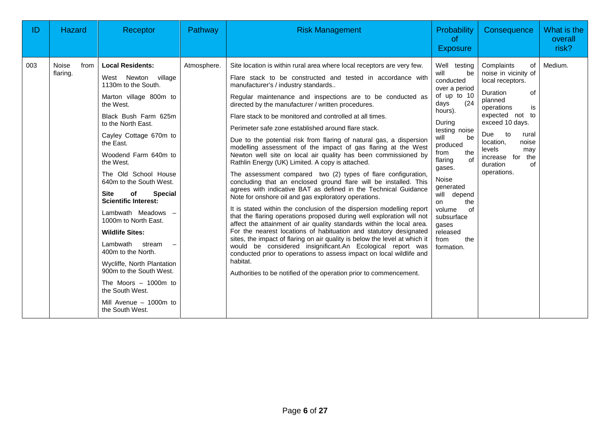| ID  | <b>Hazard</b>             | Receptor                                                                                                                                                                                                                                                                                                                                                                                                                                                                                                                                                                                                                                                          | Pathway     | <b>Risk Management</b>                                                                                                                                                                                                                                                                                                                                                                                                                                                                                                                                                                                                                                                                                                                                                                                                                                                                                                                                                                                                                                                                                                                                                                                                                                                                                                                                                                                                                                                                                                                                  | Probability<br><sub>of</sub><br><b>Exposure</b>                                                                                                                                                                                                                                                                                     | Consequence                                                                                                                                                                                                                                                              | What is the<br>overall<br>risk? |
|-----|---------------------------|-------------------------------------------------------------------------------------------------------------------------------------------------------------------------------------------------------------------------------------------------------------------------------------------------------------------------------------------------------------------------------------------------------------------------------------------------------------------------------------------------------------------------------------------------------------------------------------------------------------------------------------------------------------------|-------------|---------------------------------------------------------------------------------------------------------------------------------------------------------------------------------------------------------------------------------------------------------------------------------------------------------------------------------------------------------------------------------------------------------------------------------------------------------------------------------------------------------------------------------------------------------------------------------------------------------------------------------------------------------------------------------------------------------------------------------------------------------------------------------------------------------------------------------------------------------------------------------------------------------------------------------------------------------------------------------------------------------------------------------------------------------------------------------------------------------------------------------------------------------------------------------------------------------------------------------------------------------------------------------------------------------------------------------------------------------------------------------------------------------------------------------------------------------------------------------------------------------------------------------------------------------|-------------------------------------------------------------------------------------------------------------------------------------------------------------------------------------------------------------------------------------------------------------------------------------------------------------------------------------|--------------------------------------------------------------------------------------------------------------------------------------------------------------------------------------------------------------------------------------------------------------------------|---------------------------------|
| 003 | from<br>Noise<br>flaring. | <b>Local Residents:</b><br>West Newton village<br>1130m to the South.<br>Marton village 800m to<br>the West.<br>Black Bush Farm 625m<br>to the North East.<br>Cayley Cottage 670m to<br>the East.<br>Woodend Farm 640m to<br>the West.<br>The Old School House<br>640m to the South West.<br><b>Site</b><br>of<br><b>Special</b><br><b>Scientific Interest:</b><br>Lambwath Meadows -<br>1000m to North East.<br><b>Wildlife Sites:</b><br>Lambwath<br>stream<br>$\overline{\phantom{0}}$<br>400m to the North.<br>Wycliffe, North Plantation<br>900m to the South West.<br>The Moors $-1000m$ to<br>the South West.<br>Mill Avenue - 1000m to<br>the South West. | Atmosphere. | Site location is within rural area where local receptors are very few.<br>Flare stack to be constructed and tested in accordance with<br>manufacturer's / industry standards<br>Regular maintenance and inspections are to be conducted as<br>directed by the manufacturer / written procedures.<br>Flare stack to be monitored and controlled at all times.<br>Perimeter safe zone established around flare stack.<br>Due to the potential risk from flaring of natural gas, a dispersion<br>modelling assessment of the impact of gas flaring at the West<br>Newton well site on local air quality has been commissioned by<br>Rathlin Energy (UK) Limited. A copy is attached.<br>The assessment compared two (2) types of flare configuration,<br>concluding that an enclosed ground flare will be installed. This<br>agrees with indicative BAT as defined in the Technical Guidance<br>Note for onshore oil and gas exploratory operations.<br>It is stated within the conclusion of the dispersion modelling report<br>that the flaring operations proposed during well exploration will not<br>affect the attainment of air quality standards within the local area.<br>For the nearest locations of habituation and statutory designated<br>sites, the impact of flaring on air quality is below the level at which it<br>would be considered insignificant.An Ecological report was<br>conducted prior to operations to assess impact on local wildlife and<br>habitat.<br>Authorities to be notified of the operation prior to commencement. | Well testing<br>will<br>be<br>conducted<br>over a period<br>of up to 10<br>(24)<br>days<br>hours).<br>During<br>testing noise<br>will<br>be<br>produced<br>from<br>the<br>of<br>flaring<br>gases.<br>Noise<br>generated<br>will depend<br>the<br>on<br>volume<br>of<br>subsurface<br>gases<br>released<br>the<br>from<br>formation. | Complaints<br>of<br>noise in vicinity of<br>local receptors.<br>Duration<br>of<br>planned<br>operations<br>is<br>expected not to<br>exceed 10 days.<br>Due<br>to<br>rural<br>location,<br>noise<br>levels<br>may<br>increase for<br>the<br>duration<br>0f<br>operations. | Medium.                         |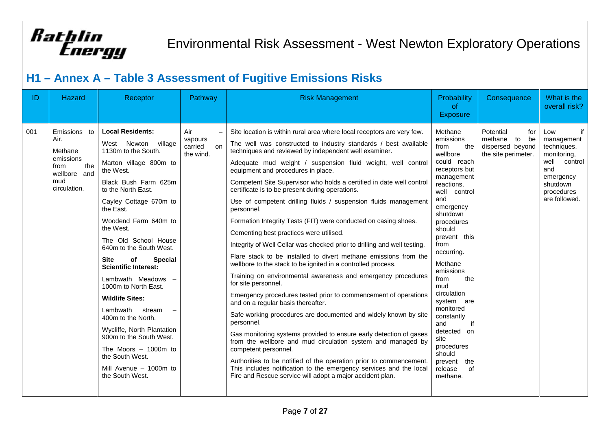# Rathlin Energy

# Environmental Risk Assessment - West Newton Exploratory Operations

#### **H1 – Annex A – Table 3 Assessment of Fugitive Emissions Risks** ID Hazard Receptor Rathway Risk Management Risk Management Risk Management of **Exposure** Consequence What is the overall risk? 001 Emissions to Air. Methane emissions from the wellbore and mud circulation. **Local Residents:** West Newton village 1130m to the South. Marton village 800m to the West. Black Bush Farm 625m to the North East. Cayley Cottage 670m to the East. Woodend Farm 640m to the West. The Old School House 640m to the South West. **Site of Special Scientific Interest:** Lambwath Meadows – 1000m to North East. **Wildlife Sites:** Lambwath stream 400m to the North. Wycliffe, North Plantation 900m to the South West. The Moors – 1000m to the South West. Mill Avenue – 1000m to the South West. Air – Site location is within rural area where local receptors are very few. vapours carried on the wind. The well was constructed to industry standards / best available  $\begin{bmatrix} 6 & 11 & 16 \\ 1 & 6 & 16 \\ 1 & 1 & 16 \\ 1 & 1 & 16 \\ 1 & 1 & 16 \\ 1 & 1 & 16 \\ 1 & 1 & 16 \\ 1 & 1 & 16 \\ 1 & 1 & 16 \\ 1 & 1 & 16 \\ 1 & 1 & 16 \\ 1 & 1 & 16 \\ 1 & 1 & 16 \\ 1 & 1 & 16 \\ 1 & 1 & 16$ techniques and reviewed by independent well examiner. Adequate mud weight / suspension fluid weight, well control equipment and procedures in place. Competent Site Supervisor who holds a certified in date well control certificate is to be present during operations. Use of competent drilling fluids / suspension fluids management personnel. Formation Integrity Tests (FIT) were conducted on casing shoes. Cementing best practices were utilised. Integrity of Well Cellar was checked prior to drilling and well testing. Flare stack to be installed to divert methane emissions from the wellbore to the stack to be ignited in a controlled process. Training on environmental awareness and emergency procedures for site personnel. Emergency procedures tested prior to commencement of operations and on a regular basis thereafter. Safe working procedures are documented and widely known by site personnel. Gas monitoring systems provided to ensure early detection of gases from the wellbore and mud circulation system and managed by competent personnel. Authorities to be notified of the operation prior to commencement. This includes notification to the emergency services and the local Fire and Rescue service will adopt a major accident plan. Methane emissions<br>from the from the | dispersed beyond | techniq wellbore could reach receptors but management reactions, well control and emergency shutdown procedures should prevent this from occurring. Methane emissions<br>from the from mud circulation system are monitored constantly and if detected on site procedures should prevent the release of methane. Potential for methane to be the site perimeter. Low if management techniques, monitoring, well control and emergency shutdown procedures are followed.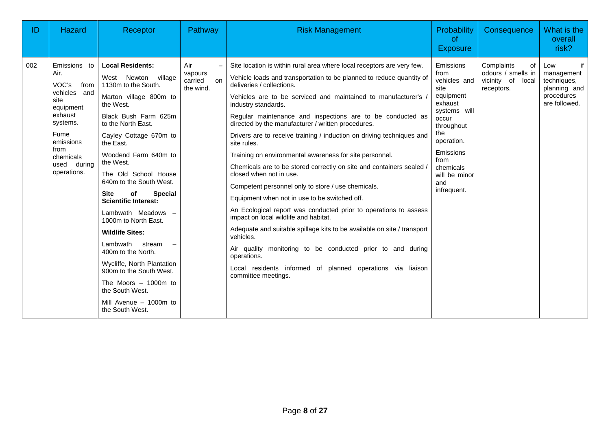| ID  | Hazard                                                                                                                                                                       | Receptor                                                                                                                                                                                                                                                                                                                                                                                                                                                                                                                                                                                                                              | Pathway                                      | <b>Risk Management</b>                                                                                                                                                                                                                                                                                                                                                                                                                                                                                                                                                                                                                                                                                                                                                                                                                                                                                                                                                                                                                                                                                                     | Probability<br><sub>of</sub>                                                                                                                                                                           | Consequence                                                                  | What is the<br>overall                                                                |
|-----|------------------------------------------------------------------------------------------------------------------------------------------------------------------------------|---------------------------------------------------------------------------------------------------------------------------------------------------------------------------------------------------------------------------------------------------------------------------------------------------------------------------------------------------------------------------------------------------------------------------------------------------------------------------------------------------------------------------------------------------------------------------------------------------------------------------------------|----------------------------------------------|----------------------------------------------------------------------------------------------------------------------------------------------------------------------------------------------------------------------------------------------------------------------------------------------------------------------------------------------------------------------------------------------------------------------------------------------------------------------------------------------------------------------------------------------------------------------------------------------------------------------------------------------------------------------------------------------------------------------------------------------------------------------------------------------------------------------------------------------------------------------------------------------------------------------------------------------------------------------------------------------------------------------------------------------------------------------------------------------------------------------------|--------------------------------------------------------------------------------------------------------------------------------------------------------------------------------------------------------|------------------------------------------------------------------------------|---------------------------------------------------------------------------------------|
|     |                                                                                                                                                                              |                                                                                                                                                                                                                                                                                                                                                                                                                                                                                                                                                                                                                                       |                                              |                                                                                                                                                                                                                                                                                                                                                                                                                                                                                                                                                                                                                                                                                                                                                                                                                                                                                                                                                                                                                                                                                                                            | <b>Exposure</b>                                                                                                                                                                                        |                                                                              | risk?                                                                                 |
| 002 | Emissions to<br>Air.<br>VOC's<br>from<br>vehicles and<br>site<br>equipment<br>exhaust<br>systems.<br>Fume<br>emissions<br>from<br>chemicals<br>during<br>used<br>operations. | <b>Local Residents:</b><br>West Newton village<br>1130m to the South.<br>Marton village 800m to<br>the West.<br>Black Bush Farm 625m<br>to the North East.<br>Cayley Cottage 670m to<br>the East.<br>Woodend Farm 640m to<br>the West.<br>The Old School House<br>640m to the South West.<br><b>Site</b><br>of<br><b>Special</b><br><b>Scientific Interest:</b><br>Lambwath Meadows -<br>1000m to North East.<br><b>Wildlife Sites:</b><br>Lambwath<br>stream<br>400m to the North.<br>Wycliffe, North Plantation<br>900m to the South West.<br>The Moors $-1000m$ to<br>the South West.<br>Mill Avenue - 1000m to<br>the South West. | Air<br>vapours<br>carried<br>on<br>the wind. | Site location is within rural area where local receptors are very few.<br>Vehicle loads and transportation to be planned to reduce quantity of<br>deliveries / collections.<br>Vehicles are to be serviced and maintained to manufacturer's<br>industry standards.<br>Regular maintenance and inspections are to be conducted as<br>directed by the manufacturer / written procedures.<br>Drivers are to receive training / induction on driving techniques and<br>site rules.<br>Training on environmental awareness for site personnel.<br>Chemicals are to be stored correctly on site and containers sealed /<br>closed when not in use.<br>Competent personnel only to store / use chemicals.<br>Equipment when not in use to be switched off.<br>An Ecological report was conducted prior to operations to assess<br>impact on local wildlife and habitat.<br>Adequate and suitable spillage kits to be available on site / transport<br>vehicles.<br>Air quality monitoring to be conducted prior to and during<br>operations.<br>Local residents informed of planned operations via liaison<br>committee meetings. | Emissions<br>from<br>vehicles and<br>site<br>equipment<br>exhaust<br>systems will<br>occur<br>throughout<br>the<br>operation.<br>Emissions<br>from<br>chemicals<br>will be minor<br>and<br>infrequent. | Complaints<br>of<br>odours / smells in<br>vicinity of<br>local<br>receptors. | if<br>Low<br>management<br>techniques,<br>planning and<br>procedures<br>are followed. |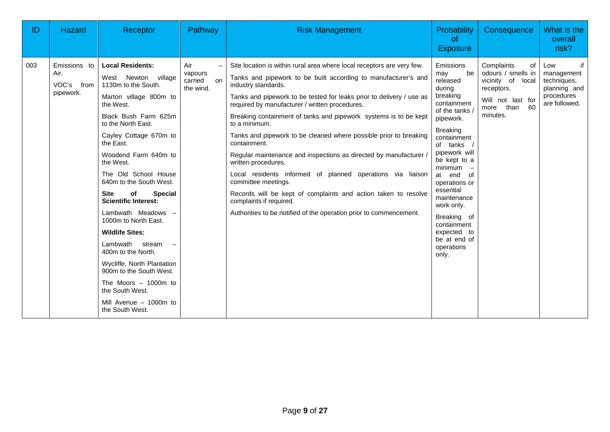| ID  | Hazard                                             | Receptor                                                                                                                                                                                                                                                                                                                                                                                                                                                                                                                                                                                                                                                          | Pathway                                      | <b>Risk Management</b>                                                                                                                                                                                                                                                                                                                                                                                                                                                                                                                                                                                                                                                                                                                                                                                                  | <b>Probability</b><br><b>of</b>                                                                                                                                                                                                                                                                                                                                | Consequence                                                                                                                         | What is the<br>overall                                                                |
|-----|----------------------------------------------------|-------------------------------------------------------------------------------------------------------------------------------------------------------------------------------------------------------------------------------------------------------------------------------------------------------------------------------------------------------------------------------------------------------------------------------------------------------------------------------------------------------------------------------------------------------------------------------------------------------------------------------------------------------------------|----------------------------------------------|-------------------------------------------------------------------------------------------------------------------------------------------------------------------------------------------------------------------------------------------------------------------------------------------------------------------------------------------------------------------------------------------------------------------------------------------------------------------------------------------------------------------------------------------------------------------------------------------------------------------------------------------------------------------------------------------------------------------------------------------------------------------------------------------------------------------------|----------------------------------------------------------------------------------------------------------------------------------------------------------------------------------------------------------------------------------------------------------------------------------------------------------------------------------------------------------------|-------------------------------------------------------------------------------------------------------------------------------------|---------------------------------------------------------------------------------------|
|     |                                                    |                                                                                                                                                                                                                                                                                                                                                                                                                                                                                                                                                                                                                                                                   |                                              |                                                                                                                                                                                                                                                                                                                                                                                                                                                                                                                                                                                                                                                                                                                                                                                                                         | <b>Exposure</b>                                                                                                                                                                                                                                                                                                                                                |                                                                                                                                     | risk?                                                                                 |
| 003 | Emissions to<br>Air.<br>VOC's<br>from<br>pipework. | <b>Local Residents:</b><br>West Newton village<br>1130m to the South.<br>Marton village 800m to<br>the West.<br>Black Bush Farm 625m<br>to the North East.<br>Cayley Cottage 670m to<br>the East.<br>Woodend Farm 640m to<br>the West.<br>The Old School House<br>640m to the South West.<br><b>Site</b><br>of<br><b>Special</b><br><b>Scientific Interest:</b><br>Lambwath Meadows -<br>1000m to North East.<br><b>Wildlife Sites:</b><br>Lambwath<br>stream<br>$\overline{\phantom{m}}$<br>400m to the North.<br>Wycliffe, North Plantation<br>900m to the South West.<br>The Moors $-1000m$ to<br>the South West.<br>Mill Avenue - 1000m to<br>the South West. | Air<br>vapours<br>carried<br>on<br>the wind. | Site location is within rural area where local receptors are very few.<br>Tanks and pipework to be built according to manufacturer's and<br>industry standards.<br>Tanks and pipework to be tested for leaks prior to delivery / use as<br>required by manufacturer / written procedures.<br>Breaking containment of tanks and pipework systems is to be kept<br>to a minimum.<br>Tanks and pipework to be cleaned where possible prior to breaking<br>containment.<br>Regular maintenance and inspections as directed by manufacturer /<br>written procedures.<br>Local residents informed of planned operations via liaison<br>committee meetings.<br>Records will be kept of complaints and action taken to resolve<br>complaints if required.<br>Authorities to be notified of the operation prior to commencement. | Emissions<br>be<br>may<br>released<br>during<br>breaking<br>containment<br>of the tanks<br>pipework.<br><b>Breaking</b><br>containment<br>of tanks<br>pipework will<br>be kept to a<br>$minimum -$<br>at end of<br>operations or<br>essential<br>maintenance<br>work only.<br>Breaking of<br>containment<br>expected to<br>be at end of<br>operations<br>only. | Complaints<br>of<br>odours / smells in<br>vicinity of<br>local<br>receptors.<br>Will not last for<br>60<br>than<br>more<br>minutes. | if<br>Low<br>management<br>techniques,<br>planning and<br>procedures<br>are followed. |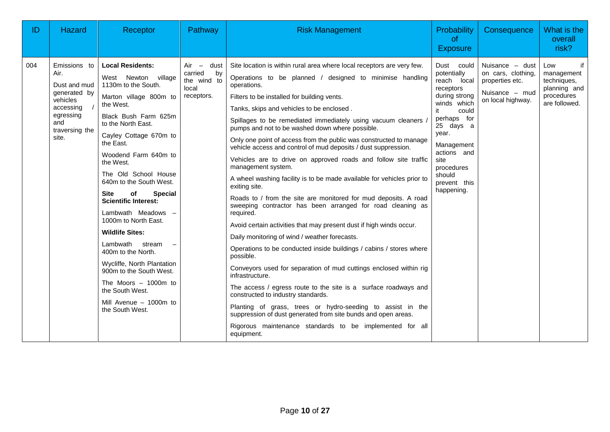| ID  | Hazard                                                                                                                       | Receptor                                                                                                                                                                                                                                                                                                                                                                                                                                                                                                                                                                                                                               | <b>Pathway</b>                                                       | <b>Risk Management</b>                                                                                                                                                                                                                                                                                                                                                                                                                                                                                                                                                                                                                                                                                                                                                                                                                                                                                                                                                                                                                                                                                                                                                                                                                                                                                                                                                                                                                                           | Probability<br>of<br><b>Exposure</b>                                                                                                                                                                                              | Consequence                                                                                     | What is the<br>overall<br>risk?                                                       |
|-----|------------------------------------------------------------------------------------------------------------------------------|----------------------------------------------------------------------------------------------------------------------------------------------------------------------------------------------------------------------------------------------------------------------------------------------------------------------------------------------------------------------------------------------------------------------------------------------------------------------------------------------------------------------------------------------------------------------------------------------------------------------------------------|----------------------------------------------------------------------|------------------------------------------------------------------------------------------------------------------------------------------------------------------------------------------------------------------------------------------------------------------------------------------------------------------------------------------------------------------------------------------------------------------------------------------------------------------------------------------------------------------------------------------------------------------------------------------------------------------------------------------------------------------------------------------------------------------------------------------------------------------------------------------------------------------------------------------------------------------------------------------------------------------------------------------------------------------------------------------------------------------------------------------------------------------------------------------------------------------------------------------------------------------------------------------------------------------------------------------------------------------------------------------------------------------------------------------------------------------------------------------------------------------------------------------------------------------|-----------------------------------------------------------------------------------------------------------------------------------------------------------------------------------------------------------------------------------|-------------------------------------------------------------------------------------------------|---------------------------------------------------------------------------------------|
| 004 | Emissions to<br>Air.<br>Dust and mud<br>generated by<br>vehicles<br>accessing<br>egressing<br>and<br>traversing the<br>site. | <b>Local Residents:</b><br>West Newton village<br>1130m to the South.<br>Marton village 800m to<br>the West.<br>Black Bush Farm 625m<br>to the North East.<br>Cayley Cottage 670m to<br>the East.<br>Woodend Farm 640m to<br>the West.<br>The Old School House<br>640m to the South West.<br><b>Site</b><br>of<br><b>Special</b><br><b>Scientific Interest:</b><br>Lambwath Meadows -<br>1000m to North East.<br><b>Wildlife Sites:</b><br>Lambwath<br>stream<br>400m to the North.<br>Wycliffe, North Plantation<br>900m to the South West.<br>The Moors $-1000m$ to<br>the South West.<br>Mill Avenue $-1000m$ to<br>the South West. | Air –<br>dust<br>carried<br>by<br>the wind to<br>local<br>receptors. | Site location is within rural area where local receptors are very few.<br>Operations to be planned / designed to minimise handling<br>operations.<br>Filters to be installed for building vents.<br>Tanks, skips and vehicles to be enclosed.<br>Spillages to be remediated immediately using vacuum cleaners<br>pumps and not to be washed down where possible.<br>Only one point of access from the public was constructed to manage<br>vehicle access and control of mud deposits / dust suppression.<br>Vehicles are to drive on approved roads and follow site traffic<br>management system.<br>A wheel washing facility is to be made available for vehicles prior to<br>exiting site.<br>Roads to / from the site are monitored for mud deposits. A road<br>sweeping contractor has been arranged for road cleaning as<br>required.<br>Avoid certain activities that may present dust if high winds occur.<br>Daily monitoring of wind / weather forecasts.<br>Operations to be conducted inside buildings / cabins / stores where<br>possible.<br>Conveyors used for separation of mud cuttings enclosed within rig<br>infrastructure.<br>The access / egress route to the site is a surface roadways and<br>constructed to industry standards.<br>Planting of grass, trees or hydro-seeding to assist in the<br>suppression of dust generated from site bunds and open areas.<br>Rigorous maintenance standards to be implemented for all<br>equipment. | Dust<br>could<br>potentially<br>reach local<br>receptors<br>during strong<br>winds which<br>could<br>perhaps for<br>25 days a<br>year.<br>Management<br>actions and<br>site<br>procedures<br>should<br>prevent this<br>happening. | Nuisance - dust<br>on cars, clothing,<br>properties etc.<br>Nuisance - mud<br>on local highway. | if<br>Low<br>management<br>techniques,<br>planning and<br>procedures<br>are followed. |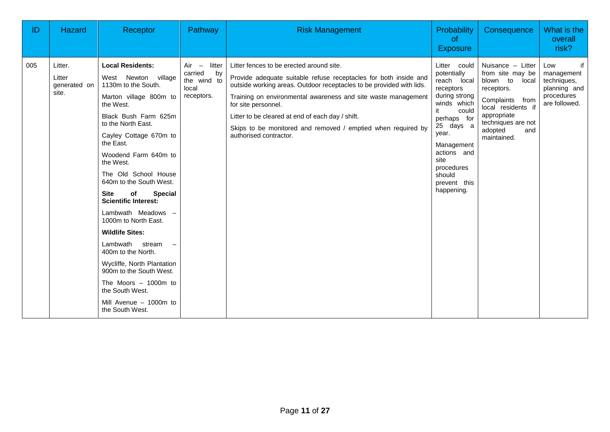| ID  | Receptor<br><b>Hazard</b>                                                                                                                                                                                                                                                                                                                                                                                                                                                                                                                                                                                                                                                                     | Pathway                                                                  | <b>Risk Management</b>                                                                                                                                                                                                                                                                                                                                                                                                     | Probability<br><sub>of</sub>                                                                                                                                                                                                                        | Consequence                                                                                                                                                                             | What is the<br>overall                                                                         |
|-----|-----------------------------------------------------------------------------------------------------------------------------------------------------------------------------------------------------------------------------------------------------------------------------------------------------------------------------------------------------------------------------------------------------------------------------------------------------------------------------------------------------------------------------------------------------------------------------------------------------------------------------------------------------------------------------------------------|--------------------------------------------------------------------------|----------------------------------------------------------------------------------------------------------------------------------------------------------------------------------------------------------------------------------------------------------------------------------------------------------------------------------------------------------------------------------------------------------------------------|-----------------------------------------------------------------------------------------------------------------------------------------------------------------------------------------------------------------------------------------------------|-----------------------------------------------------------------------------------------------------------------------------------------------------------------------------------------|------------------------------------------------------------------------------------------------|
| 005 | <b>Local Residents:</b><br>Litter.<br>West Newton village<br>Litter<br>1130m to the South.<br>generated on<br>site.<br>Marton village 800m to<br>the West.<br>Black Bush Farm 625m<br>to the North East.<br>Cayley Cottage 670m to<br>the East.<br>Woodend Farm 640m to<br>the West.<br>The Old School House<br>640m to the South West.<br><b>Site</b><br>of<br><b>Special</b><br><b>Scientific Interest:</b><br>Lambwath Meadows -<br>1000m to North East.<br><b>Wildlife Sites:</b><br>Lambwath<br>stream<br>$\overline{\phantom{a}}$<br>400m to the North.<br>Wycliffe, North Plantation<br>900m to the South West.<br>The Moors $-1000m$ to<br>the South West.<br>Mill Avenue $-1000m$ to | $Air -$<br>litter<br>carried<br>by<br>the wind to<br>local<br>receptors. | Litter fences to be erected around site.<br>Provide adequate suitable refuse receptacles for both inside and<br>outside working areas. Outdoor receptacles to be provided with lids.<br>Training on environmental awareness and site waste management<br>for site personnel.<br>Litter to be cleared at end of each day / shift.<br>Skips to be monitored and removed / emptied when required by<br>authorised contractor. | <b>Exposure</b><br>Litter could<br>potentially<br>reach local<br>receptors<br>during strong<br>winds which<br>could<br>perhaps for<br>25 days a<br>year.<br>Management<br>actions and<br>site<br>procedures<br>should<br>prevent this<br>happening. | Nuisance - Litter<br>from site may be<br>blown to<br>local<br>receptors.<br>Complaints from<br>local residents if<br>appropriate<br>techniques are not<br>adopted<br>and<br>maintained. | risk?<br>if<br>Low<br>management<br>techniques,<br>planning and<br>procedures<br>are followed. |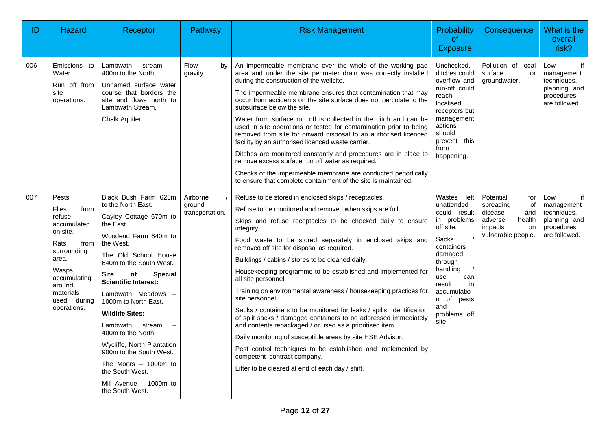| ID  | Hazard                                                                                                                                                                                    | Receptor                                                                                                                                                                                                                                                                                                                                                                                                                                                                                                                                     | Pathway                               | <b>Risk Management</b>                                                                                                                                                                                                                                                                                                                                                                                                                                                                                                                                                                                                                                                                                                                                                                                                                                                                                                                                           | Probability<br>of.<br><b>Exposure</b>                                                                                                                                                                                        | Consequence                                                                                                       | What is the<br>overall<br>risk?                                                       |
|-----|-------------------------------------------------------------------------------------------------------------------------------------------------------------------------------------------|----------------------------------------------------------------------------------------------------------------------------------------------------------------------------------------------------------------------------------------------------------------------------------------------------------------------------------------------------------------------------------------------------------------------------------------------------------------------------------------------------------------------------------------------|---------------------------------------|------------------------------------------------------------------------------------------------------------------------------------------------------------------------------------------------------------------------------------------------------------------------------------------------------------------------------------------------------------------------------------------------------------------------------------------------------------------------------------------------------------------------------------------------------------------------------------------------------------------------------------------------------------------------------------------------------------------------------------------------------------------------------------------------------------------------------------------------------------------------------------------------------------------------------------------------------------------|------------------------------------------------------------------------------------------------------------------------------------------------------------------------------------------------------------------------------|-------------------------------------------------------------------------------------------------------------------|---------------------------------------------------------------------------------------|
| 006 | Emissions to<br>Water.<br>Run off from<br>site<br>operations.                                                                                                                             | Lambwath<br>stream<br>$\overline{\phantom{a}}$<br>400m to the North.<br>Unnamed surface water<br>course that borders the<br>site and flows north to<br>Lambwath Stream.<br>Chalk Aquifer.                                                                                                                                                                                                                                                                                                                                                    | <b>Flow</b><br>by<br>gravity.         | An impermeable membrane over the whole of the working pad<br>area and under the site perimeter drain was correctly installed<br>during the construction of the wellsite.<br>The impermeable membrane ensures that contamination that may<br>occur from accidents on the site surface does not percolate to the<br>subsurface below the site.<br>Water from surface run off is collected in the ditch and can be<br>used in site operations or tested for contamination prior to being<br>removed from site for onward disposal to an authorised licenced<br>facility by an authorised licenced waste carrier.<br>Ditches are monitored constantly and procedures are in place to<br>remove excess surface run off water as required.<br>Checks of the impermeable membrane are conducted periodically<br>to ensure that complete containment of the site is maintained.                                                                                          | Unchecked,<br>ditches could<br>overflow and<br>run-off could<br>reach<br>localised<br>receptors but<br>management<br>actions<br>should<br>prevent this<br>from<br>happening.                                                 | Pollution of local<br>surface<br>or<br>groundwater.                                                               | if<br>Low<br>management<br>techniques,<br>planning and<br>procedures<br>are followed. |
| 007 | Pests.<br><b>Flies</b><br>from<br>refuse<br>accumulated<br>on site.<br>Rats<br>from<br>surrounding<br>area.<br>Wasps<br>accumulating<br>around<br>materials<br>used during<br>operations. | Black Bush Farm 625m<br>to the North East.<br>Cayley Cottage 670m to<br>the East.<br>Woodend Farm 640m to<br>the West.<br>The Old School House<br>640m to the South West.<br>Site<br>of<br><b>Special</b><br><b>Scientific Interest:</b><br>Lambwath Meadows -<br>1000m to North East.<br><b>Wildlife Sites:</b><br>Lambwath<br>stream<br>$\overline{\phantom{0}}$<br>400m to the North.<br>Wycliffe, North Plantation<br>900m to the South West.<br>The Moors $-1000m$ to<br>the South West.<br>Mill Avenue $-$ 1000m to<br>the South West. | Airborne<br>ground<br>transportation. | Refuse to be stored in enclosed skips / receptacles.<br>Refuse to be monitored and removed when skips are full.<br>Skips and refuse receptacles to be checked daily to ensure<br>integrity.<br>Food waste to be stored separately in enclosed skips and<br>removed off site for disposal as required.<br>Buildings / cabins / stores to be cleaned daily.<br>Housekeeping programme to be established and implemented for<br>all site personnel.<br>Training on environmental awareness / housekeeping practices for<br>site personnel.<br>Sacks / containers to be monitored for leaks / spills. Identification<br>of split sacks / damaged containers to be addressed immediately<br>and contents repackaged / or used as a prioritised item.<br>Daily monitoring of susceptible areas by site HSE Advisor.<br>Pest control techniques to be established and implemented by<br>competent contract company.<br>Litter to be cleared at end of each day / shift. | Wastes<br>left<br>unattended<br>could result<br>in problems<br>off site.<br>Sacks<br>containers<br>damaged<br>through<br>handling<br>use<br>can<br>result<br>in<br>accumulatio<br>n of pests<br>and<br>problems off<br>site. | Potential<br>for<br>spreading<br>0f<br>disease<br>and<br>adverse<br>health<br>impacts<br>on<br>vulnerable people. | if<br>Low<br>management<br>techniques,<br>planning and<br>procedures<br>are followed. |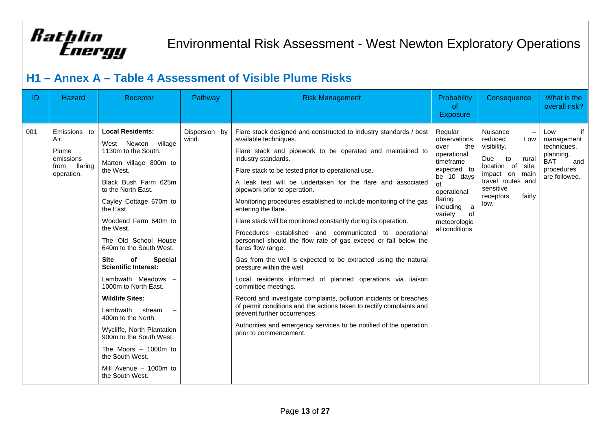# Rathlin<br>Energy

# Environmental Risk Assessment - West Newton Exploratory Operations

## **H1 – Annex A – Table 4 Assessment of Visible Plume Risks**

| ID  | Hazard                                                                      | Receptor                                                                                                                                                                                                                                                                                                                                                                                                                                                                                                                                                                                                                                                                    | Pathway                | <b>Risk Management</b>                                                                                                                                                                                                                                                                                                                                                                                                                                                                                                                                                                                                                                                                                                                                                                                                                                                                                                                                                                                                                                                                                                  | Probability<br><sub>of</sub><br><b>Exposure</b>                                                                                                                                                      | Consequence                                                                                                                                                                | What is the<br>overall risk?                                                                      |
|-----|-----------------------------------------------------------------------------|-----------------------------------------------------------------------------------------------------------------------------------------------------------------------------------------------------------------------------------------------------------------------------------------------------------------------------------------------------------------------------------------------------------------------------------------------------------------------------------------------------------------------------------------------------------------------------------------------------------------------------------------------------------------------------|------------------------|-------------------------------------------------------------------------------------------------------------------------------------------------------------------------------------------------------------------------------------------------------------------------------------------------------------------------------------------------------------------------------------------------------------------------------------------------------------------------------------------------------------------------------------------------------------------------------------------------------------------------------------------------------------------------------------------------------------------------------------------------------------------------------------------------------------------------------------------------------------------------------------------------------------------------------------------------------------------------------------------------------------------------------------------------------------------------------------------------------------------------|------------------------------------------------------------------------------------------------------------------------------------------------------------------------------------------------------|----------------------------------------------------------------------------------------------------------------------------------------------------------------------------|---------------------------------------------------------------------------------------------------|
| 001 | Emissions to<br>Air.<br>Plume<br>emissions<br>flaring<br>from<br>operation. | <b>Local Residents:</b><br>West Newton<br>village<br>1130m to the South.<br>Marton village 800m to<br>the West.<br>Black Bush Farm 625m<br>to the North East.<br>Cayley Cottage 670m to<br>the East.<br>Woodend Farm 640m to<br>the West.<br>The Old School House<br>640m to the South West.<br><b>Site</b><br><b>of</b><br><b>Special</b><br><b>Scientific Interest:</b><br>Lambwath Meadows -<br>1000m to North East.<br><b>Wildlife Sites:</b><br>Lambwath<br>stream<br>$\overline{\phantom{m}}$<br>400m to the North.<br>Wycliffe, North Plantation<br>900m to the South West.<br>The Moors $-1000m$ to<br>the South West.<br>Mill Avenue - 1000m to<br>the South West. | Dispersion by<br>wind. | Flare stack designed and constructed to industry standards / best<br>available techniques.<br>Flare stack and pipework to be operated and maintained to<br>industry standards.<br>Flare stack to be tested prior to operational use.<br>A leak test will be undertaken for the flare and associated<br>pipework prior to operation.<br>Monitoring procedures established to include monitoring of the gas<br>entering the flare.<br>Flare stack will be monitored constantly during its operation.<br>Procedures established and communicated to operational<br>personnel should the flow rate of gas exceed or fall below the<br>flares flow range.<br>Gas from the well is expected to be extracted using the natural<br>pressure within the well.<br>Local residents informed of planned operations via liaison<br>committee meetings.<br>Record and investigate complaints, pollution incidents or breaches<br>of permit conditions and the actions taken to rectify complaints and<br>prevent further occurrences.<br>Authorities and emergency services to be notified of the operation<br>prior to commencement. | Regular<br>observations<br>the<br>over<br>operational<br>timeframe<br>expected to<br>be 10 days<br>of<br>operational<br>flaring<br>including<br>a<br>of<br>variety<br>meteorologic<br>al conditions. | Nuisance<br>reduced<br>Low<br>visibility.<br>Due<br>to<br>rural<br>location of<br>site,<br>impact on main<br>travel routes and<br>sensitive<br>receptors<br>fairly<br>low. | Low<br>management<br>techniques,<br>planning,<br><b>BAT</b><br>and<br>procedures<br>are followed. |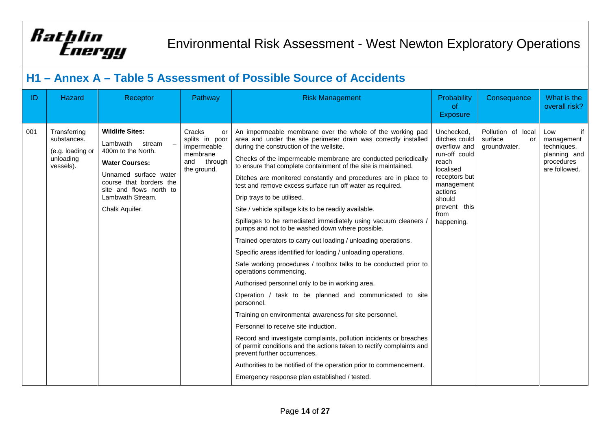# Rathlin Energy

# Environmental Risk Assessment - West Newton Exploratory Operations

#### **H1 – Annex A – Table 5 Assessment of Possible Source of Accidents** ID Hazard Receptor Rathway Risk Management Probability of **Exposure** Consequence What is the overall risk? 001 | Transferring substances. (e.g. loading or unloading vessels). **Wildlife Sites:** Lambwath stream 400m to the North. **Water Courses:** Unnamed surface water course that borders the site and flows north to Lambwath Stream. Chalk Aquifer. Cracks or splits in poor impermeable membrane and through the ground. An impermeable membrane over the whole of the working pad area and under the site perimeter drain was correctly installed during the construction of the wellsite. Checks of the impermeable membrane are conducted periodically to ensure that complete containment of the site is maintained. Ditches are monitored constantly and procedures are in place to test and remove excess surface run off water as required. Drip trays to be utilised. Site / vehicle spillage kits to be readily available. Spillages to be remediated immediately using vacuum cleaners / pumps and not to be washed down where possible. Trained operators to carry out loading / unloading operations. Specific areas identified for loading / unloading operations. Safe working procedures / toolbox talks to be conducted prior to operations commencing. Authorised personnel only to be in working area. Operation / task to be planned and communicated to site personnel. Training on environmental awareness for site personnel. Personnel to receive site induction. Record and investigate complaints, pollution incidents or breaches of permit conditions and the actions taken to rectify complaints and prevent further occurrences. Authorities to be notified of the operation prior to commencement. Unchecked, ditches could overflow and run-off could reach localised receptors but management actions should prevent this from happening. Pollution of local surface or groundwater. Low if management techniques, planning and procedures are followed.

Emergency response plan established / tested.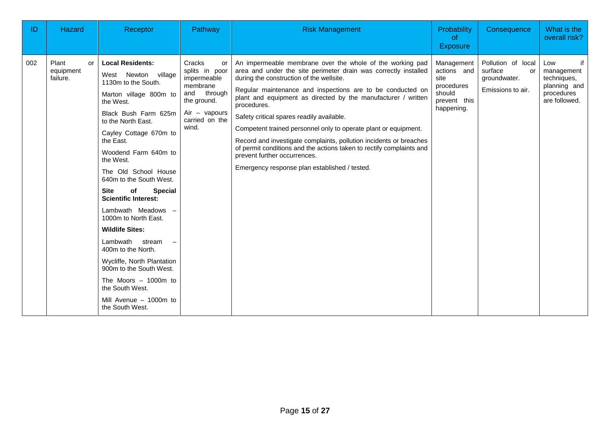| ID  | Hazard                               | Receptor                                                                                                                                                                                                                                                                                                                                                                                                                                                                                                                                                                                                                                                           | Pathway                                                                                                                               | <b>Risk Management</b>                                                                                                                                                                                                                                                                                                                                                                                                                                                                                                                                                                                                                                                | Probability<br>of.<br><b>Exposure</b>                                                   | Consequence                                                              | What is the<br>overall risk?                                                          |
|-----|--------------------------------------|--------------------------------------------------------------------------------------------------------------------------------------------------------------------------------------------------------------------------------------------------------------------------------------------------------------------------------------------------------------------------------------------------------------------------------------------------------------------------------------------------------------------------------------------------------------------------------------------------------------------------------------------------------------------|---------------------------------------------------------------------------------------------------------------------------------------|-----------------------------------------------------------------------------------------------------------------------------------------------------------------------------------------------------------------------------------------------------------------------------------------------------------------------------------------------------------------------------------------------------------------------------------------------------------------------------------------------------------------------------------------------------------------------------------------------------------------------------------------------------------------------|-----------------------------------------------------------------------------------------|--------------------------------------------------------------------------|---------------------------------------------------------------------------------------|
| 002 | Plant<br>or<br>equipment<br>failure. | <b>Local Residents:</b><br>West Newton village<br>1130m to the South.<br>Marton village 800m to<br>the West.<br>Black Bush Farm 625m<br>to the North East.<br>Cayley Cottage 670m to<br>the East.<br>Woodend Farm 640m to<br>the West.<br>The Old School House<br>640m to the South West.<br>of<br><b>Site</b><br><b>Special</b><br><b>Scientific Interest:</b><br>Lambwath Meadows -<br>1000m to North East.<br><b>Wildlife Sites:</b><br>Lambwath<br>stream<br>$\overline{\phantom{m}}$<br>400m to the North.<br>Wycliffe, North Plantation<br>900m to the South West.<br>The Moors $-1000m$ to<br>the South West.<br>Mill Avenue $-1000m$ to<br>the South West. | Cracks<br>or<br>splits in poor<br>impermeable<br>membrane<br>and through<br>the ground.<br>$Air - vapours$<br>carried on the<br>wind. | An impermeable membrane over the whole of the working pad<br>area and under the site perimeter drain was correctly installed<br>during the construction of the wellsite.<br>Regular maintenance and inspections are to be conducted on<br>plant and equipment as directed by the manufacturer / written<br>procedures.<br>Safety critical spares readily available.<br>Competent trained personnel only to operate plant or equipment.<br>Record and investigate complaints, pollution incidents or breaches<br>of permit conditions and the actions taken to rectify complaints and<br>prevent further occurrences.<br>Emergency response plan established / tested. | Management<br>actions and<br>site<br>procedures<br>should<br>prevent this<br>happening. | Pollution of local<br>surface<br>or<br>groundwater.<br>Emissions to air. | if<br>Low<br>management<br>techniques,<br>planning and<br>procedures<br>are followed. |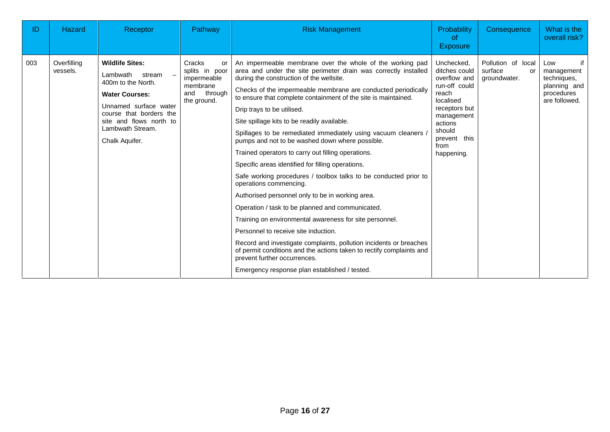| ID  | Hazard                  | Receptor                                                                                                                                                                                                         | <b>Pathway</b>                                                                             | <b>Risk Management</b>                                                                                                                                                                                                                                                                                                                                                                                                                                                                                                                                                                                                                                                                                                                                                                                                                                                                                                                                                                                                                                                                                                                                          | Probability<br>of.<br><b>Exposure</b>                                                                                                                                        | Consequence                                         | What is the<br>overall risk?                                                    |
|-----|-------------------------|------------------------------------------------------------------------------------------------------------------------------------------------------------------------------------------------------------------|--------------------------------------------------------------------------------------------|-----------------------------------------------------------------------------------------------------------------------------------------------------------------------------------------------------------------------------------------------------------------------------------------------------------------------------------------------------------------------------------------------------------------------------------------------------------------------------------------------------------------------------------------------------------------------------------------------------------------------------------------------------------------------------------------------------------------------------------------------------------------------------------------------------------------------------------------------------------------------------------------------------------------------------------------------------------------------------------------------------------------------------------------------------------------------------------------------------------------------------------------------------------------|------------------------------------------------------------------------------------------------------------------------------------------------------------------------------|-----------------------------------------------------|---------------------------------------------------------------------------------|
| 003 | Overfilling<br>vessels. | <b>Wildlife Sites:</b><br>Lambwath<br>stream<br>400m to the North.<br><b>Water Courses:</b><br>Unnamed surface water<br>course that borders the<br>site and flows north to<br>Lambwath Stream.<br>Chalk Aquifer. | Cracks<br>or<br>splits in poor<br>impermeable<br>membrane<br>through<br>and<br>the ground. | An impermeable membrane over the whole of the working pad<br>area and under the site perimeter drain was correctly installed<br>during the construction of the wellsite.<br>Checks of the impermeable membrane are conducted periodically<br>to ensure that complete containment of the site is maintained.<br>Drip trays to be utilised.<br>Site spillage kits to be readily available.<br>Spillages to be remediated immediately using vacuum cleaners,<br>pumps and not to be washed down where possible.<br>Trained operators to carry out filling operations.<br>Specific areas identified for filling operations.<br>Safe working procedures / toolbox talks to be conducted prior to<br>operations commencing.<br>Authorised personnel only to be in working area.<br>Operation / task to be planned and communicated.<br>Training on environmental awareness for site personnel.<br>Personnel to receive site induction.<br>Record and investigate complaints, pollution incidents or breaches<br>of permit conditions and the actions taken to rectify complaints and<br>prevent further occurrences.<br>Emergency response plan established / tested. | Unchecked.<br>ditches could<br>overflow and<br>run-off could<br>reach<br>localised<br>receptors but<br>management<br>actions<br>should<br>prevent this<br>from<br>happening. | Pollution of local<br>surface<br>or<br>groundwater. | Low<br>management<br>techniques,<br>planning and<br>procedures<br>are followed. |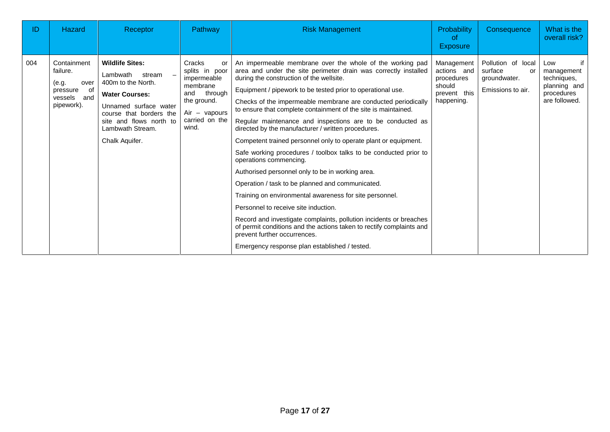| ID  | Hazard                                                                                     | Receptor                                                                                                                                                                                                         | Pathway                                                                                                                                  | <b>Risk Management</b>                                                                                                                                                                                                                                                                                                                                                                                                                                                                                                                                                                                                                                                                                                                                                                                                                                                                                                                                                                                                                                                                                    | <b>Probability</b><br>-of-<br><b>Exposure</b>                                   | Consequence                                                              | What is the<br>overall risk?                                                    |
|-----|--------------------------------------------------------------------------------------------|------------------------------------------------------------------------------------------------------------------------------------------------------------------------------------------------------------------|------------------------------------------------------------------------------------------------------------------------------------------|-----------------------------------------------------------------------------------------------------------------------------------------------------------------------------------------------------------------------------------------------------------------------------------------------------------------------------------------------------------------------------------------------------------------------------------------------------------------------------------------------------------------------------------------------------------------------------------------------------------------------------------------------------------------------------------------------------------------------------------------------------------------------------------------------------------------------------------------------------------------------------------------------------------------------------------------------------------------------------------------------------------------------------------------------------------------------------------------------------------|---------------------------------------------------------------------------------|--------------------------------------------------------------------------|---------------------------------------------------------------------------------|
| 004 | Containment<br>failure.<br>(e.g.<br>over<br>of<br>pressure<br>vessels<br>and<br>pipework). | <b>Wildlife Sites:</b><br>Lambwath<br>stream<br>400m to the North.<br><b>Water Courses:</b><br>Unnamed surface water<br>course that borders the<br>site and flows north to<br>Lambwath Stream.<br>Chalk Aquifer. | Cracks<br>or<br>splits in poor<br>impermeable<br>membrane<br>through<br>and<br>the ground.<br>$Air - vapours$<br>carried on the<br>wind. | An impermeable membrane over the whole of the working pad<br>area and under the site perimeter drain was correctly installed<br>during the construction of the wellsite.<br>Equipment / pipework to be tested prior to operational use.<br>Checks of the impermeable membrane are conducted periodically<br>to ensure that complete containment of the site is maintained.<br>Regular maintenance and inspections are to be conducted as<br>directed by the manufacturer / written procedures.<br>Competent trained personnel only to operate plant or equipment.<br>Safe working procedures / toolbox talks to be conducted prior to<br>operations commencing.<br>Authorised personnel only to be in working area.<br>Operation / task to be planned and communicated.<br>Training on environmental awareness for site personnel.<br>Personnel to receive site induction.<br>Record and investigate complaints, pollution incidents or breaches<br>of permit conditions and the actions taken to rectify complaints and<br>prevent further occurrences.<br>Emergency response plan established / tested. | Management<br>actions and<br>procedures<br>should<br>prevent this<br>happening. | Pollution of local<br>surface<br>or<br>groundwater.<br>Emissions to air. | Low<br>management<br>techniques,<br>planning and<br>procedures<br>are followed. |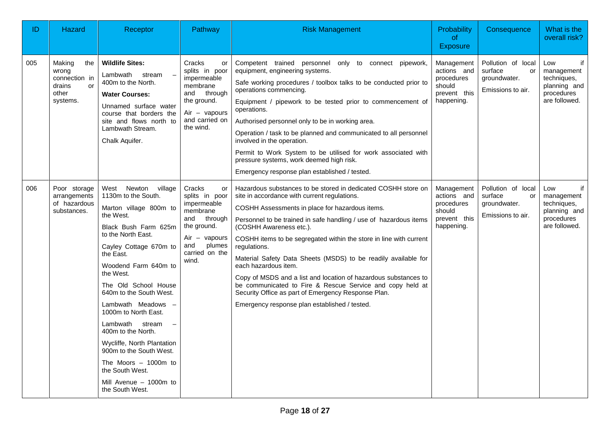| ID  | Hazard                                                                       | Receptor                                                                                                                                                                                                                                                                                                                                                                                                                                                                                                                                   | Pathway                                                                                                                                              | <b>Risk Management</b>                                                                                                                                                                                                                                                                                                                                                                                                                                                                                                                                                                                                                                                                   | Probability<br>of.<br><b>Exposure</b>                                           | Consequence                                                              | What is the<br>overall risk?                                                          |
|-----|------------------------------------------------------------------------------|--------------------------------------------------------------------------------------------------------------------------------------------------------------------------------------------------------------------------------------------------------------------------------------------------------------------------------------------------------------------------------------------------------------------------------------------------------------------------------------------------------------------------------------------|------------------------------------------------------------------------------------------------------------------------------------------------------|------------------------------------------------------------------------------------------------------------------------------------------------------------------------------------------------------------------------------------------------------------------------------------------------------------------------------------------------------------------------------------------------------------------------------------------------------------------------------------------------------------------------------------------------------------------------------------------------------------------------------------------------------------------------------------------|---------------------------------------------------------------------------------|--------------------------------------------------------------------------|---------------------------------------------------------------------------------------|
| 005 | Making<br>the<br>wrong<br>connection in<br>drains<br>or<br>other<br>systems. | <b>Wildlife Sites:</b><br>Lambwath stream<br>400m to the North.<br><b>Water Courses:</b><br>Unnamed surface water<br>course that borders the<br>site and flows north to<br>Lambwath Stream.<br>Chalk Aquifer.                                                                                                                                                                                                                                                                                                                              | Cracks<br>or<br>splits in poor<br>impermeable<br>membrane<br>and through<br>the ground.<br>Air – vapours<br>and carried on<br>the wind.              | Competent trained personnel only to connect pipework,<br>equipment, engineering systems.<br>Safe working procedures / toolbox talks to be conducted prior to<br>operations commencing.<br>Equipment / pipework to be tested prior to commencement of<br>operations.<br>Authorised personnel only to be in working area.<br>Operation / task to be planned and communicated to all personnel<br>involved in the operation.<br>Permit to Work System to be utilised for work associated with<br>pressure systems, work deemed high risk.<br>Emergency response plan established / tested.                                                                                                  | Management<br>actions and<br>procedures<br>should<br>prevent this<br>happening. | Pollution of local<br>surface<br>or<br>groundwater.<br>Emissions to air. | Low<br>if<br>management<br>techniques,<br>planning and<br>procedures<br>are followed. |
| 006 | Poor storage<br>arrangements<br>of hazardous<br>substances.                  | West Newton<br>village<br>1130m to the South.<br>Marton village 800m to<br>the West.<br>Black Bush Farm 625m<br>to the North East.<br>Cayley Cottage 670m to<br>the East.<br>Woodend Farm 640m to<br>the West.<br>The Old School House<br>640m to the South West.<br>Lambwath Meadows -<br>1000m to North East.<br>Lambwath<br>stream<br>$\overline{\phantom{m}}$<br>400m to the North.<br>Wycliffe, North Plantation<br>900m to the South West.<br>The Moors $-1000m$ to<br>the South West.<br>Mill Avenue $-1000m$ to<br>the South West. | Cracks<br>or<br>splits in poor<br>impermeable<br>membrane<br>and through<br>the ground.<br>Air – vapours<br>and<br>plumes<br>carried on the<br>wind. | Hazardous substances to be stored in dedicated COSHH store on<br>site in accordance with current regulations.<br>COSHH Assessments in place for hazardous items.<br>Personnel to be trained in safe handling / use of hazardous items<br>(COSHH Awareness etc.).<br>COSHH items to be segregated within the store in line with current<br>regulations.<br>Material Safety Data Sheets (MSDS) to be readily available for<br>each hazardous item.<br>Copy of MSDS and a list and location of hazardous substances to<br>be communicated to Fire & Rescue Service and copy held at<br>Security Office as part of Emergency Response Plan.<br>Emergency response plan established / tested. | Management<br>actions and<br>procedures<br>should<br>prevent this<br>happening. | Pollution of local<br>surface<br>or<br>groundwater.<br>Emissions to air. | if<br>Low<br>management<br>techniques,<br>planning and<br>procedures<br>are followed. |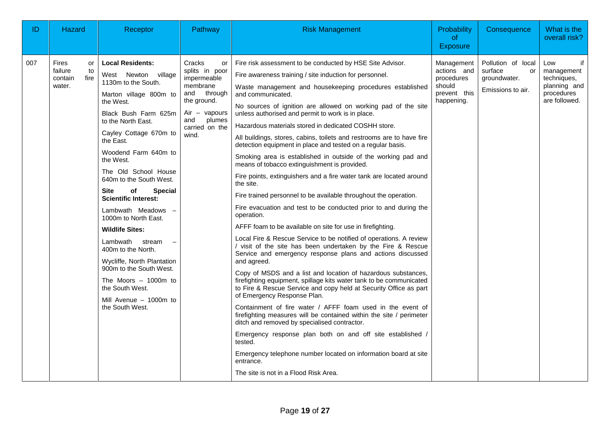| ID  | Hazard                                                           | Receptor                                                                                                                                                                                                                                                                                                                                                                                                                                                                                                                                                                                                                              | <b>Pathway</b>                                                                                                                                         | <b>Risk Management</b>                                                                                                                                                                                                                                                                                                                                                                                                                                                                                                                                                                                                                                                                                                                                                                                                                                                                                                                                                                                                                                                                                                                                                                                                                                                                                                                                                                                                                                                                                                                                                                                                                                                                                                                                                                                     | Probability<br><b>of</b><br><b>Exposure</b>                                     | Consequence                                                              | What is the<br>overall risk?                                                          |
|-----|------------------------------------------------------------------|---------------------------------------------------------------------------------------------------------------------------------------------------------------------------------------------------------------------------------------------------------------------------------------------------------------------------------------------------------------------------------------------------------------------------------------------------------------------------------------------------------------------------------------------------------------------------------------------------------------------------------------|--------------------------------------------------------------------------------------------------------------------------------------------------------|------------------------------------------------------------------------------------------------------------------------------------------------------------------------------------------------------------------------------------------------------------------------------------------------------------------------------------------------------------------------------------------------------------------------------------------------------------------------------------------------------------------------------------------------------------------------------------------------------------------------------------------------------------------------------------------------------------------------------------------------------------------------------------------------------------------------------------------------------------------------------------------------------------------------------------------------------------------------------------------------------------------------------------------------------------------------------------------------------------------------------------------------------------------------------------------------------------------------------------------------------------------------------------------------------------------------------------------------------------------------------------------------------------------------------------------------------------------------------------------------------------------------------------------------------------------------------------------------------------------------------------------------------------------------------------------------------------------------------------------------------------------------------------------------------------|---------------------------------------------------------------------------------|--------------------------------------------------------------------------|---------------------------------------------------------------------------------------|
| 007 | <b>Fires</b><br>or<br>failure<br>to<br>fire<br>contain<br>water. | <b>Local Residents:</b><br>West Newton village<br>1130m to the South.<br>Marton village 800m to<br>the West.<br>Black Bush Farm 625m<br>to the North East.<br>Cayley Cottage 670m to<br>the East.<br>Woodend Farm 640m to<br>the West.<br>The Old School House<br>640m to the South West.<br><b>Site</b><br>of<br><b>Special</b><br><b>Scientific Interest:</b><br>Lambwath Meadows -<br>1000m to North East.<br><b>Wildlife Sites:</b><br>Lambwath stream -<br>400m to the North.<br>Wycliffe, North Plantation<br>900m to the South West.<br>The Moors $-1000m$ to<br>the South West.<br>Mill Avenue $-1000m$ to<br>the South West. | Cracks<br>or<br>splits in poor<br>impermeable<br>membrane<br>and through<br>the ground.<br>$Air - vapours$<br>and<br>plumes<br>carried on the<br>wind. | Fire risk assessment to be conducted by HSE Site Advisor.<br>Fire awareness training / site induction for personnel.<br>Waste management and housekeeping procedures established<br>and communicated.<br>No sources of ignition are allowed on working pad of the site<br>unless authorised and permit to work is in place.<br>Hazardous materials stored in dedicated COSHH store.<br>All buildings, stores, cabins, toilets and restrooms are to have fire<br>detection equipment in place and tested on a regular basis.<br>Smoking area is established in outside of the working pad and<br>means of tobacco extinguishment is provided.<br>Fire points, extinguishers and a fire water tank are located around<br>the site.<br>Fire trained personnel to be available throughout the operation.<br>Fire evacuation and test to be conducted prior to and during the<br>operation.<br>AFFF foam to be available on site for use in firefighting.<br>Local Fire & Rescue Service to be notified of operations. A review<br>/ visit of the site has been undertaken by the Fire & Rescue<br>Service and emergency response plans and actions discussed<br>and agreed.<br>Copy of MSDS and a list and location of hazardous substances,<br>firefighting equipment, spillage kits water tank to be communicated<br>to Fire & Rescue Service and copy held at Security Office as part<br>of Emergency Response Plan.<br>Containment of fire water / AFFF foam used in the event of<br>firefighting measures will be contained within the site / perimeter<br>ditch and removed by specialised contractor.<br>Emergency response plan both on and off site established /<br>tested.<br>Emergency telephone number located on information board at site<br>entrance.<br>The site is not in a Flood Risk Area. | Management<br>actions and<br>procedures<br>should<br>prevent this<br>happening. | Pollution of local<br>surface<br>or<br>groundwater.<br>Emissions to air. | if<br>Low<br>management<br>techniques,<br>planning and<br>procedures<br>are followed. |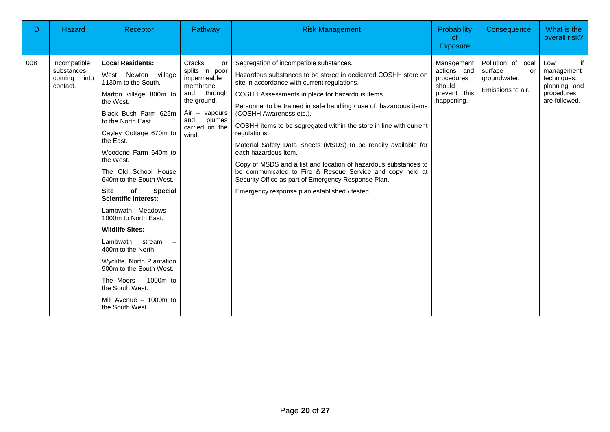| ID  | Hazard                                                   | Receptor                                                                                                                                                                                                                                                                                                                                                                                                                                                                                                                                                                                                                                                           | Pathway                                                                                                                                                   | <b>Risk Management</b>                                                                                                                                                                                                                                                                                                                                                                                                                                                                                                                                                                                                                                                                                                              | Probability<br><sub>of</sub><br><b>Exposure</b>                                 | Consequence                                                              | What is the<br>overall risk?                                                          |
|-----|----------------------------------------------------------|--------------------------------------------------------------------------------------------------------------------------------------------------------------------------------------------------------------------------------------------------------------------------------------------------------------------------------------------------------------------------------------------------------------------------------------------------------------------------------------------------------------------------------------------------------------------------------------------------------------------------------------------------------------------|-----------------------------------------------------------------------------------------------------------------------------------------------------------|-------------------------------------------------------------------------------------------------------------------------------------------------------------------------------------------------------------------------------------------------------------------------------------------------------------------------------------------------------------------------------------------------------------------------------------------------------------------------------------------------------------------------------------------------------------------------------------------------------------------------------------------------------------------------------------------------------------------------------------|---------------------------------------------------------------------------------|--------------------------------------------------------------------------|---------------------------------------------------------------------------------------|
| 008 | Incompatible<br>substances<br>coming<br>into<br>contact. | <b>Local Residents:</b><br>West Newton village<br>1130m to the South.<br>Marton village 800m to<br>the West.<br>Black Bush Farm 625m<br>to the North East.<br>Cayley Cottage 670m to<br>the East.<br>Woodend Farm 640m to<br>the West.<br>The Old School House<br>640m to the South West.<br><b>Site</b><br>of<br><b>Special</b><br><b>Scientific Interest:</b><br>Lambwath Meadows -<br>1000m to North East.<br><b>Wildlife Sites:</b><br>Lambwath<br>stream<br>$\overline{\phantom{m}}$<br>400m to the North.<br>Wycliffe, North Plantation<br>900m to the South West.<br>The Moors $-1000m$ to<br>the South West.<br>Mill Avenue $-1000m$ to<br>the South West. | Cracks<br>or<br>splits in poor<br>impermeable<br>membrane<br>and<br>through<br>the ground.<br>$Air - vapours$<br>and<br>plumes<br>carried on the<br>wind. | Segregation of incompatible substances.<br>Hazardous substances to be stored in dedicated COSHH store on<br>site in accordance with current regulations.<br>COSHH Assessments in place for hazardous items.<br>Personnel to be trained in safe handling / use of hazardous items<br>(COSHH Awareness etc.).<br>COSHH items to be segregated within the store in line with current<br>regulations.<br>Material Safety Data Sheets (MSDS) to be readily available for<br>each hazardous item.<br>Copy of MSDS and a list and location of hazardous substances to<br>be communicated to Fire & Rescue Service and copy held at<br>Security Office as part of Emergency Response Plan.<br>Emergency response plan established / tested. | Management<br>actions and<br>procedures<br>should<br>prevent this<br>happening. | Pollution of local<br>surface<br>or<br>groundwater.<br>Emissions to air. | if<br>Low<br>management<br>techniques,<br>planning and<br>procedures<br>are followed. |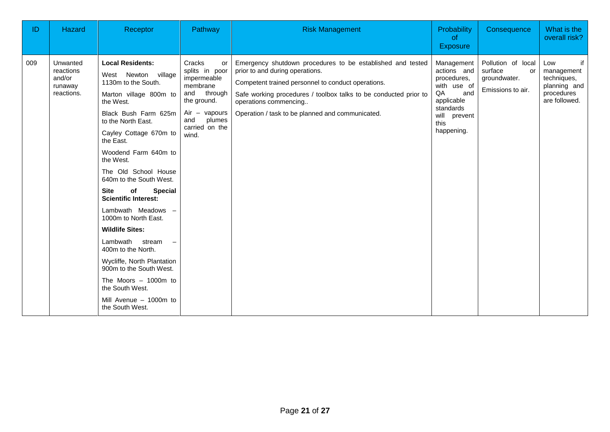| ID  | Hazard                                                   | Receptor                                                                                                                                                                                                                                                                                                                                                                                                                                                                                                                                                                                                                                                            | <b>Pathway</b>                                                                                                                                            | <b>Risk Management</b>                                                                                                                                                                                                                                                                               | Probability<br><sub>of</sub><br><b>Exposure</b>                                                                                       | Consequence                                                              | What is the<br>overall risk?                                                          |
|-----|----------------------------------------------------------|---------------------------------------------------------------------------------------------------------------------------------------------------------------------------------------------------------------------------------------------------------------------------------------------------------------------------------------------------------------------------------------------------------------------------------------------------------------------------------------------------------------------------------------------------------------------------------------------------------------------------------------------------------------------|-----------------------------------------------------------------------------------------------------------------------------------------------------------|------------------------------------------------------------------------------------------------------------------------------------------------------------------------------------------------------------------------------------------------------------------------------------------------------|---------------------------------------------------------------------------------------------------------------------------------------|--------------------------------------------------------------------------|---------------------------------------------------------------------------------------|
| 009 | Unwanted<br>reactions<br>and/or<br>runaway<br>reactions. | <b>Local Residents:</b><br>West Newton village<br>1130m to the South.<br>Marton village 800m to<br>the West.<br>Black Bush Farm 625m<br>to the North East.<br>Cayley Cottage 670m to<br>the East.<br>Woodend Farm 640m to<br>the West.<br>The Old School House<br>640m to the South West.<br><b>Site</b><br>of<br><b>Special</b><br><b>Scientific Interest:</b><br>Lambwath Meadows -<br>1000m to North East.<br><b>Wildlife Sites:</b><br>Lambwath<br>stream<br>$\overline{\phantom{m}}$<br>400m to the North.<br>Wycliffe, North Plantation<br>900m to the South West.<br>The Moors $-1000m$ to<br>the South West.<br>Mill Avenue $-$ 1000m to<br>the South West. | Cracks<br>or<br>splits in poor<br>impermeable<br>membrane<br>and<br>through<br>the ground.<br>$Air - vapours$<br>plumes<br>and<br>carried on the<br>wind. | Emergency shutdown procedures to be established and tested<br>prior to and during operations.<br>Competent trained personnel to conduct operations.<br>Safe working procedures / toolbox talks to be conducted prior to<br>operations commencing<br>Operation / task to be planned and communicated. | Management<br>actions and<br>procedures,<br>with use of<br>QA<br>and<br>applicable<br>standards<br>will prevent<br>this<br>happening. | Pollution of local<br>surface<br>or<br>groundwater.<br>Emissions to air. | if<br>Low<br>management<br>techniques,<br>planning and<br>procedures<br>are followed. |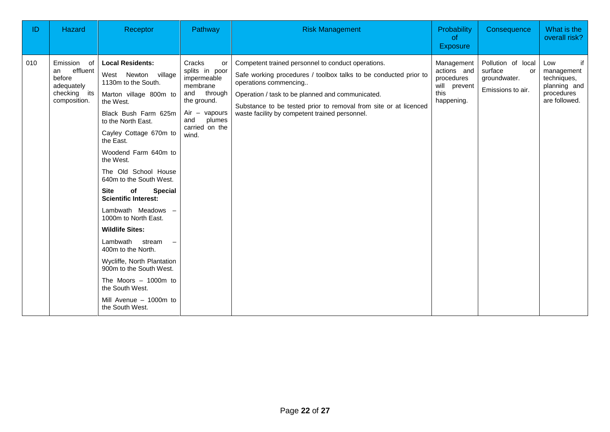| ID  | Hazard                                                                                   | Receptor                                                                                                                                                                                                                                                                                                                                                                                                                                                                                                                                                                                                                                                           | Pathway                                                                                                                                                   | <b>Risk Management</b>                                                                                                                                                                                                                                                                                                    | Probability<br><sub>of</sub><br><b>Exposure</b>                               | Consequence                                                              | What is the<br>overall risk?                                                          |
|-----|------------------------------------------------------------------------------------------|--------------------------------------------------------------------------------------------------------------------------------------------------------------------------------------------------------------------------------------------------------------------------------------------------------------------------------------------------------------------------------------------------------------------------------------------------------------------------------------------------------------------------------------------------------------------------------------------------------------------------------------------------------------------|-----------------------------------------------------------------------------------------------------------------------------------------------------------|---------------------------------------------------------------------------------------------------------------------------------------------------------------------------------------------------------------------------------------------------------------------------------------------------------------------------|-------------------------------------------------------------------------------|--------------------------------------------------------------------------|---------------------------------------------------------------------------------------|
| 010 | Emission<br>of<br>effluent<br>an<br>before<br>adequately<br>checking its<br>composition. | <b>Local Residents:</b><br>West Newton village<br>1130m to the South.<br>Marton village 800m to<br>the West.<br>Black Bush Farm 625m<br>to the North East.<br>Cayley Cottage 670m to<br>the East.<br>Woodend Farm 640m to<br>the West.<br>The Old School House<br>640m to the South West.<br><b>Site</b><br>of<br><b>Special</b><br><b>Scientific Interest:</b><br>Lambwath Meadows -<br>1000m to North East.<br><b>Wildlife Sites:</b><br>Lambwath<br>stream<br>$\overline{\phantom{m}}$<br>400m to the North.<br>Wycliffe, North Plantation<br>900m to the South West.<br>The Moors $-1000m$ to<br>the South West.<br>Mill Avenue $-1000m$ to<br>the South West. | Cracks<br>or<br>splits in poor<br>impermeable<br>membrane<br>and<br>through<br>the ground.<br>$Air - vapours$<br>plumes<br>and<br>carried on the<br>wind. | Competent trained personnel to conduct operations.<br>Safe working procedures / toolbox talks to be conducted prior to<br>operations commencing<br>Operation / task to be planned and communicated.<br>Substance to be tested prior to removal from site or at licenced<br>waste facility by competent trained personnel. | Management<br>actions and<br>procedures<br>will prevent<br>this<br>happening. | Pollution of local<br>surface<br>or<br>groundwater.<br>Emissions to air. | if<br>Low<br>management<br>techniques,<br>planning and<br>procedures<br>are followed. |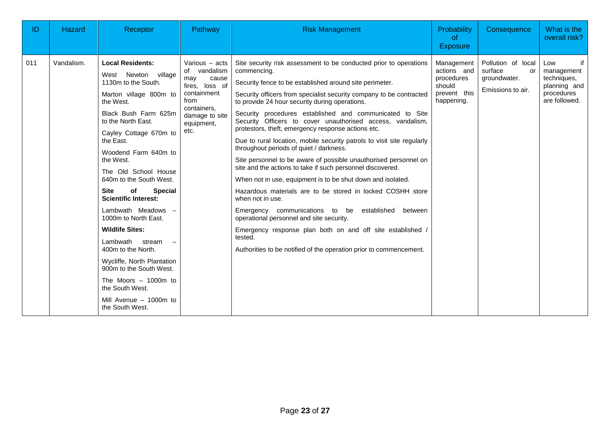| ID  | Hazard     | Receptor                                                                                                                                                                                                                                                                                                                                                                                                                                                                                                                                                                                                                                                          | Pathway                                                                                                                                        | <b>Risk Management</b>                                                                                                                                                                                                                                                                                                                                                                                                                                                                                                                                                                                                                                                                                                                                                                                                                                                                                                                                                                                                                                                                                        | Probability<br><sub>of</sub><br><b>Exposure</b>                                 | Consequence                                                              | What is the<br>overall risk?                                                          |
|-----|------------|-------------------------------------------------------------------------------------------------------------------------------------------------------------------------------------------------------------------------------------------------------------------------------------------------------------------------------------------------------------------------------------------------------------------------------------------------------------------------------------------------------------------------------------------------------------------------------------------------------------------------------------------------------------------|------------------------------------------------------------------------------------------------------------------------------------------------|---------------------------------------------------------------------------------------------------------------------------------------------------------------------------------------------------------------------------------------------------------------------------------------------------------------------------------------------------------------------------------------------------------------------------------------------------------------------------------------------------------------------------------------------------------------------------------------------------------------------------------------------------------------------------------------------------------------------------------------------------------------------------------------------------------------------------------------------------------------------------------------------------------------------------------------------------------------------------------------------------------------------------------------------------------------------------------------------------------------|---------------------------------------------------------------------------------|--------------------------------------------------------------------------|---------------------------------------------------------------------------------------|
| 011 | Vandalism. | <b>Local Residents:</b><br>West Newton village<br>1130m to the South.<br>Marton village 800m to<br>the West.<br>Black Bush Farm 625m<br>to the North East.<br>Cayley Cottage 670m to<br>the East.<br>Woodend Farm 640m to<br>the West.<br>The Old School House<br>640m to the South West.<br><b>Site</b><br>of<br><b>Special</b><br><b>Scientific Interest:</b><br>Lambwath Meadows -<br>1000m to North East.<br><b>Wildlife Sites:</b><br>Lambwath<br>stream<br>$\overline{\phantom{m}}$<br>400m to the North.<br>Wycliffe, North Plantation<br>900m to the South West.<br>The Moors $-1000m$ to<br>the South West.<br>Mill Avenue - 1000m to<br>the South West. | Various - acts<br>of vandalism<br>cause<br>may<br>fires, loss of<br>containment<br>from<br>containers,<br>damage to site<br>equipment,<br>etc. | Site security risk assessment to be conducted prior to operations<br>commencing.<br>Security fence to be established around site perimeter.<br>Security officers from specialist security company to be contracted<br>to provide 24 hour security during operations.<br>Security procedures established and communicated to Site<br>Security Officers to cover unauthorised access, vandalism,<br>protestors, theft, emergency response actions etc.<br>Due to rural location, mobile security patrols to visit site regularly<br>throughout periods of quiet / darkness.<br>Site personnel to be aware of possible unauthorised personnel on<br>site and the actions to take if such personnel discovered.<br>When not in use, equipment is to be shut down and isolated.<br>Hazardous materials are to be stored in locked COSHH store<br>when not in use.<br>Emergency communications to be established between<br>operational personnel and site security.<br>Emergency response plan both on and off site established /<br>tested.<br>Authorities to be notified of the operation prior to commencement. | Management<br>actions and<br>procedures<br>should<br>prevent this<br>happening. | Pollution of local<br>surface<br>or<br>groundwater.<br>Emissions to air. | if<br>Low<br>management<br>techniques,<br>planning and<br>procedures<br>are followed. |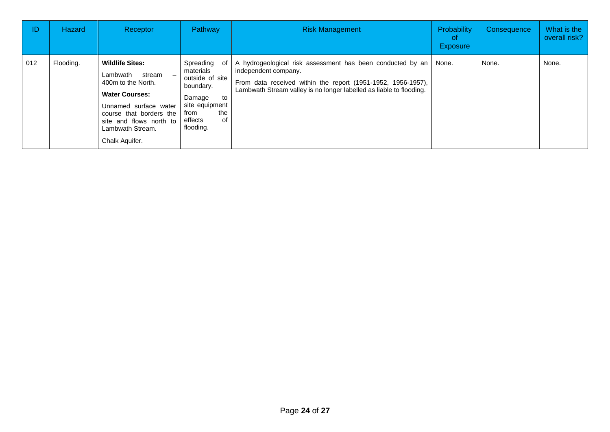| ID  | Hazard    | Receptor                                                                                                                                                                                                         | <b>Pathway</b>                                                                                                                              | <b>Risk Management</b>                                                                                                                                                                                                    | Probability<br>-of<br><b>Exposure</b> | Consequence | What is the<br>overall risk? |
|-----|-----------|------------------------------------------------------------------------------------------------------------------------------------------------------------------------------------------------------------------|---------------------------------------------------------------------------------------------------------------------------------------------|---------------------------------------------------------------------------------------------------------------------------------------------------------------------------------------------------------------------------|---------------------------------------|-------------|------------------------------|
| 012 | Flooding. | <b>Wildlife Sites:</b><br>Lambwath<br>stream<br>400m to the North.<br><b>Water Courses:</b><br>Unnamed surface water<br>course that borders the<br>site and flows north to<br>Lambwath Stream.<br>Chalk Aquifer. | Spreading<br>оf<br>materials<br>outside of site<br>boundary.<br>Damage<br>to<br>site equipment<br>the<br>from<br>0f<br>effects<br>flooding. | A hydrogeological risk assessment has been conducted by an<br>independent company.<br>From data received within the report (1951-1952, 1956-1957),<br>Lambwath Stream valley is no longer labelled as liable to flooding. | None.                                 | None.       | None.                        |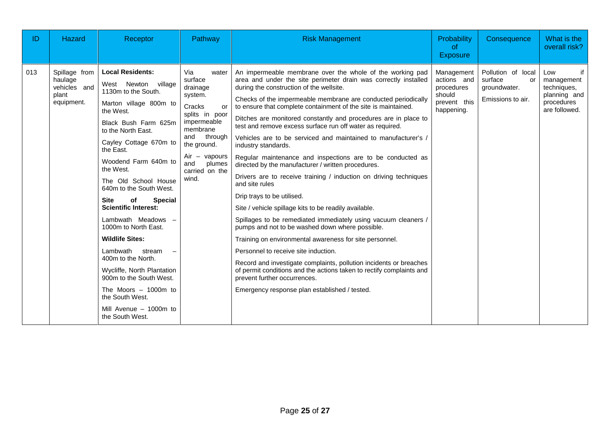| ID  | Hazard                                                          | Receptor                                                                                                                                                                                                                                                                                                                                                                                                                                                                                                                                                                                                                                                                 | <b>Pathway</b>                                                                                                                                                                                              | <b>Risk Management</b>                                                                                                                                                                                                                                                                                                                                                                                                                                                                                                                                                                                                                                                                                                                                                                                                                                                                                                                                                                                                                                                                                                                                                                                                                                                                        | Probability<br><sub>of</sub><br><b>Exposure</b>                                 | Consequence                                                              | What is the<br>overall risk?                                                          |
|-----|-----------------------------------------------------------------|--------------------------------------------------------------------------------------------------------------------------------------------------------------------------------------------------------------------------------------------------------------------------------------------------------------------------------------------------------------------------------------------------------------------------------------------------------------------------------------------------------------------------------------------------------------------------------------------------------------------------------------------------------------------------|-------------------------------------------------------------------------------------------------------------------------------------------------------------------------------------------------------------|-----------------------------------------------------------------------------------------------------------------------------------------------------------------------------------------------------------------------------------------------------------------------------------------------------------------------------------------------------------------------------------------------------------------------------------------------------------------------------------------------------------------------------------------------------------------------------------------------------------------------------------------------------------------------------------------------------------------------------------------------------------------------------------------------------------------------------------------------------------------------------------------------------------------------------------------------------------------------------------------------------------------------------------------------------------------------------------------------------------------------------------------------------------------------------------------------------------------------------------------------------------------------------------------------|---------------------------------------------------------------------------------|--------------------------------------------------------------------------|---------------------------------------------------------------------------------------|
| 013 | Spillage from<br>haulage<br>vehicles and<br>plant<br>equipment. | <b>Local Residents:</b><br>West Newton village<br>1130m to the South.<br>Marton village 800m to<br>the West.<br>Black Bush Farm 625m<br>to the North East.<br>Cayley Cottage 670m to<br>the East.<br>Woodend Farm 640m to<br>the West.<br>The Old School House<br>640m to the South West.<br><b>Site</b><br><b>of</b><br><b>Special</b><br><b>Scientific Interest:</b><br>Lambwath Meadows -<br>1000m to North East.<br><b>Wildlife Sites:</b><br>Lambwath<br>stream<br>$\overline{\phantom{m}}$<br>400m to the North.<br>Wycliffe, North Plantation<br>900m to the South West.<br>The Moors $-1000m$ to<br>the South West.<br>Mill Avenue - 1000m to<br>the South West. | Via<br>water<br>surface<br>drainage<br>system.<br>Cracks<br>or<br>splits in poor<br>impermeable<br>membrane<br>and<br>through<br>the ground.<br>$Air - vapours$<br>and<br>plumes<br>carried on the<br>wind. | An impermeable membrane over the whole of the working pad<br>area and under the site perimeter drain was correctly installed<br>during the construction of the wellsite.<br>Checks of the impermeable membrane are conducted periodically<br>to ensure that complete containment of the site is maintained.<br>Ditches are monitored constantly and procedures are in place to<br>test and remove excess surface run off water as required.<br>Vehicles are to be serviced and maintained to manufacturer's /<br>industry standards.<br>Regular maintenance and inspections are to be conducted as<br>directed by the manufacturer / written procedures.<br>Drivers are to receive training / induction on driving techniques<br>and site rules<br>Drip trays to be utilised.<br>Site / vehicle spillage kits to be readily available.<br>Spillages to be remediated immediately using vacuum cleaners /<br>pumps and not to be washed down where possible.<br>Training on environmental awareness for site personnel.<br>Personnel to receive site induction.<br>Record and investigate complaints, pollution incidents or breaches<br>of permit conditions and the actions taken to rectify complaints and<br>prevent further occurrences.<br>Emergency response plan established / tested. | Management<br>actions and<br>procedures<br>should<br>prevent this<br>happening. | Pollution of local<br>surface<br>or<br>groundwater.<br>Emissions to air. | if<br>Low<br>management<br>techniques,<br>planning and<br>procedures<br>are followed. |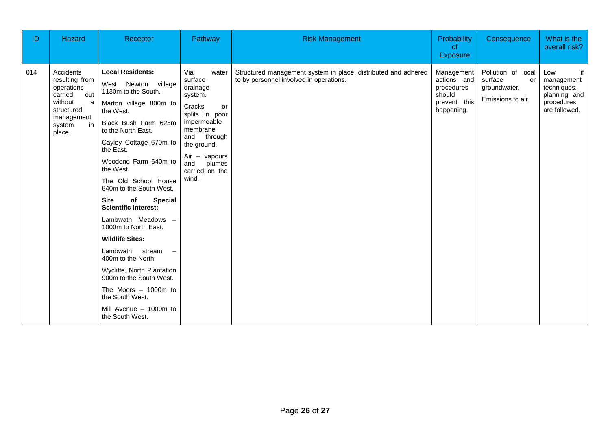| ID  | Hazard                                                                                                                            | Receptor                                                                                                                                                                                                                                                                                                                                                                                                                                                                                                                                                                                                                                                            | Pathway                                                                                                                                                                                                     | <b>Risk Management</b>                                                                                    | Probability<br><b>of</b><br><b>Exposure</b>                                     | Consequence                                                              | What is the<br>overall risk?                                                          |
|-----|-----------------------------------------------------------------------------------------------------------------------------------|---------------------------------------------------------------------------------------------------------------------------------------------------------------------------------------------------------------------------------------------------------------------------------------------------------------------------------------------------------------------------------------------------------------------------------------------------------------------------------------------------------------------------------------------------------------------------------------------------------------------------------------------------------------------|-------------------------------------------------------------------------------------------------------------------------------------------------------------------------------------------------------------|-----------------------------------------------------------------------------------------------------------|---------------------------------------------------------------------------------|--------------------------------------------------------------------------|---------------------------------------------------------------------------------------|
| 014 | Accidents<br>resulting from<br>operations<br>carried<br>out<br>without<br>a<br>structured<br>management<br>in<br>system<br>place. | <b>Local Residents:</b><br>West Newton village<br>1130m to the South.<br>Marton village 800m to<br>the West.<br>Black Bush Farm 625m<br>to the North East.<br>Cayley Cottage 670m to<br>the East.<br>Woodend Farm 640m to<br>the West.<br>The Old School House<br>640m to the South West.<br><b>Site</b><br>of<br><b>Special</b><br><b>Scientific Interest:</b><br>Lambwath Meadows -<br>1000m to North East.<br><b>Wildlife Sites:</b><br>Lambwath<br>stream<br>$\overline{\phantom{m}}$<br>400m to the North.<br>Wycliffe, North Plantation<br>900m to the South West.<br>The Moors $-1000m$ to<br>the South West.<br>Mill Avenue $-$ 1000m to<br>the South West. | Via<br>water<br>surface<br>drainage<br>system.<br>Cracks<br>or<br>splits in poor<br>impermeable<br>membrane<br>through<br>and<br>the ground.<br>$Air - vapours$<br>plumes<br>and<br>carried on the<br>wind. | Structured management system in place, distributed and adhered<br>to by personnel involved in operations. | Management<br>actions and<br>procedures<br>should<br>prevent this<br>happening. | Pollution of local<br>surface<br>or<br>groundwater.<br>Emissions to air. | if<br>Low<br>management<br>techniques,<br>planning and<br>procedures<br>are followed. |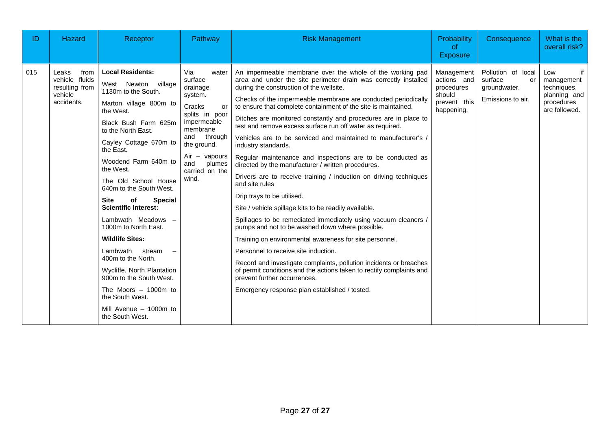| ID  | Hazard                                                                     | Receptor                                                                                                                                                                                                                                                                                                                                                                                                                                                                                                                                                                                                                                | Pathway                                                                                                                                                                                                   | <b>Risk Management</b>                                                                                                                                                                                                                                                                                                                                                                                                                                                                                                                                                                                                                                                                                                                                                                                                                                                                                                                                                                                                                                                                                                                                                                                                                                                                        | Probability<br><sub>of</sub>                                                    | Consequence                                                              | What is the<br>overall risk?                                                          |
|-----|----------------------------------------------------------------------------|-----------------------------------------------------------------------------------------------------------------------------------------------------------------------------------------------------------------------------------------------------------------------------------------------------------------------------------------------------------------------------------------------------------------------------------------------------------------------------------------------------------------------------------------------------------------------------------------------------------------------------------------|-----------------------------------------------------------------------------------------------------------------------------------------------------------------------------------------------------------|-----------------------------------------------------------------------------------------------------------------------------------------------------------------------------------------------------------------------------------------------------------------------------------------------------------------------------------------------------------------------------------------------------------------------------------------------------------------------------------------------------------------------------------------------------------------------------------------------------------------------------------------------------------------------------------------------------------------------------------------------------------------------------------------------------------------------------------------------------------------------------------------------------------------------------------------------------------------------------------------------------------------------------------------------------------------------------------------------------------------------------------------------------------------------------------------------------------------------------------------------------------------------------------------------|---------------------------------------------------------------------------------|--------------------------------------------------------------------------|---------------------------------------------------------------------------------------|
|     |                                                                            |                                                                                                                                                                                                                                                                                                                                                                                                                                                                                                                                                                                                                                         |                                                                                                                                                                                                           |                                                                                                                                                                                                                                                                                                                                                                                                                                                                                                                                                                                                                                                                                                                                                                                                                                                                                                                                                                                                                                                                                                                                                                                                                                                                                               | <b>Exposure</b>                                                                 |                                                                          |                                                                                       |
| 015 | Leaks<br>from<br>vehicle fluids<br>resulting from<br>vehicle<br>accidents. | <b>Local Residents:</b><br>West Newton village<br>1130m to the South.<br>Marton village 800m to<br>the West.<br>Black Bush Farm 625m<br>to the North East.<br>Cayley Cottage 670m to<br>the East.<br>Woodend Farm 640m to<br>the West.<br>The Old School House<br>640m to the South West.<br><b>Site</b><br><b>Special</b><br>of<br><b>Scientific Interest:</b><br>Lambwath Meadows -<br>1000m to North East.<br><b>Wildlife Sites:</b><br>Lambwath<br>stream<br>400m to the North.<br>Wycliffe, North Plantation<br>900m to the South West.<br>The Moors $-1000m$ to<br>the South West.<br>Mill Avenue $-$ 1000m to<br>the South West. | Via<br>water<br>surface<br>drainage<br>system.<br>Cracks<br>or<br>splits in poor<br>impermeable<br>membrane<br>and<br>through<br>the ground.<br>Air - vapours<br>and<br>plumes<br>carried on the<br>wind. | An impermeable membrane over the whole of the working pad<br>area and under the site perimeter drain was correctly installed<br>during the construction of the wellsite.<br>Checks of the impermeable membrane are conducted periodically<br>to ensure that complete containment of the site is maintained.<br>Ditches are monitored constantly and procedures are in place to<br>test and remove excess surface run off water as required.<br>Vehicles are to be serviced and maintained to manufacturer's /<br>industry standards.<br>Regular maintenance and inspections are to be conducted as<br>directed by the manufacturer / written procedures.<br>Drivers are to receive training / induction on driving techniques<br>and site rules<br>Drip trays to be utilised.<br>Site / vehicle spillage kits to be readily available.<br>Spillages to be remediated immediately using vacuum cleaners /<br>pumps and not to be washed down where possible.<br>Training on environmental awareness for site personnel.<br>Personnel to receive site induction.<br>Record and investigate complaints, pollution incidents or breaches<br>of permit conditions and the actions taken to rectify complaints and<br>prevent further occurrences.<br>Emergency response plan established / tested. | Management<br>actions and<br>procedures<br>should<br>prevent this<br>happening. | Pollution of local<br>surface<br>or<br>groundwater.<br>Emissions to air. | if<br>Low<br>management<br>techniques,<br>planning and<br>procedures<br>are followed. |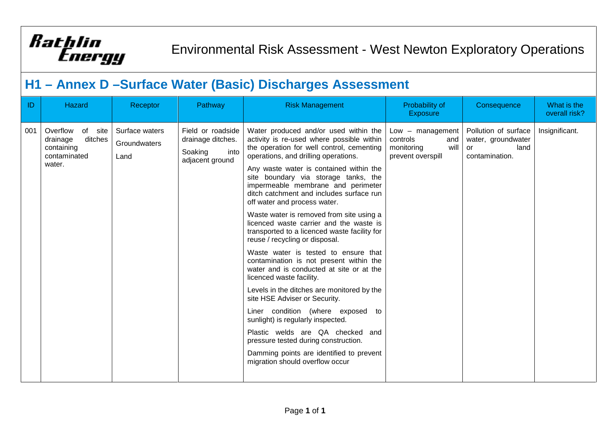## Rathlin<br>Energy Environmental Risk Assessment - West Newton Exploratory Operations

## **H1 – Annex D –Surface Water (Basic) Discharges Assessment**

| ID  | <b>Hazard</b>                                                                      | Receptor                               | Pathway                                                                      | <b>Risk Management</b>                                                                                                                                                                                                                                                                                                                                                                                                                                                                                                                                                                                                                                                                                                                                                                                                                                                                                                                                                                                                               | Probability of<br><b>Exposure</b>                                                | Consequence                                                                | What is the<br>overall risk? |
|-----|------------------------------------------------------------------------------------|----------------------------------------|------------------------------------------------------------------------------|--------------------------------------------------------------------------------------------------------------------------------------------------------------------------------------------------------------------------------------------------------------------------------------------------------------------------------------------------------------------------------------------------------------------------------------------------------------------------------------------------------------------------------------------------------------------------------------------------------------------------------------------------------------------------------------------------------------------------------------------------------------------------------------------------------------------------------------------------------------------------------------------------------------------------------------------------------------------------------------------------------------------------------------|----------------------------------------------------------------------------------|----------------------------------------------------------------------------|------------------------------|
| 001 | Overflow<br>of site<br>ditches<br>drainage<br>containing<br>contaminated<br>water. | Surface waters<br>Groundwaters<br>Land | Field or roadside<br>drainage ditches.<br>Soaking<br>into<br>adjacent ground | Water produced and/or used within the<br>activity is re-used where possible within<br>the operation for well control, cementing<br>operations, and drilling operations.<br>Any waste water is contained within the<br>site boundary via storage tanks, the<br>impermeable membrane and perimeter<br>ditch catchment and includes surface run<br>off water and process water.<br>Waste water is removed from site using a<br>licenced waste carrier and the waste is<br>transported to a licenced waste facility for<br>reuse / recycling or disposal.<br>Waste water is tested to ensure that<br>contamination is not present within the<br>water and is conducted at site or at the<br>licenced waste facility.<br>Levels in the ditches are monitored by the<br>site HSE Adviser or Security.<br>Liner condition (where exposed to<br>sunlight) is regularly inspected.<br>Plastic welds are QA checked and<br>pressure tested during construction.<br>Damming points are identified to prevent<br>migration should overflow occur | $Low - management$<br>controls<br>and<br>will<br>monitoring<br>prevent overspill | Pollution of surface<br>water, groundwater<br>land<br>or<br>contamination. | Insignificant.               |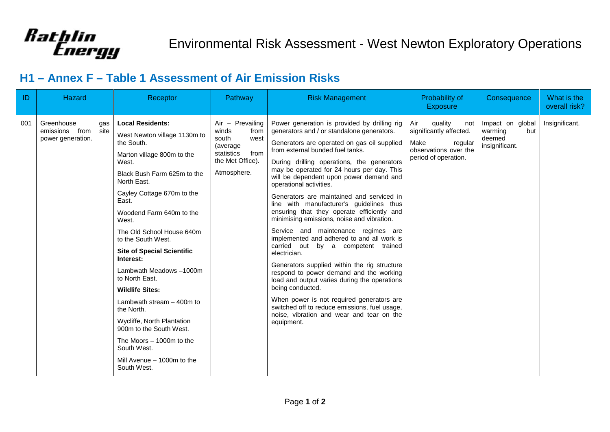## Rathlin<br>Energy

## Environmental Risk Assessment - West Newton Exploratory Operations

#### **H1 – Annex F – Table 1 Assessment of Air Emission Risks**

| ID  | Hazard                                            |             | Receptor                                                                                                                                                                                                                                                                                                                                                                                                                                                                                                                                                                                                           | Pathway                                                                                                                   | <b>Risk Management</b>                                                                                                                                                                                                                                                                                                                                                                                                                                                                                                                                                                                                                                                                                                                                                                                                                                                                                                                                                                                  | Probability of<br><b>Exposure</b>                                                                                    | Consequence                                                    | What is the<br>overall risk? |
|-----|---------------------------------------------------|-------------|--------------------------------------------------------------------------------------------------------------------------------------------------------------------------------------------------------------------------------------------------------------------------------------------------------------------------------------------------------------------------------------------------------------------------------------------------------------------------------------------------------------------------------------------------------------------------------------------------------------------|---------------------------------------------------------------------------------------------------------------------------|---------------------------------------------------------------------------------------------------------------------------------------------------------------------------------------------------------------------------------------------------------------------------------------------------------------------------------------------------------------------------------------------------------------------------------------------------------------------------------------------------------------------------------------------------------------------------------------------------------------------------------------------------------------------------------------------------------------------------------------------------------------------------------------------------------------------------------------------------------------------------------------------------------------------------------------------------------------------------------------------------------|----------------------------------------------------------------------------------------------------------------------|----------------------------------------------------------------|------------------------------|
| 001 | Greenhouse<br>emissions from<br>power generation. | gas<br>site | <b>Local Residents:</b><br>West Newton village 1130m to<br>the South.<br>Marton village 800m to the<br>West.<br>Black Bush Farm 625m to the<br>North East.<br>Cayley Cottage 670m to the<br>East.<br>Woodend Farm 640m to the<br>West.<br>The Old School House 640m<br>to the South West.<br><b>Site of Special Scientific</b><br>Interest:<br>Lambwath Meadows -1000m<br>to North East.<br><b>Wildlife Sites:</b><br>Lambwath stream $-$ 400m to<br>the North.<br>Wycliffe, North Plantation<br>900m to the South West.<br>The Moors $-1000m$ to the<br>South West.<br>Mill Avenue $-1000m$ to the<br>South West. | $Air - Prevailing$<br>winds<br>from<br>south<br>west<br>(average<br>from<br>statistics<br>the Met Office).<br>Atmosphere. | Power generation is provided by drilling rig<br>generators and / or standalone generators.<br>Generators are operated on gas oil supplied<br>from external bunded fuel tanks.<br>During drilling operations, the generators<br>may be operated for 24 hours per day. This<br>will be dependent upon power demand and<br>operational activities.<br>Generators are maintained and serviced in<br>line with manufacturer's guidelines thus<br>ensuring that they operate efficiently and<br>minimising emissions, noise and vibration.<br>Service and maintenance regimes are<br>implemented and adhered to and all work is<br>carried out by a competent trained<br>electrician.<br>Generators supplied within the rig structure<br>respond to power demand and the working<br>load and output varies during the operations<br>being conducted.<br>When power is not required generators are<br>switched off to reduce emissions, fuel usage,<br>noise, vibration and wear and tear on the<br>equipment. | quality<br>Air<br>not<br>significantly affected.<br>Make<br>regular<br>observations over the<br>period of operation. | Impact on global<br>warming<br>but<br>deemed<br>insignificant. | Insignificant.               |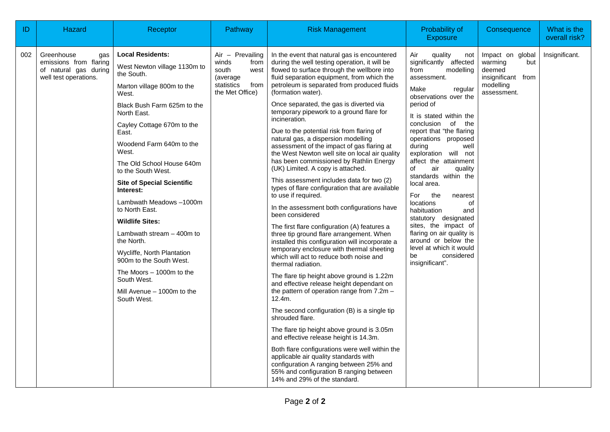| ID  | Hazard                                                                                        | Receptor                                                                                                                                                                                                                                                                                                                                                                                                                                                                                                                                                                                                          | Pathway                                                                                                 | <b>Risk Management</b>                                                                                                                                                                                                                                                                                                                                                                                                                                                                                                                                                                                                                                                                                                                                                                                                                                                                                                                                                                                                                                                                                                                                                                                                                                                                                                                                                                                                                                                                                                                                                                                                          | Probability of<br><b>Exposure</b>                                                                                                                                                                                                                                                                                                                                                                                                                                                                                                                                                                                                | Consequence                                                                                    | What is the<br>overall risk? |
|-----|-----------------------------------------------------------------------------------------------|-------------------------------------------------------------------------------------------------------------------------------------------------------------------------------------------------------------------------------------------------------------------------------------------------------------------------------------------------------------------------------------------------------------------------------------------------------------------------------------------------------------------------------------------------------------------------------------------------------------------|---------------------------------------------------------------------------------------------------------|---------------------------------------------------------------------------------------------------------------------------------------------------------------------------------------------------------------------------------------------------------------------------------------------------------------------------------------------------------------------------------------------------------------------------------------------------------------------------------------------------------------------------------------------------------------------------------------------------------------------------------------------------------------------------------------------------------------------------------------------------------------------------------------------------------------------------------------------------------------------------------------------------------------------------------------------------------------------------------------------------------------------------------------------------------------------------------------------------------------------------------------------------------------------------------------------------------------------------------------------------------------------------------------------------------------------------------------------------------------------------------------------------------------------------------------------------------------------------------------------------------------------------------------------------------------------------------------------------------------------------------|----------------------------------------------------------------------------------------------------------------------------------------------------------------------------------------------------------------------------------------------------------------------------------------------------------------------------------------------------------------------------------------------------------------------------------------------------------------------------------------------------------------------------------------------------------------------------------------------------------------------------------|------------------------------------------------------------------------------------------------|------------------------------|
| 002 | Greenhouse<br>gas<br>emissions from flaring<br>of natural gas during<br>well test operations. | <b>Local Residents:</b><br>West Newton village 1130m to<br>the South.<br>Marton village 800m to the<br>West.<br>Black Bush Farm 625m to the<br>North East.<br>Cayley Cottage 670m to the<br>East.<br>Woodend Farm 640m to the<br>West.<br>The Old School House 640m<br>to the South West.<br><b>Site of Special Scientific</b><br>Interest:<br>Lambwath Meadows -1000m<br>to North East.<br><b>Wildlife Sites:</b><br>Lambwath stream $-$ 400m to<br>the North.<br>Wycliffe, North Plantation<br>900m to the South West.<br>The Moors - 1000m to the<br>South West.<br>Mill Avenue $-1000m$ to the<br>South West. | Air - Prevailing<br>winds<br>from<br>south<br>west<br>(average<br>statistics<br>from<br>the Met Office) | In the event that natural gas is encountered<br>during the well testing operation, it will be<br>flowed to surface through the wellbore into<br>fluid separation equipment, from which the<br>petroleum is separated from produced fluids<br>(formation water).<br>Once separated, the gas is diverted via<br>temporary pipework to a ground flare for<br>incineration.<br>Due to the potential risk from flaring of<br>natural gas, a dispersion modelling<br>assessment of the impact of gas flaring at<br>the West Newton well site on local air quality<br>has been commissioned by Rathlin Energy<br>(UK) Limited. A copy is attached.<br>This assessment includes data for two (2)<br>types of flare configuration that are available<br>to use if required.<br>In the assessment both configurations have<br>been considered<br>The first flare configuration (A) features a<br>three tip ground flare arrangement. When<br>installed this configuration will incorporate a<br>temporary enclosure with thermal sheeting<br>which will act to reduce both noise and<br>thermal radiation.<br>The flare tip height above ground is 1.22m<br>and effective release height dependant on<br>the pattern of operation range from 7.2m -<br>12.4m.<br>The second configuration (B) is a single tip<br>shrouded flare.<br>The flare tip height above ground is 3.05m<br>and effective release height is 14.3m.<br>Both flare configurations were well within the<br>applicable air quality standards with<br>configuration A ranging between 25% and<br>55% and configuration B ranging between<br>14% and 29% of the standard. | Air<br>quality<br>not<br>significantly affected<br>from<br>modelling<br>assessment.<br>Make<br>regular<br>observations over the<br>period of<br>It is stated within the<br>of the<br>conclusion<br>report that "the flaring<br>operations proposed<br>during<br>well<br>exploration will not<br>affect the attainment<br>of<br>air<br>quality<br>standards within the<br>local area.<br>For the<br>nearest<br><b>locations</b><br>of<br>habituation<br>and<br>statutory designated<br>sites, the impact of<br>flaring on air quality is<br>around or below the<br>level at which it would<br>be<br>considered<br>insignificant". | Impact on global<br>warming<br>but<br>deemed<br>insignificant from<br>modelling<br>assessment. | Insignificant.               |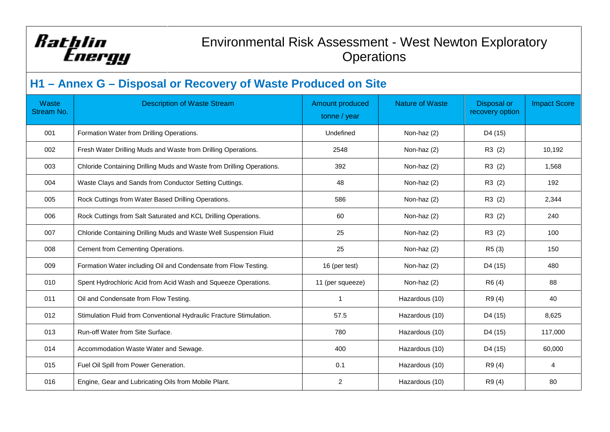

## Environmental Risk Assessment - West Newton Exploratory **Operations**

## **H1 – Annex G – Disposal or Recovery of Waste Produced on Site**

| <b>Waste</b><br>Stream No. | <b>Description of Waste Stream</b>                                    | <b>Amount produced</b><br>tonne / year | <b>Nature of Waste</b> | <b>Disposal or</b><br>recovery option | <b>Impact Score</b> |
|----------------------------|-----------------------------------------------------------------------|----------------------------------------|------------------------|---------------------------------------|---------------------|
| 001                        | Formation Water from Drilling Operations.                             | Undefined                              | Non-haz (2)            | D4 (15)                               |                     |
| 002                        | Fresh Water Drilling Muds and Waste from Drilling Operations.         | 2548                                   | Non-haz (2)            | R3 (2)                                | 10,192              |
| 003                        | Chloride Containing Drilling Muds and Waste from Drilling Operations. | 392                                    | Non-haz (2)            | R3 (2)                                | 1,568               |
| 004                        | Waste Clays and Sands from Conductor Setting Cuttings.                | 48                                     | Non-haz (2)            | R3 (2)                                | 192                 |
| 005                        | Rock Cuttings from Water Based Drilling Operations.                   | 586                                    | Non-haz (2)            | R3 (2)                                | 2,344               |
| 006                        | Rock Cuttings from Salt Saturated and KCL Drilling Operations.        | 60                                     | Non-haz (2)            | R3 (2)                                | 240                 |
| 007                        | Chloride Containing Drilling Muds and Waste Well Suspension Fluid     | 25                                     | Non-haz (2)            | R3 (2)                                | 100                 |
| 008                        | Cement from Cementing Operations.                                     | 25                                     | Non-haz (2)            | R5(3)                                 | 150                 |
| 009                        | Formation Water including Oil and Condensate from Flow Testing.       | 16 (per test)                          | Non-haz (2)            | D <sub>4</sub> (15)                   | 480                 |
| 010                        | Spent Hydrochloric Acid from Acid Wash and Squeeze Operations.        | 11 (per squeeze)                       | Non-haz (2)            | R6(4)                                 | 88                  |
| 011                        | Oil and Condensate from Flow Testing.                                 | -1                                     | Hazardous (10)         | R9(4)                                 | 40                  |
| 012                        | Stimulation Fluid from Conventional Hydraulic Fracture Stimulation.   | 57.5                                   | Hazardous (10)         | D4 (15)                               | 8,625               |
| 013                        | Run-off Water from Site Surface.                                      | 780                                    | Hazardous (10)         | D <sub>4</sub> (15)                   | 117,000             |
| 014                        | Accommodation Waste Water and Sewage.                                 | 400                                    | Hazardous (10)         | D4 (15)                               | 60,000              |
| 015                        | Fuel Oil Spill from Power Generation.                                 | 0.1                                    | Hazardous (10)         | R9(4)                                 | 4                   |
| 016                        | Engine, Gear and Lubricating Oils from Mobile Plant.                  | $\overline{c}$                         | Hazardous (10)         | R9(4)                                 | 80                  |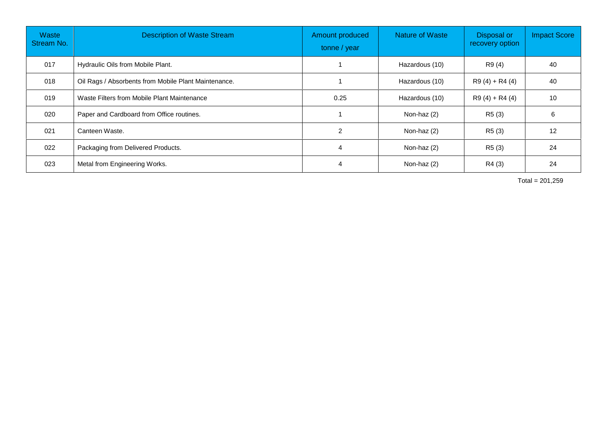| Waste<br>Stream No. | <b>Description of Waste Stream</b>                   | Amount produced<br>tonne / year | Nature of Waste | Disposal or<br>recovery option | <b>Impact Score</b> |
|---------------------|------------------------------------------------------|---------------------------------|-----------------|--------------------------------|---------------------|
| 017                 | Hydraulic Oils from Mobile Plant.                    |                                 | Hazardous (10)  | R9(4)                          | 40                  |
| 018                 | Oil Rags / Absorbents from Mobile Plant Maintenance. |                                 | Hazardous (10)  | $R9(4) + R4(4)$                | 40                  |
| 019                 | Waste Filters from Mobile Plant Maintenance          | 0.25                            | Hazardous (10)  | $R9(4) + R4(4)$                | 10                  |
| 020                 | Paper and Cardboard from Office routines.            |                                 | Non-haz (2)     | R <sub>5</sub> (3)             | 6                   |
| 021                 | Canteen Waste.                                       | 2                               | Non-haz (2)     | R <sub>5</sub> (3)             | 12                  |
| 022                 | Packaging from Delivered Products.                   | 4                               | Non-haz (2)     | R5(3)                          | 24                  |
| 023                 | Metal from Engineering Works.                        | 4                               | Non-haz (2)     | R4 (3)                         | 24                  |

Total = 201,259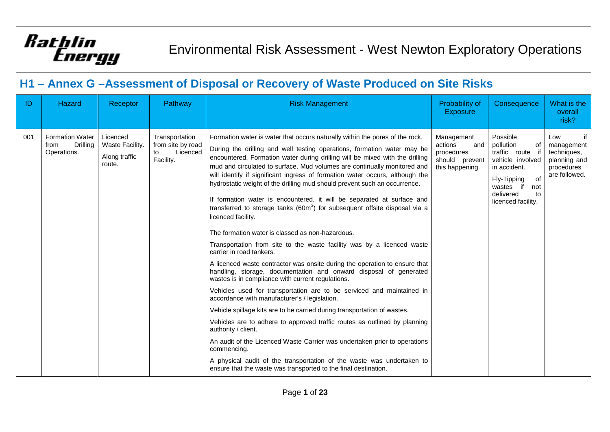## Environmental Risk Assessment - West Newton Exploratory Operations

## **H1 – Annex G –Assessment of Disposal or Recovery of Waste Produced on Site Risks**

Rathlin<br>Energy

| ID  | <b>Hazard</b>                                             | Receptor                                               | Pathway                                                            | <b>Risk Management</b>                                                                                                                                                                                                                                                                                                                                                                                                                                                                                                                                                                                                                                                                                                                                                                                                                                                                                                                                                                                                                                                                                                                                                                                                                                                                                                                                                                                                                                                                                                                                                              | Probability of<br><b>Exposure</b>                                               | Consequence                                                                                                                                                                  | What is the<br>overall<br>risk?                                                 |
|-----|-----------------------------------------------------------|--------------------------------------------------------|--------------------------------------------------------------------|-------------------------------------------------------------------------------------------------------------------------------------------------------------------------------------------------------------------------------------------------------------------------------------------------------------------------------------------------------------------------------------------------------------------------------------------------------------------------------------------------------------------------------------------------------------------------------------------------------------------------------------------------------------------------------------------------------------------------------------------------------------------------------------------------------------------------------------------------------------------------------------------------------------------------------------------------------------------------------------------------------------------------------------------------------------------------------------------------------------------------------------------------------------------------------------------------------------------------------------------------------------------------------------------------------------------------------------------------------------------------------------------------------------------------------------------------------------------------------------------------------------------------------------------------------------------------------------|---------------------------------------------------------------------------------|------------------------------------------------------------------------------------------------------------------------------------------------------------------------------|---------------------------------------------------------------------------------|
| 001 | <b>Formation Water</b><br>Drilling<br>from<br>Operations. | Licenced<br>Waste Facility.<br>Along traffic<br>route. | Transportation<br>from site by road<br>Licenced<br>to<br>Facility. | Formation water is water that occurs naturally within the pores of the rock.<br>During the drilling and well testing operations, formation water may be<br>encountered. Formation water during drilling will be mixed with the drilling<br>mud and circulated to surface. Mud volumes are continually monitored and<br>will identify if significant ingress of formation water occurs, although the<br>hydrostatic weight of the drilling mud should prevent such an occurrence.<br>If formation water is encountered, it will be separated at surface and<br>transferred to storage tanks $(60m3)$ for subsequent offsite disposal via a<br>licenced facility.<br>The formation water is classed as non-hazardous.<br>Transportation from site to the waste facility was by a licenced waste<br>carrier in road tankers.<br>A licenced waste contractor was onsite during the operation to ensure that<br>handling, storage, documentation and onward disposal of generated<br>wastes is in compliance with current regulations.<br>Vehicles used for transportation are to be serviced and maintained in<br>accordance with manufacturer's / legislation.<br>Vehicle spillage kits are to be carried during transportation of wastes.<br>Vehicles are to adhere to approved traffic routes as outlined by planning<br>authority / client.<br>An audit of the Licenced Waste Carrier was undertaken prior to operations<br>commencing.<br>A physical audit of the transportation of the waste was undertaken to<br>ensure that the waste was transported to the final destination. | Management<br>and<br>actions<br>procedures<br>should prevent<br>this happening. | Possible<br>pollution<br>of<br>traffic route if<br>vehicle involved<br>in accident.<br><b>of</b><br>Fly-Tipping<br>wastes if<br>not<br>delivered<br>to<br>licenced facility. | Low<br>management<br>techniques,<br>planning and<br>procedures<br>are followed. |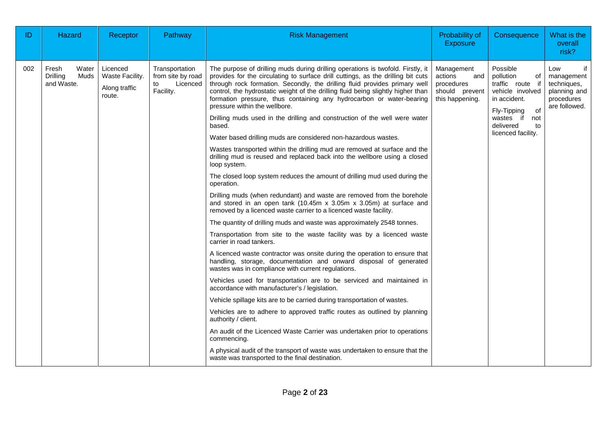| ID  | Hazard                                           | Receptor                                               | Pathway                                                            | <b>Risk Management</b>                                                                                                                                                                                                                                                                                                                                                                                                                                                                                                                                                                                                                                                                                                                                                                                                                                                                                                                                                                                                                                                                                                                                                                                                                                                                                                                                                                                                                                                                                                                                                                                                                                                                                                                                                                                                                                                                                                                                                                                                               | Probability of<br><b>Exposure</b>                                               | Consequence                                                                                                                                                        | What is the<br>overall<br>risk?                                                       |
|-----|--------------------------------------------------|--------------------------------------------------------|--------------------------------------------------------------------|--------------------------------------------------------------------------------------------------------------------------------------------------------------------------------------------------------------------------------------------------------------------------------------------------------------------------------------------------------------------------------------------------------------------------------------------------------------------------------------------------------------------------------------------------------------------------------------------------------------------------------------------------------------------------------------------------------------------------------------------------------------------------------------------------------------------------------------------------------------------------------------------------------------------------------------------------------------------------------------------------------------------------------------------------------------------------------------------------------------------------------------------------------------------------------------------------------------------------------------------------------------------------------------------------------------------------------------------------------------------------------------------------------------------------------------------------------------------------------------------------------------------------------------------------------------------------------------------------------------------------------------------------------------------------------------------------------------------------------------------------------------------------------------------------------------------------------------------------------------------------------------------------------------------------------------------------------------------------------------------------------------------------------------|---------------------------------------------------------------------------------|--------------------------------------------------------------------------------------------------------------------------------------------------------------------|---------------------------------------------------------------------------------------|
| 002 | Water<br>Fresh<br>Muds<br>Drilling<br>and Waste. | Licenced<br>Waste Facility.<br>Along traffic<br>route. | Transportation<br>from site by road<br>Licenced<br>to<br>Facility. | The purpose of drilling muds during drilling operations is twofold. Firstly, it<br>provides for the circulating to surface drill cuttings, as the drilling bit cuts<br>through rock formation. Secondly, the drilling fluid provides primary well<br>control, the hydrostatic weight of the drilling fluid being slightly higher than<br>formation pressure, thus containing any hydrocarbon or water-bearing<br>pressure within the wellbore.<br>Drilling muds used in the drilling and construction of the well were water<br>based.<br>Water based drilling muds are considered non-hazardous wastes.<br>Wastes transported within the drilling mud are removed at surface and the<br>drilling mud is reused and replaced back into the wellbore using a closed<br>loop system.<br>The closed loop system reduces the amount of drilling mud used during the<br>operation.<br>Drilling muds (when redundant) and waste are removed from the borehole<br>and stored in an open tank (10.45m x 3.05m x 3.05m) at surface and<br>removed by a licenced waste carrier to a licenced waste facility.<br>The quantity of drilling muds and waste was approximately 2548 tonnes.<br>Transportation from site to the waste facility was by a licenced waste<br>carrier in road tankers.<br>A licenced waste contractor was onsite during the operation to ensure that<br>handling, storage, documentation and onward disposal of generated<br>wastes was in compliance with current regulations.<br>Vehicles used for transportation are to be serviced and maintained in<br>accordance with manufacturer's / legislation.<br>Vehicle spillage kits are to be carried during transportation of wastes.<br>Vehicles are to adhere to approved traffic routes as outlined by planning<br>authority / client.<br>An audit of the Licenced Waste Carrier was undertaken prior to operations<br>commencing.<br>A physical audit of the transport of waste was undertaken to ensure that the<br>waste was transported to the final destination. | Management<br>actions<br>and<br>procedures<br>should prevent<br>this happening. | Possible<br>pollution<br>of<br>traffic route if<br>vehicle involved<br>in accident.<br>of<br>Fly-Tipping<br>wastes if not<br>delivered<br>to<br>licenced facility. | if<br>Low<br>management<br>techniques,<br>planning and<br>procedures<br>are followed. |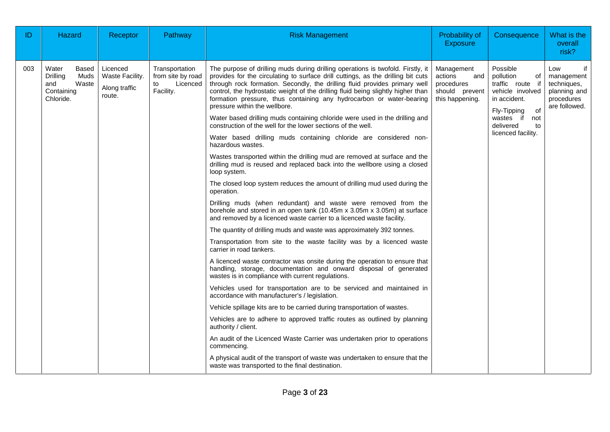| ID  | Hazard                                                                        | Receptor                                               | <b>Pathway</b>                                                     | <b>Risk Management</b>                                                                                                                                                                                                                                                                                                                                                                                                                                                                                                                                                                                                                                                                                                                                                                                                                                                                                                                                                                                                                                                                                                                                                                                                                                                                                                                                                                                                                                                                                                                                                                                                                                                                                                                                                                                                                                                                                                                                                                                                                                                                                             | Probability of<br><b>Exposure</b>                                               | Consequence                                                                                                                                                        | What is the<br>overall<br>risk?                                                       |
|-----|-------------------------------------------------------------------------------|--------------------------------------------------------|--------------------------------------------------------------------|--------------------------------------------------------------------------------------------------------------------------------------------------------------------------------------------------------------------------------------------------------------------------------------------------------------------------------------------------------------------------------------------------------------------------------------------------------------------------------------------------------------------------------------------------------------------------------------------------------------------------------------------------------------------------------------------------------------------------------------------------------------------------------------------------------------------------------------------------------------------------------------------------------------------------------------------------------------------------------------------------------------------------------------------------------------------------------------------------------------------------------------------------------------------------------------------------------------------------------------------------------------------------------------------------------------------------------------------------------------------------------------------------------------------------------------------------------------------------------------------------------------------------------------------------------------------------------------------------------------------------------------------------------------------------------------------------------------------------------------------------------------------------------------------------------------------------------------------------------------------------------------------------------------------------------------------------------------------------------------------------------------------------------------------------------------------------------------------------------------------|---------------------------------------------------------------------------------|--------------------------------------------------------------------------------------------------------------------------------------------------------------------|---------------------------------------------------------------------------------------|
| 003 | Water<br>Based<br>Drilling<br>Muds<br>Waste<br>and<br>Containing<br>Chloride. | Licenced<br>Waste Facility.<br>Along traffic<br>route. | Transportation<br>from site by road<br>Licenced<br>to<br>Facility. | The purpose of drilling muds during drilling operations is twofold. Firstly, it<br>provides for the circulating to surface drill cuttings, as the drilling bit cuts<br>through rock formation. Secondly, the drilling fluid provides primary well<br>control, the hydrostatic weight of the drilling fluid being slightly higher than<br>formation pressure, thus containing any hydrocarbon or water-bearing<br>pressure within the wellbore.<br>Water based drilling muds containing chloride were used in the drilling and<br>construction of the well for the lower sections of the well.<br>Water based drilling muds containing chloride are considered non-<br>hazardous wastes.<br>Wastes transported within the drilling mud are removed at surface and the<br>drilling mud is reused and replaced back into the wellbore using a closed<br>loop system.<br>The closed loop system reduces the amount of drilling mud used during the<br>operation.<br>Drilling muds (when redundant) and waste were removed from the<br>borehole and stored in an open tank (10.45m x 3.05m x 3.05m) at surface<br>and removed by a licenced waste carrier to a licenced waste facility.<br>The quantity of drilling muds and waste was approximately 392 tonnes.<br>Transportation from site to the waste facility was by a licenced waste<br>carrier in road tankers.<br>A licenced waste contractor was onsite during the operation to ensure that<br>handling, storage, documentation and onward disposal of generated<br>wastes is in compliance with current regulations.<br>Vehicles used for transportation are to be serviced and maintained in<br>accordance with manufacturer's / legislation.<br>Vehicle spillage kits are to be carried during transportation of wastes.<br>Vehicles are to adhere to approved traffic routes as outlined by planning<br>authority / client.<br>An audit of the Licenced Waste Carrier was undertaken prior to operations<br>commencing.<br>A physical audit of the transport of waste was undertaken to ensure that the<br>waste was transported to the final destination. | Management<br>actions<br>and<br>procedures<br>should prevent<br>this happening. | Possible<br>pollution<br>of<br>traffic route if<br>vehicle involved<br>in accident.<br>of<br>Fly-Tipping<br>wastes if not<br>delivered<br>to<br>licenced facility. | if<br>Low<br>management<br>techniques,<br>planning and<br>procedures<br>are followed. |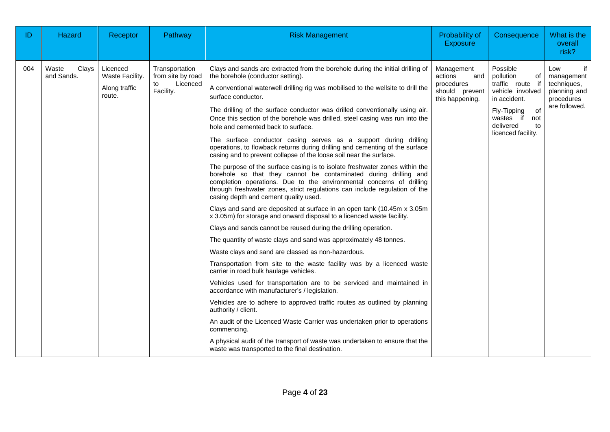| ID  | Hazard                       | Receptor                                               | Pathway                                                            | <b>Risk Management</b>                                                                                                                                                                                                                                                                                                                                                                                                                                                                                                                                                                                                                                                                                                                                                                                                                                                                                                                                                                                                                                                                                                                                                                                                                                                                                                                                                                                                                                                                                                                                                                                                                                                                                                                                                                                                                                                                                                                              | Probability of<br><b>Exposure</b>                                               | Consequence                                                                                                                                                        | What is the<br>overall<br>risk?                                                       |
|-----|------------------------------|--------------------------------------------------------|--------------------------------------------------------------------|-----------------------------------------------------------------------------------------------------------------------------------------------------------------------------------------------------------------------------------------------------------------------------------------------------------------------------------------------------------------------------------------------------------------------------------------------------------------------------------------------------------------------------------------------------------------------------------------------------------------------------------------------------------------------------------------------------------------------------------------------------------------------------------------------------------------------------------------------------------------------------------------------------------------------------------------------------------------------------------------------------------------------------------------------------------------------------------------------------------------------------------------------------------------------------------------------------------------------------------------------------------------------------------------------------------------------------------------------------------------------------------------------------------------------------------------------------------------------------------------------------------------------------------------------------------------------------------------------------------------------------------------------------------------------------------------------------------------------------------------------------------------------------------------------------------------------------------------------------------------------------------------------------------------------------------------------------|---------------------------------------------------------------------------------|--------------------------------------------------------------------------------------------------------------------------------------------------------------------|---------------------------------------------------------------------------------------|
| 004 | Waste<br>Clays<br>and Sands. | Licenced<br>Waste Facility.<br>Along traffic<br>route. | Transportation<br>from site by road<br>Licenced<br>to<br>Facility. | Clays and sands are extracted from the borehole during the initial drilling of<br>the borehole (conductor setting).<br>A conventional waterwell drilling rig was mobilised to the wellsite to drill the<br>surface conductor.<br>The drilling of the surface conductor was drilled conventionally using air.<br>Once this section of the borehole was drilled, steel casing was run into the<br>hole and cemented back to surface.<br>The surface conductor casing serves as a support during drilling<br>operations, to flowback returns during drilling and cementing of the surface<br>casing and to prevent collapse of the loose soil near the surface.<br>The purpose of the surface casing is to isolate freshwater zones within the<br>borehole so that they cannot be contaminated during drilling and<br>completion operations. Due to the environmental concerns of drilling<br>through freshwater zones, strict regulations can include regulation of the<br>casing depth and cement quality used.<br>Clays and sand are deposited at surface in an open tank (10.45m x 3.05m)<br>x 3.05m) for storage and onward disposal to a licenced waste facility.<br>Clays and sands cannot be reused during the drilling operation.<br>The quantity of waste clays and sand was approximately 48 tonnes.<br>Waste clays and sand are classed as non-hazardous.<br>Transportation from site to the waste facility was by a licenced waste<br>carrier in road bulk haulage vehicles.<br>Vehicles used for transportation are to be serviced and maintained in<br>accordance with manufacturer's / legislation.<br>Vehicles are to adhere to approved traffic routes as outlined by planning<br>authority / client.<br>An audit of the Licenced Waste Carrier was undertaken prior to operations<br>commencing.<br>A physical audit of the transport of waste was undertaken to ensure that the<br>waste was transported to the final destination. | Management<br>actions<br>and<br>procedures<br>should prevent<br>this happening. | Possible<br>pollution<br>of<br>traffic route if<br>vehicle involved<br>in accident.<br>of<br>Fly-Tipping<br>wastes if not<br>delivered<br>to<br>licenced facility. | if<br>Low<br>management<br>techniques,<br>planning and<br>procedures<br>are followed. |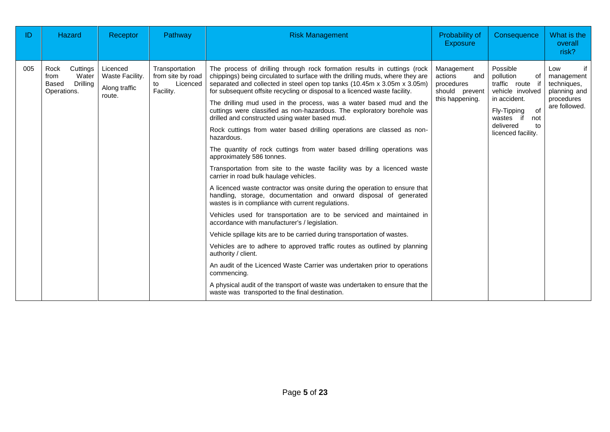| ID  | Hazard                                                                | Receptor                                               | Pathway                                                            | <b>Risk Management</b>                                                                                                                                                                                                                                                                                                                                                                                                                                                                                                                                                                                                                                                                                                                                                                                                                                                                                                                                                                                                                                                                                                                                                                                                                                                                                                                                                                                                                                                                                                                                                                      | Probability of<br><b>Exposure</b>                                               | Consequence                                                                                                                                                        | What is the<br>overall<br>risk?                                                 |
|-----|-----------------------------------------------------------------------|--------------------------------------------------------|--------------------------------------------------------------------|---------------------------------------------------------------------------------------------------------------------------------------------------------------------------------------------------------------------------------------------------------------------------------------------------------------------------------------------------------------------------------------------------------------------------------------------------------------------------------------------------------------------------------------------------------------------------------------------------------------------------------------------------------------------------------------------------------------------------------------------------------------------------------------------------------------------------------------------------------------------------------------------------------------------------------------------------------------------------------------------------------------------------------------------------------------------------------------------------------------------------------------------------------------------------------------------------------------------------------------------------------------------------------------------------------------------------------------------------------------------------------------------------------------------------------------------------------------------------------------------------------------------------------------------------------------------------------------------|---------------------------------------------------------------------------------|--------------------------------------------------------------------------------------------------------------------------------------------------------------------|---------------------------------------------------------------------------------|
| 005 | Cuttings<br>Rock<br>Water<br>from<br>Based<br>Drilling<br>Operations. | Licenced<br>Waste Facility.<br>Along traffic<br>route. | Transportation<br>from site by road<br>Licenced<br>to<br>Facility. | The process of drilling through rock formation results in cuttings (rock<br>chippings) being circulated to surface with the drilling muds, where they are<br>separated and collected in steel open top tanks (10.45m x 3.05m x 3.05m)<br>for subsequent offsite recycling or disposal to a licenced waste facility.<br>The drilling mud used in the process, was a water based mud and the<br>cuttings were classified as non-hazardous. The exploratory borehole was<br>drilled and constructed using water based mud.<br>Rock cuttings from water based drilling operations are classed as non-<br>hazardous.<br>The quantity of rock cuttings from water based drilling operations was<br>approximately 586 tonnes.<br>Transportation from site to the waste facility was by a licenced waste<br>carrier in road bulk haulage vehicles.<br>A licenced waste contractor was onsite during the operation to ensure that<br>handling, storage, documentation and onward disposal of generated<br>wastes is in compliance with current regulations.<br>Vehicles used for transportation are to be serviced and maintained in<br>accordance with manufacturer's / legislation.<br>Vehicle spillage kits are to be carried during transportation of wastes.<br>Vehicles are to adhere to approved traffic routes as outlined by planning<br>authority / client.<br>An audit of the Licenced Waste Carrier was undertaken prior to operations<br>commencing.<br>A physical audit of the transport of waste was undertaken to ensure that the<br>waste was transported to the final destination. | Management<br>and<br>actions<br>procedures<br>should prevent<br>this happening. | Possible<br>pollution<br>of<br>traffic route if<br>vehicle involved<br>in accident.<br>of<br>Fly-Tipping<br>wastes if not<br>delivered<br>to<br>licenced facility. | Low<br>management<br>techniques,<br>planning and<br>procedures<br>are followed. |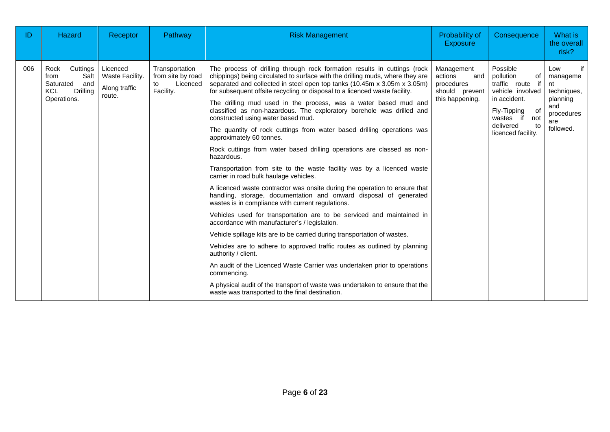| ID  | <b>Hazard</b>                                                                                 | Receptor                                               | Pathway                                                            | <b>Risk Management</b>                                                                                                                                                                                                                                                                                                                                                                                                                                                                                                                                                                                                                                                                                                                                                                                                                                                                                                                                                                                                                                                                                                                                                                                                                                                                                                                                                                                                                                                                                                                                                   | Probability of<br><b>Exposure</b>                                               | Consequence                                                                                                                                                                 | <b>What is</b><br>the overall<br>risk?                                                          |
|-----|-----------------------------------------------------------------------------------------------|--------------------------------------------------------|--------------------------------------------------------------------|--------------------------------------------------------------------------------------------------------------------------------------------------------------------------------------------------------------------------------------------------------------------------------------------------------------------------------------------------------------------------------------------------------------------------------------------------------------------------------------------------------------------------------------------------------------------------------------------------------------------------------------------------------------------------------------------------------------------------------------------------------------------------------------------------------------------------------------------------------------------------------------------------------------------------------------------------------------------------------------------------------------------------------------------------------------------------------------------------------------------------------------------------------------------------------------------------------------------------------------------------------------------------------------------------------------------------------------------------------------------------------------------------------------------------------------------------------------------------------------------------------------------------------------------------------------------------|---------------------------------------------------------------------------------|-----------------------------------------------------------------------------------------------------------------------------------------------------------------------------|-------------------------------------------------------------------------------------------------|
| 006 | Cuttings<br>Rock<br>Salt<br>from<br>Saturated<br>and<br><b>KCL</b><br>Drilling<br>Operations. | Licenced<br>Waste Facility.<br>Along traffic<br>route. | Transportation<br>from site by road<br>Licenced<br>to<br>Facility. | The process of drilling through rock formation results in cuttings (rock<br>chippings) being circulated to surface with the drilling muds, where they are<br>separated and collected in steel open top tanks (10.45m x 3.05m x 3.05m)<br>for subsequent offsite recycling or disposal to a licenced waste facility.<br>The drilling mud used in the process, was a water based mud and<br>classified as non-hazardous. The exploratory borehole was drilled and<br>constructed using water based mud.<br>The quantity of rock cuttings from water based drilling operations was<br>approximately 60 tonnes.<br>Rock cuttings from water based drilling operations are classed as non-<br>hazardous.<br>Transportation from site to the waste facility was by a licenced waste<br>carrier in road bulk haulage vehicles.<br>A licenced waste contractor was onsite during the operation to ensure that<br>handling, storage, documentation and onward disposal of generated<br>wastes is in compliance with current regulations.<br>Vehicles used for transportation are to be serviced and maintained in<br>accordance with manufacturer's / legislation.<br>Vehicle spillage kits are to be carried during transportation of wastes.<br>Vehicles are to adhere to approved traffic routes as outlined by planning<br>authority / client.<br>An audit of the Licenced Waste Carrier was undertaken prior to operations<br>commencing.<br>A physical audit of the transport of waste was undertaken to ensure that the<br>waste was transported to the final destination. | Management<br>actions<br>and<br>procedures<br>should prevent<br>this happening. | Possible<br>pollution<br>оf<br>traffic route<br>if<br>vehicle involved<br>in accident.<br>Fly-Tipping<br>оf<br>wastes<br>if<br>not<br>delivered<br>to<br>licenced facility. | if<br>Low<br>manageme<br>nt<br>techniques,<br>planning<br>and<br>procedures<br>are<br>followed. |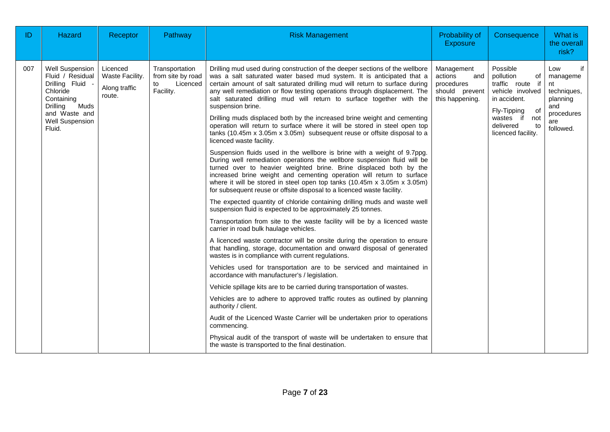| ID  | Hazard                                                                                                                                                            | Receptor                                               | Pathway                                                            | <b>Risk Management</b>                                                                                                                                                                                                                                                                                                                                                                                                                                                                                                                                                                                                                                                                                                                                                                                                                                                                                                                                                                                                                                                                                                                                                                                                                                                                                                                                                                                                                                                                                                                                                                                                                                                                                                                                                                                                                                                                                                                                                                                                                                                                                                                                                   | Probability of<br><b>Exposure</b>                                               | Consequence                                                                                                                                                           | What is<br>the overall<br>risk?                                                                 |
|-----|-------------------------------------------------------------------------------------------------------------------------------------------------------------------|--------------------------------------------------------|--------------------------------------------------------------------|--------------------------------------------------------------------------------------------------------------------------------------------------------------------------------------------------------------------------------------------------------------------------------------------------------------------------------------------------------------------------------------------------------------------------------------------------------------------------------------------------------------------------------------------------------------------------------------------------------------------------------------------------------------------------------------------------------------------------------------------------------------------------------------------------------------------------------------------------------------------------------------------------------------------------------------------------------------------------------------------------------------------------------------------------------------------------------------------------------------------------------------------------------------------------------------------------------------------------------------------------------------------------------------------------------------------------------------------------------------------------------------------------------------------------------------------------------------------------------------------------------------------------------------------------------------------------------------------------------------------------------------------------------------------------------------------------------------------------------------------------------------------------------------------------------------------------------------------------------------------------------------------------------------------------------------------------------------------------------------------------------------------------------------------------------------------------------------------------------------------------------------------------------------------------|---------------------------------------------------------------------------------|-----------------------------------------------------------------------------------------------------------------------------------------------------------------------|-------------------------------------------------------------------------------------------------|
| 007 | <b>Well Suspension</b><br>Fluid / Residual<br>Drilling Fluid -<br>Chloride<br>Containing<br>Muds<br>Drilling<br>and Waste and<br><b>Well Suspension</b><br>Fluid. | Licenced<br>Waste Facility.<br>Along traffic<br>route. | Transportation<br>from site by road<br>Licenced<br>to<br>Facility. | Drilling mud used during construction of the deeper sections of the wellbore<br>was a salt saturated water based mud system. It is anticipated that a<br>certain amount of salt saturated drilling mud will return to surface during<br>any well remediation or flow testing operations through displacement. The<br>salt saturated drilling mud will return to surface together with the<br>suspension brine.<br>Drilling muds displaced both by the increased brine weight and cementing<br>operation will return to surface where it will be stored in steel open top<br>tanks (10.45m x 3.05m x 3.05m) subsequent reuse or offsite disposal to a<br>licenced waste facility.<br>Suspension fluids used in the wellbore is brine with a weight of 9.7ppg.<br>During well remediation operations the wellbore suspension fluid will be<br>turned over to heavier weighted brine. Brine displaced both by the<br>increased brine weight and cementing operation will return to surface<br>where it will be stored in steel open top tanks (10.45m x 3.05m x 3.05m)<br>for subsequent reuse or offsite disposal to a licenced waste facility.<br>The expected quantity of chloride containing drilling muds and waste well<br>suspension fluid is expected to be approximately 25 tonnes.<br>Transportation from site to the waste facility will be by a licenced waste<br>carrier in road bulk haulage vehicles.<br>A licenced waste contractor will be onsite during the operation to ensure<br>that handling, storage, documentation and onward disposal of generated<br>wastes is in compliance with current regulations.<br>Vehicles used for transportation are to be serviced and maintained in<br>accordance with manufacturer's / legislation.<br>Vehicle spillage kits are to be carried during transportation of wastes.<br>Vehicles are to adhere to approved traffic routes as outlined by planning<br>authority / client.<br>Audit of the Licenced Waste Carrier will be undertaken prior to operations<br>commencing.<br>Physical audit of the transport of waste will be undertaken to ensure that<br>the waste is transported to the final destination. | Management<br>actions<br>and<br>procedures<br>should prevent<br>this happening. | Possible<br>pollution<br>οf<br>traffic route<br>if<br>vehicle involved<br>in accident.<br>Fly-Tipping<br>оf<br>wastes if not<br>delivered<br>to<br>licenced facility. | if<br>Low<br>manageme<br>nt<br>techniques,<br>planning<br>and<br>procedures<br>are<br>followed. |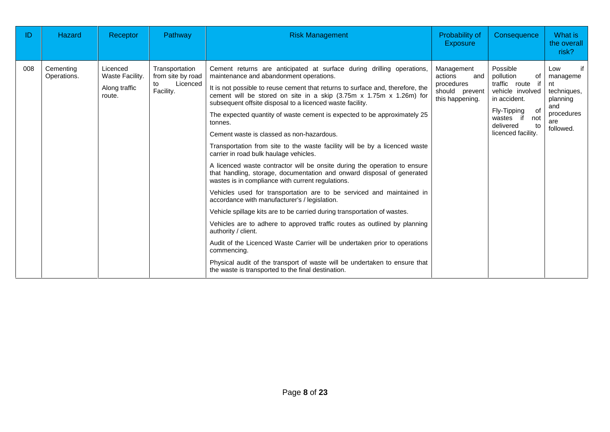| ID  | Hazard                   | Receptor                                               | Pathway                                                            | <b>Risk Management</b>                                                                                                                                                                                                                                                                                                                                                                                                                                                                                                                                                                                                                                                                                                                                                                                                                                                                                                                                                                                                                                                                                                                                                                                                                                                                                                                                    | Probability of<br><b>Exposure</b>                                               | Consequence                                                                                                                                                              | What is<br>the overall<br>risk?                                                                 |
|-----|--------------------------|--------------------------------------------------------|--------------------------------------------------------------------|-----------------------------------------------------------------------------------------------------------------------------------------------------------------------------------------------------------------------------------------------------------------------------------------------------------------------------------------------------------------------------------------------------------------------------------------------------------------------------------------------------------------------------------------------------------------------------------------------------------------------------------------------------------------------------------------------------------------------------------------------------------------------------------------------------------------------------------------------------------------------------------------------------------------------------------------------------------------------------------------------------------------------------------------------------------------------------------------------------------------------------------------------------------------------------------------------------------------------------------------------------------------------------------------------------------------------------------------------------------|---------------------------------------------------------------------------------|--------------------------------------------------------------------------------------------------------------------------------------------------------------------------|-------------------------------------------------------------------------------------------------|
| 008 | Cementing<br>Operations. | Licenced<br>Waste Facility.<br>Along traffic<br>route. | Transportation<br>from site by road<br>Licenced<br>to<br>Facility. | Cement returns are anticipated at surface during drilling operations,<br>maintenance and abandonment operations.<br>It is not possible to reuse cement that returns to surface and, therefore, the<br>cement will be stored on site in a skip (3.75m x 1.75m x 1.26m) for<br>subsequent offsite disposal to a licenced waste facility.<br>The expected quantity of waste cement is expected to be approximately 25<br>tonnes.<br>Cement waste is classed as non-hazardous.<br>Transportation from site to the waste facility will be by a licenced waste<br>carrier in road bulk haulage vehicles.<br>A licenced waste contractor will be onsite during the operation to ensure<br>that handling, storage, documentation and onward disposal of generated<br>wastes is in compliance with current regulations.<br>Vehicles used for transportation are to be serviced and maintained in<br>accordance with manufacturer's / legislation.<br>Vehicle spillage kits are to be carried during transportation of wastes.<br>Vehicles are to adhere to approved traffic routes as outlined by planning<br>authority / client.<br>Audit of the Licenced Waste Carrier will be undertaken prior to operations<br>commencing.<br>Physical audit of the transport of waste will be undertaken to ensure that<br>the waste is transported to the final destination. | Management<br>actions<br>and<br>procedures<br>should prevent<br>this happening. | Possible<br>pollution<br>of<br>if<br>traffic route<br>vehicle involved<br>in accident.<br>Fly-Tipping<br>of<br>wastes if<br>not<br>delivered<br>to<br>licenced facility. | if<br>Low<br>manageme<br>nt<br>techniques,<br>planning<br>and<br>procedures<br>are<br>followed. |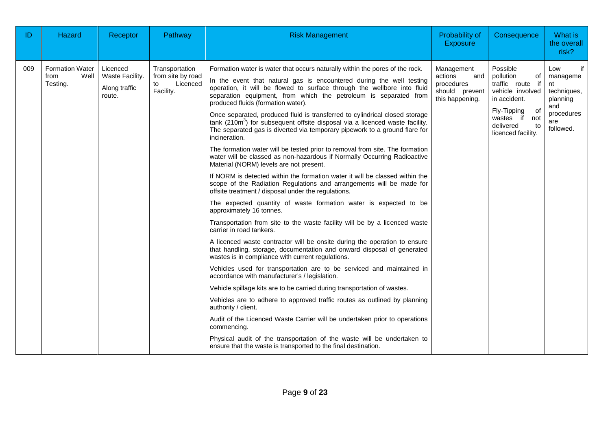| ID  | Hazard                                             | Receptor                                               | Pathway                                                            | <b>Risk Management</b>                                                                                                                                                                                                                                                                                                                                                                                                                                                                                                                                                                                                                                                                                                                                                                                                                                                                                                                                                                                                                                                                                                                                                                                                                                                                                                                                                                                                                                                                                                                                                                                                                                                                                                                                                                                                                                                                                                                                                                                              | Probability of<br><b>Exposure</b>                                               | Consequence                                                                                                                                                           | What is<br>the overall<br>risk?                                                                 |
|-----|----------------------------------------------------|--------------------------------------------------------|--------------------------------------------------------------------|---------------------------------------------------------------------------------------------------------------------------------------------------------------------------------------------------------------------------------------------------------------------------------------------------------------------------------------------------------------------------------------------------------------------------------------------------------------------------------------------------------------------------------------------------------------------------------------------------------------------------------------------------------------------------------------------------------------------------------------------------------------------------------------------------------------------------------------------------------------------------------------------------------------------------------------------------------------------------------------------------------------------------------------------------------------------------------------------------------------------------------------------------------------------------------------------------------------------------------------------------------------------------------------------------------------------------------------------------------------------------------------------------------------------------------------------------------------------------------------------------------------------------------------------------------------------------------------------------------------------------------------------------------------------------------------------------------------------------------------------------------------------------------------------------------------------------------------------------------------------------------------------------------------------------------------------------------------------------------------------------------------------|---------------------------------------------------------------------------------|-----------------------------------------------------------------------------------------------------------------------------------------------------------------------|-------------------------------------------------------------------------------------------------|
| 009 | <b>Formation Water</b><br>Well<br>from<br>Testing. | Licenced<br>Waste Facility.<br>Along traffic<br>route. | Transportation<br>from site by road<br>Licenced<br>to<br>Facility. | Formation water is water that occurs naturally within the pores of the rock.<br>In the event that natural gas is encountered during the well testing<br>operation, it will be flowed to surface through the wellbore into fluid<br>separation equipment, from which the petroleum is separated from<br>produced fluids (formation water).<br>Once separated, produced fluid is transferred to cylindrical closed storage<br>tank (210m <sup>3</sup> ) for subsequent offsite disposal via a licenced waste facility.<br>The separated gas is diverted via temporary pipework to a ground flare for<br>incineration.<br>The formation water will be tested prior to removal from site. The formation<br>water will be classed as non-hazardous if Normally Occurring Radioactive<br>Material (NORM) levels are not present.<br>If NORM is detected within the formation water it will be classed within the<br>scope of the Radiation Regulations and arrangements will be made for<br>offsite treatment / disposal under the regulations.<br>The expected quantity of waste formation water is expected to be<br>approximately 16 tonnes.<br>Transportation from site to the waste facility will be by a licenced waste<br>carrier in road tankers.<br>A licenced waste contractor will be onsite during the operation to ensure<br>that handling, storage, documentation and onward disposal of generated<br>wastes is in compliance with current regulations.<br>Vehicles used for transportation are to be serviced and maintained in<br>accordance with manufacturer's / legislation.<br>Vehicle spillage kits are to be carried during transportation of wastes.<br>Vehicles are to adhere to approved traffic routes as outlined by planning<br>authority / client.<br>Audit of the Licenced Waste Carrier will be undertaken prior to operations<br>commencing.<br>Physical audit of the transportation of the waste will be undertaken to<br>ensure that the waste is transported to the final destination. | Management<br>actions<br>and<br>procedures<br>should prevent<br>this happening. | Possible<br>pollution<br>of<br>traffic route<br>if<br>vehicle involved<br>in accident.<br>Fly-Tipping<br>of<br>wastes if not<br>delivered<br>to<br>licenced facility. | if<br>Low<br>manageme<br>nt<br>techniques,<br>planning<br>and<br>procedures<br>are<br>followed. |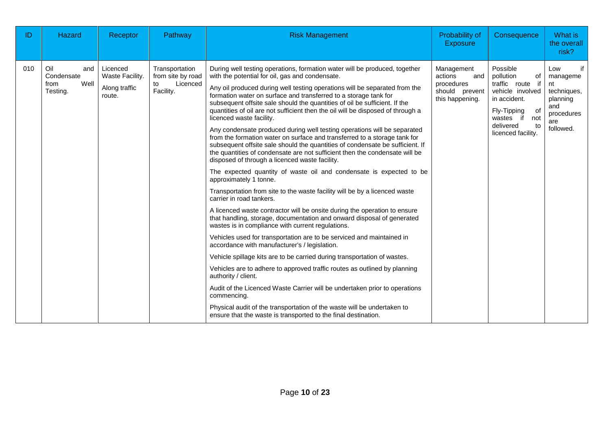| ID  | <b>Hazard</b>                                        | Receptor                                               | Pathway                                                            | <b>Risk Management</b>                                                                                                                                                                                                                                                                                                                                                                                                                                                                                                                                                                                                                                                                                                                                                                                                                                                                                                                                                                                                                                                                                                                                                                                                                                                                                                                                                                                                                                                                                                                                                                                                                                                                                                                                                                                                             | Probability of<br><b>Exposure</b>                                                  | Consequence                                                                                                                                                                 | <b>What is</b><br>the overall<br>risk?                                                          |
|-----|------------------------------------------------------|--------------------------------------------------------|--------------------------------------------------------------------|------------------------------------------------------------------------------------------------------------------------------------------------------------------------------------------------------------------------------------------------------------------------------------------------------------------------------------------------------------------------------------------------------------------------------------------------------------------------------------------------------------------------------------------------------------------------------------------------------------------------------------------------------------------------------------------------------------------------------------------------------------------------------------------------------------------------------------------------------------------------------------------------------------------------------------------------------------------------------------------------------------------------------------------------------------------------------------------------------------------------------------------------------------------------------------------------------------------------------------------------------------------------------------------------------------------------------------------------------------------------------------------------------------------------------------------------------------------------------------------------------------------------------------------------------------------------------------------------------------------------------------------------------------------------------------------------------------------------------------------------------------------------------------------------------------------------------------|------------------------------------------------------------------------------------|-----------------------------------------------------------------------------------------------------------------------------------------------------------------------------|-------------------------------------------------------------------------------------------------|
| 010 | Oil<br>and<br>Condensate<br>Well<br>from<br>Testing. | Licenced<br>Waste Facility.<br>Along traffic<br>route. | Transportation<br>from site by road<br>Licenced<br>to<br>Facility. | During well testing operations, formation water will be produced, together<br>with the potential for oil, gas and condensate.<br>Any oil produced during well testing operations will be separated from the<br>formation water on surface and transferred to a storage tank for<br>subsequent offsite sale should the quantities of oil be sufficient. If the<br>quantities of oil are not sufficient then the oil will be disposed of through a<br>licenced waste facility.<br>Any condensate produced during well testing operations will be separated<br>from the formation water on surface and transferred to a storage tank for<br>subsequent offsite sale should the quantities of condensate be sufficient. If<br>the quantities of condensate are not sufficient then the condensate will be<br>disposed of through a licenced waste facility.<br>The expected quantity of waste oil and condensate is expected to be<br>approximately 1 tonne.<br>Transportation from site to the waste facility will be by a licenced waste<br>carrier in road tankers.<br>A licenced waste contractor will be onsite during the operation to ensure<br>that handling, storage, documentation and onward disposal of generated<br>wastes is in compliance with current regulations.<br>Vehicles used for transportation are to be serviced and maintained in<br>accordance with manufacturer's / legislation.<br>Vehicle spillage kits are to be carried during transportation of wastes.<br>Vehicles are to adhere to approved traffic routes as outlined by planning<br>authority / client.<br>Audit of the Licenced Waste Carrier will be undertaken prior to operations<br>commencing.<br>Physical audit of the transportation of the waste will be undertaken to<br>ensure that the waste is transported to the final destination. | Management<br>actions<br>and<br>procedures<br>should<br>prevent<br>this happening. | Possible<br>pollution<br>of<br>traffic route<br>if<br>vehicle involved<br>in accident.<br>Fly-Tipping<br>оf<br>wastes<br>if<br>not<br>delivered<br>to<br>licenced facility. | if<br>Low<br>manageme<br>nt<br>techniques,<br>planning<br>and<br>procedures<br>are<br>followed. |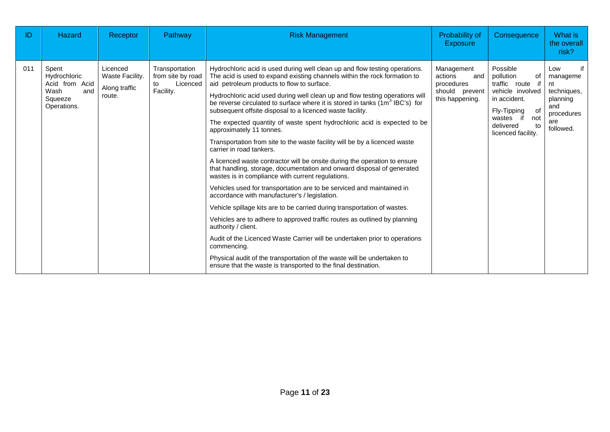| ID  | <b>Hazard</b>                                                                    | Receptor                                               | Pathway                                                            | <b>Risk Management</b>                                                                                                                                                                                                                                                                                                                                                                                                                                                                                                                                                                                                                                                                                                                                                                                                                                                                                                                                                                                                                                                                                                                                                                                                                                                                                                                                                                                                             | Probability of<br><b>Exposure</b>                                               | Consequence                                                                                                                                                        | What is<br>the overall<br>risk?                                                                 |
|-----|----------------------------------------------------------------------------------|--------------------------------------------------------|--------------------------------------------------------------------|------------------------------------------------------------------------------------------------------------------------------------------------------------------------------------------------------------------------------------------------------------------------------------------------------------------------------------------------------------------------------------------------------------------------------------------------------------------------------------------------------------------------------------------------------------------------------------------------------------------------------------------------------------------------------------------------------------------------------------------------------------------------------------------------------------------------------------------------------------------------------------------------------------------------------------------------------------------------------------------------------------------------------------------------------------------------------------------------------------------------------------------------------------------------------------------------------------------------------------------------------------------------------------------------------------------------------------------------------------------------------------------------------------------------------------|---------------------------------------------------------------------------------|--------------------------------------------------------------------------------------------------------------------------------------------------------------------|-------------------------------------------------------------------------------------------------|
| 011 | Spent<br>Hydrochloric<br>Acid from Acid<br>Wash<br>and<br>Squeeze<br>Operations. | Licenced<br>Waste Facility.<br>Along traffic<br>route. | Transportation<br>from site by road<br>Licenced<br>to<br>Facility. | Hydrochloric acid is used during well clean up and flow testing operations.<br>The acid is used to expand existing channels within the rock formation to<br>aid petroleum products to flow to surface.<br>Hydrochloric acid used during well clean up and flow testing operations will<br>be reverse circulated to surface where it is stored in tanks $(1m^3 \, \text{IBC's})$ for<br>subsequent offsite disposal to a licenced waste facility.<br>The expected quantity of waste spent hydrochloric acid is expected to be<br>approximately 11 tonnes.<br>Transportation from site to the waste facility will be by a licenced waste<br>carrier in road tankers.<br>A licenced waste contractor will be onsite during the operation to ensure<br>that handling, storage, documentation and onward disposal of generated<br>wastes is in compliance with current regulations.<br>Vehicles used for transportation are to be serviced and maintained in<br>accordance with manufacturer's / legislation.<br>Vehicle spillage kits are to be carried during transportation of wastes.<br>Vehicles are to adhere to approved traffic routes as outlined by planning<br>authority / client.<br>Audit of the Licenced Waste Carrier will be undertaken prior to operations<br>commencing.<br>Physical audit of the transportation of the waste will be undertaken to<br>ensure that the waste is transported to the final destination. | Management<br>actions<br>and<br>procedures<br>should prevent<br>this happening. | Possible<br>pollution<br>of<br>traffic route<br>vehicle involved<br>in accident.<br>Fly-Tipping<br>оf<br>wastes if<br>not<br>delivered<br>to<br>licenced facility. | if<br>Low<br>manageme<br>nt<br>techniques,<br>planning<br>and<br>procedures<br>are<br>followed. |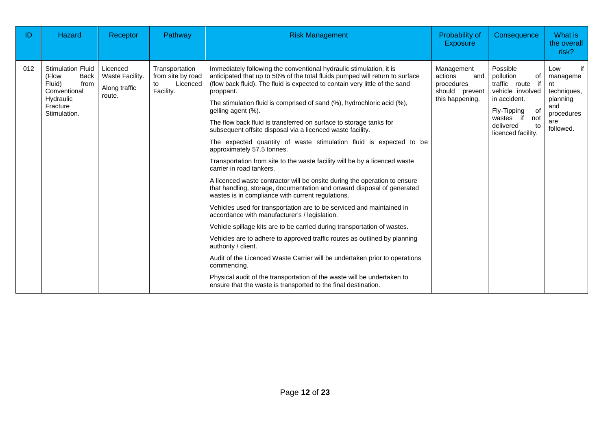| ID  | Hazard                                                                                                               | Receptor                                               | Pathway                                                            | <b>Risk Management</b>                                                                                                                                                                                                                                                                                                                                                                                                                                                                                                                                                                                                                                                                                                                                                                                                                                                                                                                                                                                                                                                                                                                                                                                                                                                                                                                                                                                                                                            | Probability of<br><b>Exposure</b>                                                  | Consequence                                                                                                                                                              | What is<br>the overall<br>risk?                                                                 |
|-----|----------------------------------------------------------------------------------------------------------------------|--------------------------------------------------------|--------------------------------------------------------------------|-------------------------------------------------------------------------------------------------------------------------------------------------------------------------------------------------------------------------------------------------------------------------------------------------------------------------------------------------------------------------------------------------------------------------------------------------------------------------------------------------------------------------------------------------------------------------------------------------------------------------------------------------------------------------------------------------------------------------------------------------------------------------------------------------------------------------------------------------------------------------------------------------------------------------------------------------------------------------------------------------------------------------------------------------------------------------------------------------------------------------------------------------------------------------------------------------------------------------------------------------------------------------------------------------------------------------------------------------------------------------------------------------------------------------------------------------------------------|------------------------------------------------------------------------------------|--------------------------------------------------------------------------------------------------------------------------------------------------------------------------|-------------------------------------------------------------------------------------------------|
| 012 | <b>Stimulation Fluid</b><br>(Flow<br>Back<br>Fluid)<br>from<br>Conventional<br>Hydraulic<br>Fracture<br>Stimulation. | Licenced<br>Waste Facility.<br>Along traffic<br>route. | Transportation<br>from site by road<br>Licenced<br>to<br>Facility. | Immediately following the conventional hydraulic stimulation, it is<br>anticipated that up to 50% of the total fluids pumped will return to surface<br>(flow back fluid). The fluid is expected to contain very little of the sand<br>proppant.<br>The stimulation fluid is comprised of sand (%), hydrochloric acid (%),<br>gelling agent (%).<br>The flow back fluid is transferred on surface to storage tanks for<br>subsequent offsite disposal via a licenced waste facility.<br>The expected quantity of waste stimulation fluid is expected to be<br>approximately 57.5 tonnes.<br>Transportation from site to the waste facility will be by a licenced waste<br>carrier in road tankers.<br>A licenced waste contractor will be onsite during the operation to ensure<br>that handling, storage, documentation and onward disposal of generated<br>wastes is in compliance with current regulations.<br>Vehicles used for transportation are to be serviced and maintained in<br>accordance with manufacturer's / legislation.<br>Vehicle spillage kits are to be carried during transportation of wastes.<br>Vehicles are to adhere to approved traffic routes as outlined by planning<br>authority / client.<br>Audit of the Licenced Waste Carrier will be undertaken prior to operations<br>commencing.<br>Physical audit of the transportation of the waste will be undertaken to<br>ensure that the waste is transported to the final destination. | Management<br>actions<br>and<br>procedures<br>should<br>prevent<br>this happening. | Possible<br>pollution<br>of<br>traffic route<br>if<br>vehicle involved<br>in accident.<br>Fly-Tipping<br>of<br>wastes if<br>not<br>delivered<br>to<br>licenced facility. | if<br>Low<br>manageme<br>nt<br>techniques,<br>planning<br>and<br>procedures<br>are<br>followed. |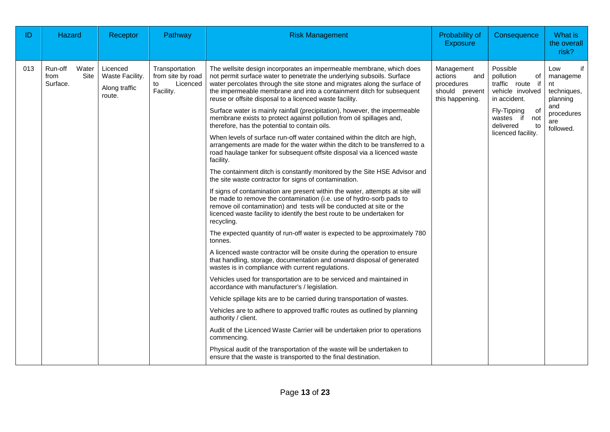| ID  | <b>Hazard</b>               |               | Receptor                                               | Pathway                                                            | <b>Risk Management</b>                                                                                                                                                                                                                                                                                                                                                                                                                                                                                                                                                                                                                                                                                                                                                                                                                                                                                                                                                                                                                                                                                                                                                                                                                                                                                                                                                                                                                                                                                                                                                                                                                                                                                                                                                                                                                                                                                                                                                                                | Probability of<br><b>Exposure</b>                                               | Consequence                                                                                                                                                              | <b>What is</b><br>the overall<br>risk?                                                          |
|-----|-----------------------------|---------------|--------------------------------------------------------|--------------------------------------------------------------------|-------------------------------------------------------------------------------------------------------------------------------------------------------------------------------------------------------------------------------------------------------------------------------------------------------------------------------------------------------------------------------------------------------------------------------------------------------------------------------------------------------------------------------------------------------------------------------------------------------------------------------------------------------------------------------------------------------------------------------------------------------------------------------------------------------------------------------------------------------------------------------------------------------------------------------------------------------------------------------------------------------------------------------------------------------------------------------------------------------------------------------------------------------------------------------------------------------------------------------------------------------------------------------------------------------------------------------------------------------------------------------------------------------------------------------------------------------------------------------------------------------------------------------------------------------------------------------------------------------------------------------------------------------------------------------------------------------------------------------------------------------------------------------------------------------------------------------------------------------------------------------------------------------------------------------------------------------------------------------------------------------|---------------------------------------------------------------------------------|--------------------------------------------------------------------------------------------------------------------------------------------------------------------------|-------------------------------------------------------------------------------------------------|
| 013 | Run-off<br>from<br>Surface. | Water<br>Site | Licenced<br>Waste Facility.<br>Along traffic<br>route. | Transportation<br>from site by road<br>Licenced<br>to<br>Facility. | The wellsite design incorporates an impermeable membrane, which does<br>not permit surface water to penetrate the underlying subsoils. Surface<br>water percolates through the site stone and migrates along the surface of<br>the impermeable membrane and into a containment ditch for subsequent<br>reuse or offsite disposal to a licenced waste facility.<br>Surface water is mainly rainfall (precipitation), however, the impermeable<br>membrane exists to protect against pollution from oil spillages and,<br>therefore, has the potential to contain oils.<br>When levels of surface run-off water contained within the ditch are high,<br>arrangements are made for the water within the ditch to be transferred to a<br>road haulage tanker for subsequent offsite disposal via a licenced waste<br>facility.<br>The containment ditch is constantly monitored by the Site HSE Advisor and<br>the site waste contractor for signs of contamination.<br>If signs of contamination are present within the water, attempts at site will<br>be made to remove the contamination (i.e. use of hydro-sorb pads to<br>remove oil contamination) and tests will be conducted at site or the<br>licenced waste facility to identify the best route to be undertaken for<br>recycling.<br>The expected quantity of run-off water is expected to be approximately 780<br>tonnes.<br>A licenced waste contractor will be onsite during the operation to ensure<br>that handling, storage, documentation and onward disposal of generated<br>wastes is in compliance with current regulations.<br>Vehicles used for transportation are to be serviced and maintained in<br>accordance with manufacturer's / legislation.<br>Vehicle spillage kits are to be carried during transportation of wastes.<br>Vehicles are to adhere to approved traffic routes as outlined by planning<br>authority / client.<br>Audit of the Licenced Waste Carrier will be undertaken prior to operations<br>commencing. | Management<br>actions<br>and<br>procedures<br>should prevent<br>this happening. | Possible<br>pollution<br>of<br>traffic route<br>if<br>vehicle involved<br>in accident.<br>Fly-Tipping<br>0f<br>wastes if<br>not<br>delivered<br>to<br>licenced facility. | if<br>Low<br>manageme<br>nt<br>techniques,<br>planning<br>and<br>procedures<br>are<br>followed. |
|     |                             |               |                                                        |                                                                    | Physical audit of the transportation of the waste will be undertaken to<br>ensure that the waste is transported to the final destination.                                                                                                                                                                                                                                                                                                                                                                                                                                                                                                                                                                                                                                                                                                                                                                                                                                                                                                                                                                                                                                                                                                                                                                                                                                                                                                                                                                                                                                                                                                                                                                                                                                                                                                                                                                                                                                                             |                                                                                 |                                                                                                                                                                          |                                                                                                 |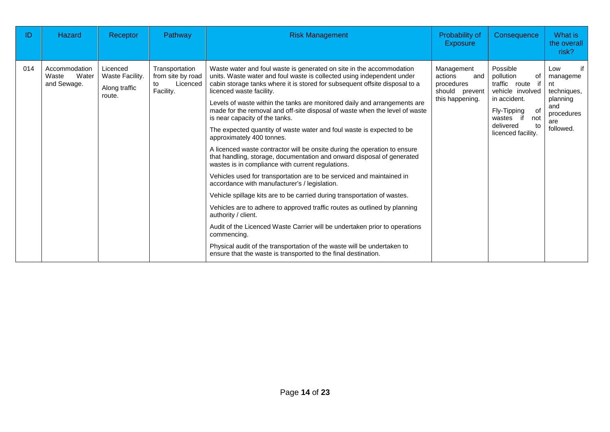| ID  | Hazard                                         | Receptor                                               | <b>Pathway</b>                                                     | <b>Risk Management</b>                                                                                                                                                                                                                                                                                                                                                                                                                                                                                                                                                                                                                                                                                                                                                                                                                                                                                                                                                                                                                                                                                                                                                                                                                                                                                                        | Probability of<br><b>Exposure</b>                                                  | Consequence                                                                                                                                                                 | What is<br>the overall<br>risk?                                                                 |
|-----|------------------------------------------------|--------------------------------------------------------|--------------------------------------------------------------------|-------------------------------------------------------------------------------------------------------------------------------------------------------------------------------------------------------------------------------------------------------------------------------------------------------------------------------------------------------------------------------------------------------------------------------------------------------------------------------------------------------------------------------------------------------------------------------------------------------------------------------------------------------------------------------------------------------------------------------------------------------------------------------------------------------------------------------------------------------------------------------------------------------------------------------------------------------------------------------------------------------------------------------------------------------------------------------------------------------------------------------------------------------------------------------------------------------------------------------------------------------------------------------------------------------------------------------|------------------------------------------------------------------------------------|-----------------------------------------------------------------------------------------------------------------------------------------------------------------------------|-------------------------------------------------------------------------------------------------|
| 014 | Accommodation<br>Water<br>Waste<br>and Sewage. | Licenced<br>Waste Facility.<br>Along traffic<br>route. | Transportation<br>from site by road<br>Licenced<br>to<br>Facility. | Waste water and foul waste is generated on site in the accommodation<br>units. Waste water and foul waste is collected using independent under<br>cabin storage tanks where it is stored for subsequent offsite disposal to a<br>licenced waste facility.<br>Levels of waste within the tanks are monitored daily and arrangements are<br>made for the removal and off-site disposal of waste when the level of waste<br>is near capacity of the tanks.<br>The expected quantity of waste water and foul waste is expected to be<br>approximately 400 tonnes.<br>A licenced waste contractor will be onsite during the operation to ensure<br>that handling, storage, documentation and onward disposal of generated<br>wastes is in compliance with current regulations.<br>Vehicles used for transportation are to be serviced and maintained in<br>accordance with manufacturer's / legislation.<br>Vehicle spillage kits are to be carried during transportation of wastes.<br>Vehicles are to adhere to approved traffic routes as outlined by planning<br>authority / client.<br>Audit of the Licenced Waste Carrier will be undertaken prior to operations<br>commencing.<br>Physical audit of the transportation of the waste will be undertaken to<br>ensure that the waste is transported to the final destination. | Management<br>actions<br>and<br>procedures<br>should<br>prevent<br>this happening. | Possible<br>pollution<br>of<br>if<br>traffic route<br>vehicle involved<br>in accident.<br>Fly-Tipping<br>0f<br>wastes<br>if<br>not<br>delivered<br>to<br>licenced facility. | if<br>Low<br>manageme<br>nt<br>techniques,<br>planning<br>and<br>procedures<br>are<br>followed. |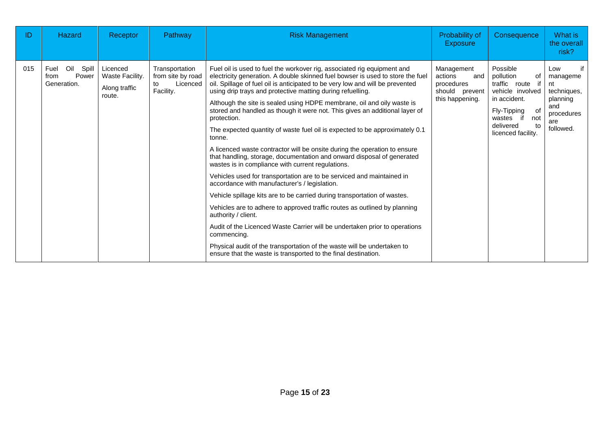| ID  | Hazard                                               | Receptor                                               | Pathway                                                            | <b>Risk Management</b>                                                                                                                                                                                                                                                                                                                                                                                                                                                                                                                                                                                                                                                                                                                                                                                                                                                                                                                                                                                                                                                                                                                                                                                                                                                                                                                    | Probability of<br><b>Exposure</b>                                                  | Consequence                                                                                                                                                                 | What is<br>the overall<br>risk?                                                                 |
|-----|------------------------------------------------------|--------------------------------------------------------|--------------------------------------------------------------------|-------------------------------------------------------------------------------------------------------------------------------------------------------------------------------------------------------------------------------------------------------------------------------------------------------------------------------------------------------------------------------------------------------------------------------------------------------------------------------------------------------------------------------------------------------------------------------------------------------------------------------------------------------------------------------------------------------------------------------------------------------------------------------------------------------------------------------------------------------------------------------------------------------------------------------------------------------------------------------------------------------------------------------------------------------------------------------------------------------------------------------------------------------------------------------------------------------------------------------------------------------------------------------------------------------------------------------------------|------------------------------------------------------------------------------------|-----------------------------------------------------------------------------------------------------------------------------------------------------------------------------|-------------------------------------------------------------------------------------------------|
| 015 | Oil<br>Spill<br>Fuel<br>Power<br>from<br>Generation. | Licenced<br>Waste Facility.<br>Along traffic<br>route. | Transportation<br>from site by road<br>Licenced<br>to<br>Facility. | Fuel oil is used to fuel the workover rig, associated rig equipment and<br>electricity generation. A double skinned fuel bowser is used to store the fuel<br>oil. Spillage of fuel oil is anticipated to be very low and will be prevented<br>using drip trays and protective matting during refuelling.<br>Although the site is sealed using HDPE membrane, oil and oily waste is<br>stored and handled as though it were not. This gives an additional layer of<br>protection.<br>The expected quantity of waste fuel oil is expected to be approximately 0.1<br>tonne.<br>A licenced waste contractor will be onsite during the operation to ensure<br>that handling, storage, documentation and onward disposal of generated<br>wastes is in compliance with current regulations.<br>Vehicles used for transportation are to be serviced and maintained in<br>accordance with manufacturer's / legislation.<br>Vehicle spillage kits are to be carried during transportation of wastes.<br>Vehicles are to adhere to approved traffic routes as outlined by planning<br>authority / client.<br>Audit of the Licenced Waste Carrier will be undertaken prior to operations<br>commencing.<br>Physical audit of the transportation of the waste will be undertaken to<br>ensure that the waste is transported to the final destination. | Management<br>actions<br>and<br>procedures<br>should<br>prevent<br>this happening. | Possible<br>pollution<br>of<br>if<br>traffic route<br>vehicle involved<br>in accident.<br>Fly-Tipping<br>0f<br>wastes<br>if<br>not<br>delivered<br>to<br>licenced facility. | if<br>Low<br>manageme<br>nt<br>techniques,<br>planning<br>and<br>procedures<br>are<br>followed. |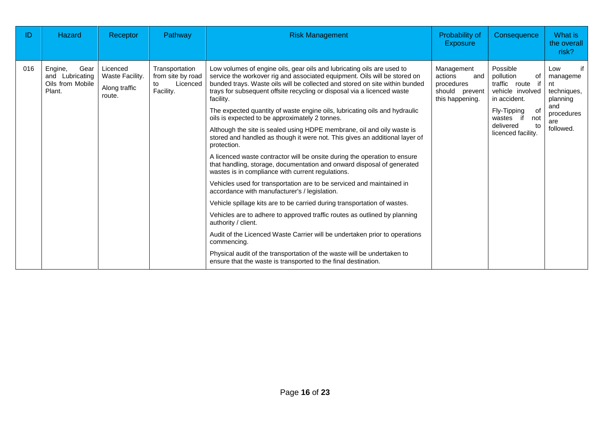| ID  | Hazard                                                           | Receptor                                               | <b>Pathway</b>                                                     | <b>Risk Management</b>                                                                                                                                                                                                                                                                                                                                                                                                                                                                                                                                                                                                                                                                                                                                                                                                                                                                                                                                                                                                                                                                                                                                                                                                                                                                                                                                                                             | Probability of<br><b>Exposure</b>                                                  | Consequence                                                                                                                                                            | What is<br>the overall<br>risk?                                                                 |
|-----|------------------------------------------------------------------|--------------------------------------------------------|--------------------------------------------------------------------|----------------------------------------------------------------------------------------------------------------------------------------------------------------------------------------------------------------------------------------------------------------------------------------------------------------------------------------------------------------------------------------------------------------------------------------------------------------------------------------------------------------------------------------------------------------------------------------------------------------------------------------------------------------------------------------------------------------------------------------------------------------------------------------------------------------------------------------------------------------------------------------------------------------------------------------------------------------------------------------------------------------------------------------------------------------------------------------------------------------------------------------------------------------------------------------------------------------------------------------------------------------------------------------------------------------------------------------------------------------------------------------------------|------------------------------------------------------------------------------------|------------------------------------------------------------------------------------------------------------------------------------------------------------------------|-------------------------------------------------------------------------------------------------|
| 016 | Gear<br>Engine,<br>and Lubricating<br>Oils from Mobile<br>Plant. | Licenced<br>Waste Facility.<br>Along traffic<br>route. | Transportation<br>from site by road<br>Licenced<br>to<br>Facility. | Low volumes of engine oils, gear oils and lubricating oils are used to<br>service the workover rig and associated equipment. Oils will be stored on<br>bunded trays. Waste oils will be collected and stored on site within bunded<br>trays for subsequent offsite recycling or disposal via a licenced waste<br>facility.<br>The expected quantity of waste engine oils, lubricating oils and hydraulic<br>oils is expected to be approximately 2 tonnes.<br>Although the site is sealed using HDPE membrane, oil and oily waste is<br>stored and handled as though it were not. This gives an additional layer of<br>protection.<br>A licenced waste contractor will be onsite during the operation to ensure<br>that handling, storage, documentation and onward disposal of generated<br>wastes is in compliance with current regulations.<br>Vehicles used for transportation are to be serviced and maintained in<br>accordance with manufacturer's / legislation.<br>Vehicle spillage kits are to be carried during transportation of wastes.<br>Vehicles are to adhere to approved traffic routes as outlined by planning<br>authority / client.<br>Audit of the Licenced Waste Carrier will be undertaken prior to operations<br>commencing.<br>Physical audit of the transportation of the waste will be undertaken to<br>ensure that the waste is transported to the final destination. | Management<br>actions<br>and<br>procedures<br>should<br>prevent<br>this happening. | Possible<br>pollution<br>οf<br>traffic route<br>vehicle involved<br>in accident.<br>Fly-Tipping<br>0f<br>wastes<br>if.<br>not<br>delivered<br>to<br>licenced facility. | if<br>Low<br>manageme<br>nt<br>techniques,<br>planning<br>and<br>procedures<br>are<br>followed. |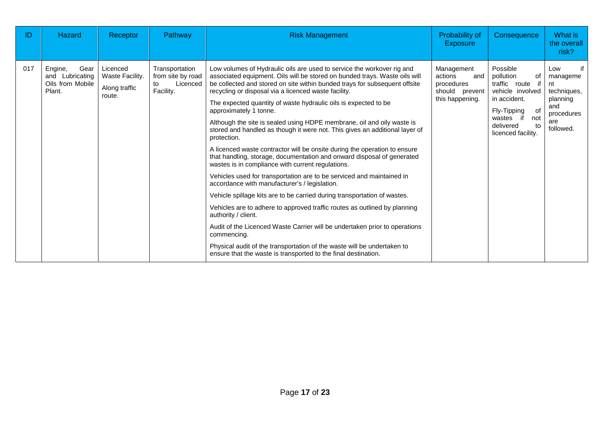| ID  | Hazard                                                           | Receptor                                               | Pathway                                                            | <b>Risk Management</b>                                                                                                                                                                                                                                                                                                                                                                                                                                                                                                                                                                                                                                                                                                                                                                                                                                                                                                                                                                                                                                                                                                                                                                                                                                                                                                          | Probability of<br><b>Exposure</b>                                                  | Consequence                                                                                                                                                                 | What is<br>the overall<br>risk?                                                                 |
|-----|------------------------------------------------------------------|--------------------------------------------------------|--------------------------------------------------------------------|---------------------------------------------------------------------------------------------------------------------------------------------------------------------------------------------------------------------------------------------------------------------------------------------------------------------------------------------------------------------------------------------------------------------------------------------------------------------------------------------------------------------------------------------------------------------------------------------------------------------------------------------------------------------------------------------------------------------------------------------------------------------------------------------------------------------------------------------------------------------------------------------------------------------------------------------------------------------------------------------------------------------------------------------------------------------------------------------------------------------------------------------------------------------------------------------------------------------------------------------------------------------------------------------------------------------------------|------------------------------------------------------------------------------------|-----------------------------------------------------------------------------------------------------------------------------------------------------------------------------|-------------------------------------------------------------------------------------------------|
| 017 | Gear<br>Engine,<br>and Lubricating<br>Oils from Mobile<br>Plant. | Licenced<br>Waste Facility.<br>Along traffic<br>route. | Transportation<br>from site by road<br>Licenced<br>to<br>Facility. | Low volumes of Hydraulic oils are used to service the workover rig and<br>associated equipment. Oils will be stored on bunded trays. Waste oils will<br>be collected and stored on site within bunded trays for subsequent offsite<br>recycling or disposal via a licenced waste facility.<br>The expected quantity of waste hydraulic oils is expected to be<br>approximately 1 tonne.<br>Although the site is sealed using HDPE membrane, oil and oily waste is<br>stored and handled as though it were not. This gives an additional layer of<br>protection.<br>A licenced waste contractor will be onsite during the operation to ensure<br>that handling, storage, documentation and onward disposal of generated<br>wastes is in compliance with current regulations.<br>Vehicles used for transportation are to be serviced and maintained in<br>accordance with manufacturer's / legislation.<br>Vehicle spillage kits are to be carried during transportation of wastes.<br>Vehicles are to adhere to approved traffic routes as outlined by planning<br>authority / client.<br>Audit of the Licenced Waste Carrier will be undertaken prior to operations<br>commencing.<br>Physical audit of the transportation of the waste will be undertaken to<br>ensure that the waste is transported to the final destination. | Management<br>actions<br>and<br>procedures<br>should<br>prevent<br>this happening. | Possible<br>pollution<br>of<br>if<br>traffic route<br>vehicle involved<br>in accident.<br>Fly-Tipping<br>оf<br>wastes<br>if<br>not<br>delivered<br>to<br>licenced facility. | if<br>Low<br>manageme<br>nt<br>techniques,<br>planning<br>and<br>procedures<br>are<br>followed. |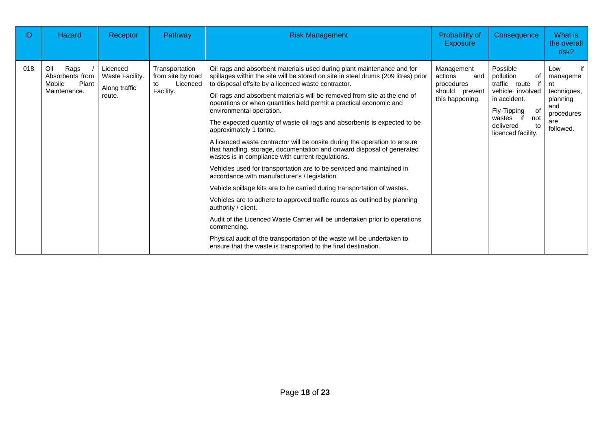| ID  | Hazard                                                            | Receptor                                               | Pathway                                                            | <b>Risk Management</b>                                                                                                                                                                                                                                                                                                                                                                                                                                                                                                                                                                                                                                                                                                                                                                                                                                                                                                                                                                                                                                                                                                                                                                                                                                                  | Probability of<br><b>Exposure</b>                                               | Consequence                                                                                                                                                                 | What is<br>the overall<br>risk?                                                                 |
|-----|-------------------------------------------------------------------|--------------------------------------------------------|--------------------------------------------------------------------|-------------------------------------------------------------------------------------------------------------------------------------------------------------------------------------------------------------------------------------------------------------------------------------------------------------------------------------------------------------------------------------------------------------------------------------------------------------------------------------------------------------------------------------------------------------------------------------------------------------------------------------------------------------------------------------------------------------------------------------------------------------------------------------------------------------------------------------------------------------------------------------------------------------------------------------------------------------------------------------------------------------------------------------------------------------------------------------------------------------------------------------------------------------------------------------------------------------------------------------------------------------------------|---------------------------------------------------------------------------------|-----------------------------------------------------------------------------------------------------------------------------------------------------------------------------|-------------------------------------------------------------------------------------------------|
| 018 | Oil<br>Rags<br>Absorbents from<br>Mobile<br>Plant<br>Maintenance. | Licenced<br>Waste Facility.<br>Along traffic<br>route. | Transportation<br>from site by road<br>Licenced<br>to<br>Facility. | Oil rags and absorbent materials used during plant maintenance and for<br>spillages within the site will be stored on site in steel drums (209 litres) prior<br>to disposal offsite by a licenced waste contractor.<br>Oil rags and absorbent materials will be removed from site at the end of<br>operations or when quantities held permit a practical economic and<br>environmental operation.<br>The expected quantity of waste oil rags and absorbents is expected to be<br>approximately 1 tonne.<br>A licenced waste contractor will be onsite during the operation to ensure<br>that handling, storage, documentation and onward disposal of generated<br>wastes is in compliance with current regulations.<br>Vehicles used for transportation are to be serviced and maintained in<br>accordance with manufacturer's / legislation.<br>Vehicle spillage kits are to be carried during transportation of wastes.<br>Vehicles are to adhere to approved traffic routes as outlined by planning<br>authority / client.<br>Audit of the Licenced Waste Carrier will be undertaken prior to operations<br>commencing.<br>Physical audit of the transportation of the waste will be undertaken to<br>ensure that the waste is transported to the final destination. | Management<br>actions<br>and<br>procedures<br>should prevent<br>this happening. | Possible<br>pollution<br>οf<br>if<br>traffic route<br>vehicle involved<br>in accident.<br>Fly-Tipping<br>оf<br>if<br>wastes<br>not<br>delivered<br>to<br>licenced facility. | if<br>Low<br>manageme<br>nt<br>techniques,<br>planning<br>and<br>procedures<br>are<br>followed. |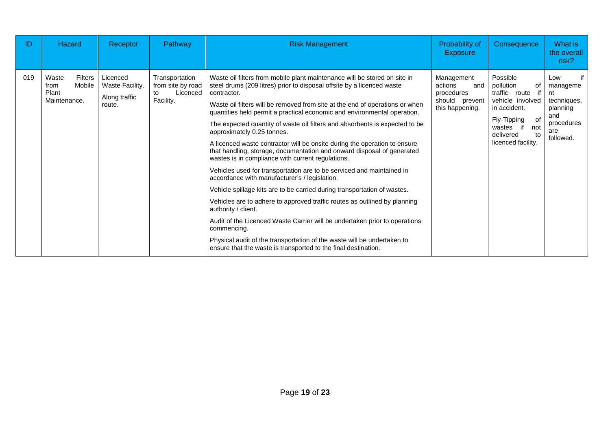| ID  | <b>Hazard</b>                                                      | Receptor                                               | <b>Pathway</b>                                                     | <b>Risk Management</b>                                                                                                                                                                                                                                                                                                                                                                                                                                                                                                                                                                                                                                                                                                                                                                                                                                                                                                                                                                                                                                                                                                                                                                                      | Probability of<br><b>Exposure</b>                                                  | Consequence                                                                                                                                                     | What is<br>the overall<br>risk?                                                                 |
|-----|--------------------------------------------------------------------|--------------------------------------------------------|--------------------------------------------------------------------|-------------------------------------------------------------------------------------------------------------------------------------------------------------------------------------------------------------------------------------------------------------------------------------------------------------------------------------------------------------------------------------------------------------------------------------------------------------------------------------------------------------------------------------------------------------------------------------------------------------------------------------------------------------------------------------------------------------------------------------------------------------------------------------------------------------------------------------------------------------------------------------------------------------------------------------------------------------------------------------------------------------------------------------------------------------------------------------------------------------------------------------------------------------------------------------------------------------|------------------------------------------------------------------------------------|-----------------------------------------------------------------------------------------------------------------------------------------------------------------|-------------------------------------------------------------------------------------------------|
| 019 | <b>Filters</b><br>Waste<br>Mobile<br>from<br>Plant<br>Maintenance. | Licenced<br>Waste Facility.<br>Along traffic<br>route. | Transportation<br>from site by road<br>Licenced<br>to<br>Facility. | Waste oil filters from mobile plant maintenance will be stored on site in<br>steel drums (209 litres) prior to disposal offsite by a licenced waste<br>contractor.<br>Waste oil filters will be removed from site at the end of operations or when<br>quantities held permit a practical economic and environmental operation.<br>The expected quantity of waste oil filters and absorbents is expected to be<br>approximately 0.25 tonnes.<br>A licenced waste contractor will be onsite during the operation to ensure<br>that handling, storage, documentation and onward disposal of generated<br>wastes is in compliance with current regulations.<br>Vehicles used for transportation are to be serviced and maintained in<br>accordance with manufacturer's / legislation.<br>Vehicle spillage kits are to be carried during transportation of wastes.<br>Vehicles are to adhere to approved traffic routes as outlined by planning<br>authority / client.<br>Audit of the Licenced Waste Carrier will be undertaken prior to operations<br>commencing.<br>Physical audit of the transportation of the waste will be undertaken to<br>ensure that the waste is transported to the final destination. | Management<br>actions<br>and<br>procedures<br>should<br>prevent<br>this happening. | Possible<br>pollution<br>0f<br>traffic route<br>vehicle involved<br>in accident.<br>Fly-Tipping<br>0f<br>wastes<br>not<br>delivered<br>to<br>licenced facility. | if<br>Low<br>manageme<br>nt<br>techniques,<br>planning<br>and<br>procedures<br>are<br>followed. |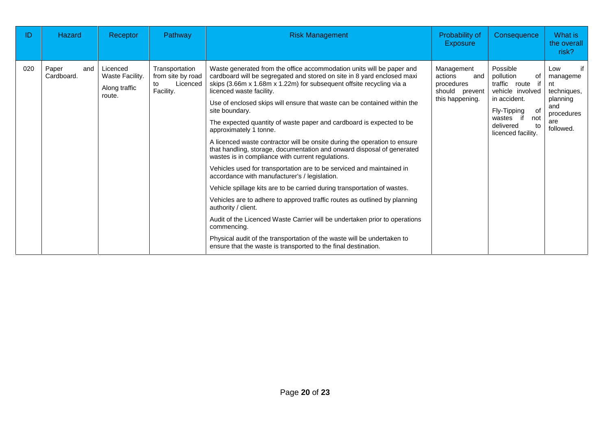| ID  | Hazard                     | Receptor                                               | <b>Pathway</b>                                                     | <b>Risk Management</b>                                                                                                                                                                                                                                                                                                                                                                                                                                                                                                                                                                                                                                                                                                                                                                                                                                                                                                                                                                                                                                                                                                                                                                                               | Probability of<br><b>Exposure</b>                                               | Consequence                                                                                                                                                                 | What is<br>the overall<br>risk?                                                                 |
|-----|----------------------------|--------------------------------------------------------|--------------------------------------------------------------------|----------------------------------------------------------------------------------------------------------------------------------------------------------------------------------------------------------------------------------------------------------------------------------------------------------------------------------------------------------------------------------------------------------------------------------------------------------------------------------------------------------------------------------------------------------------------------------------------------------------------------------------------------------------------------------------------------------------------------------------------------------------------------------------------------------------------------------------------------------------------------------------------------------------------------------------------------------------------------------------------------------------------------------------------------------------------------------------------------------------------------------------------------------------------------------------------------------------------|---------------------------------------------------------------------------------|-----------------------------------------------------------------------------------------------------------------------------------------------------------------------------|-------------------------------------------------------------------------------------------------|
| 020 | Paper<br>and<br>Cardboard. | Licenced<br>Waste Facility.<br>Along traffic<br>route. | Transportation<br>from site by road<br>Licenced<br>to<br>Facility. | Waste generated from the office accommodation units will be paper and<br>cardboard will be segregated and stored on site in 8 yard enclosed maxi<br>skips (3.66m x 1.68m x 1.22m) for subsequent offsite recycling via a<br>licenced waste facility.<br>Use of enclosed skips will ensure that waste can be contained within the<br>site boundary.<br>The expected quantity of waste paper and cardboard is expected to be<br>approximately 1 tonne.<br>A licenced waste contractor will be onsite during the operation to ensure<br>that handling, storage, documentation and onward disposal of generated<br>wastes is in compliance with current regulations.<br>Vehicles used for transportation are to be serviced and maintained in<br>accordance with manufacturer's / legislation.<br>Vehicle spillage kits are to be carried during transportation of wastes.<br>Vehicles are to adhere to approved traffic routes as outlined by planning<br>authority / client.<br>Audit of the Licenced Waste Carrier will be undertaken prior to operations<br>commencing.<br>Physical audit of the transportation of the waste will be undertaken to<br>ensure that the waste is transported to the final destination. | Management<br>actions<br>and<br>procedures<br>should prevent<br>this happening. | Possible<br>pollution<br>οf<br>if<br>traffic route<br>vehicle involved<br>in accident.<br>Fly-Tipping<br>оf<br>if<br>wastes<br>not<br>delivered<br>to<br>licenced facility. | if<br>Low<br>manageme<br>nt<br>techniques,<br>planning<br>and<br>procedures<br>are<br>followed. |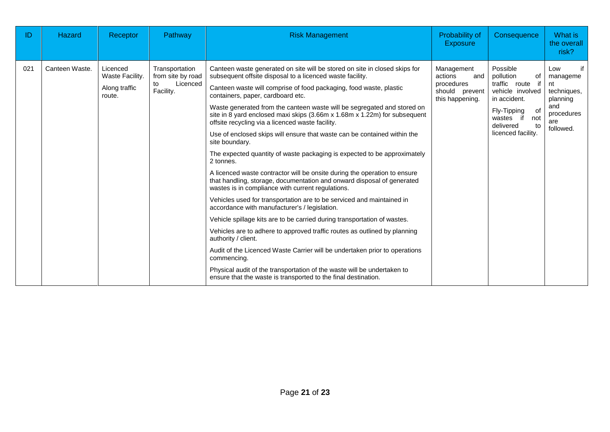| ID  | Hazard         | Receptor                                               | Pathway                                                            | <b>Risk Management</b>                                                                                                                                                                                                                                                                                                                                                                                                                                                                                                                                                                                                                                                                                                                                                                                                                                                                                                                                                                                                                                                                                                                                                                                                                                                                                                                                                                                                | Probability of<br><b>Exposure</b>                                               | Consequence                                                                                                                                                              | What is<br>the overall<br>risk?                                                                 |
|-----|----------------|--------------------------------------------------------|--------------------------------------------------------------------|-----------------------------------------------------------------------------------------------------------------------------------------------------------------------------------------------------------------------------------------------------------------------------------------------------------------------------------------------------------------------------------------------------------------------------------------------------------------------------------------------------------------------------------------------------------------------------------------------------------------------------------------------------------------------------------------------------------------------------------------------------------------------------------------------------------------------------------------------------------------------------------------------------------------------------------------------------------------------------------------------------------------------------------------------------------------------------------------------------------------------------------------------------------------------------------------------------------------------------------------------------------------------------------------------------------------------------------------------------------------------------------------------------------------------|---------------------------------------------------------------------------------|--------------------------------------------------------------------------------------------------------------------------------------------------------------------------|-------------------------------------------------------------------------------------------------|
| 021 | Canteen Waste. | Licenced<br>Waste Facility.<br>Along traffic<br>route. | Transportation<br>from site by road<br>Licenced<br>to<br>Facility. | Canteen waste generated on site will be stored on site in closed skips for<br>subsequent offsite disposal to a licenced waste facility.<br>Canteen waste will comprise of food packaging, food waste, plastic<br>containers, paper, cardboard etc.<br>Waste generated from the canteen waste will be segregated and stored on<br>site in 8 yard enclosed maxi skips (3.66m x 1.68m x 1.22m) for subsequent<br>offsite recycling via a licenced waste facility.<br>Use of enclosed skips will ensure that waste can be contained within the<br>site boundary.<br>The expected quantity of waste packaging is expected to be approximately<br>2 tonnes.<br>A licenced waste contractor will be onsite during the operation to ensure<br>that handling, storage, documentation and onward disposal of generated<br>wastes is in compliance with current regulations.<br>Vehicles used for transportation are to be serviced and maintained in<br>accordance with manufacturer's / legislation.<br>Vehicle spillage kits are to be carried during transportation of wastes.<br>Vehicles are to adhere to approved traffic routes as outlined by planning<br>authority / client.<br>Audit of the Licenced Waste Carrier will be undertaken prior to operations<br>commencing.<br>Physical audit of the transportation of the waste will be undertaken to<br>ensure that the waste is transported to the final destination. | Management<br>actions<br>and<br>procedures<br>should prevent<br>this happening. | Possible<br>pollution<br>οf<br>traffic route<br>if<br>vehicle involved<br>in accident.<br>Fly-Tipping<br>оf<br>wastes if<br>not<br>delivered<br>to<br>licenced facility. | if<br>Low<br>manageme<br>nt<br>techniques,<br>planning<br>and<br>procedures<br>are<br>followed. |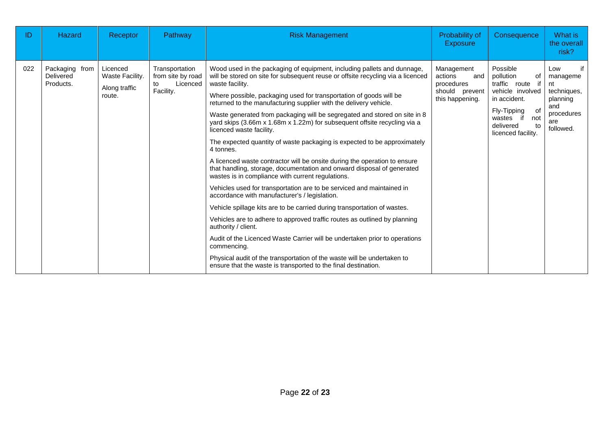| ID  | Hazard                                   | Receptor                                               | Pathway                                                            | <b>Risk Management</b>                                                                                                                                                                                                                                                                                                                                                                                                                                                                                                                                                                                                                                                                                                                                                                                                                                                                                                                                                                                                                                                                                                                                                                                                                                                                                                                                                  | Probability of<br><b>Exposure</b>                                               | Consequence                                                                                                                                                           | What is<br>the overall<br>risk?                                                                 |
|-----|------------------------------------------|--------------------------------------------------------|--------------------------------------------------------------------|-------------------------------------------------------------------------------------------------------------------------------------------------------------------------------------------------------------------------------------------------------------------------------------------------------------------------------------------------------------------------------------------------------------------------------------------------------------------------------------------------------------------------------------------------------------------------------------------------------------------------------------------------------------------------------------------------------------------------------------------------------------------------------------------------------------------------------------------------------------------------------------------------------------------------------------------------------------------------------------------------------------------------------------------------------------------------------------------------------------------------------------------------------------------------------------------------------------------------------------------------------------------------------------------------------------------------------------------------------------------------|---------------------------------------------------------------------------------|-----------------------------------------------------------------------------------------------------------------------------------------------------------------------|-------------------------------------------------------------------------------------------------|
| 022 | Packaging from<br>Delivered<br>Products. | Licenced<br>Waste Facility.<br>Along traffic<br>route. | Transportation<br>from site by road<br>Licenced<br>to<br>Facility. | Wood used in the packaging of equipment, including pallets and dunnage,<br>will be stored on site for subsequent reuse or offsite recycling via a licenced<br>waste facility.<br>Where possible, packaging used for transportation of goods will be<br>returned to the manufacturing supplier with the delivery vehicle.<br>Waste generated from packaging will be segregated and stored on site in 8<br>yard skips (3.66m x 1.68m x 1.22m) for subsequent offsite recycling via a<br>licenced waste facility.<br>The expected quantity of waste packaging is expected to be approximately<br>4 tonnes.<br>A licenced waste contractor will be onsite during the operation to ensure<br>that handling, storage, documentation and onward disposal of generated<br>wastes is in compliance with current regulations.<br>Vehicles used for transportation are to be serviced and maintained in<br>accordance with manufacturer's / legislation.<br>Vehicle spillage kits are to be carried during transportation of wastes.<br>Vehicles are to adhere to approved traffic routes as outlined by planning<br>authority / client.<br>Audit of the Licenced Waste Carrier will be undertaken prior to operations<br>commencing.<br>Physical audit of the transportation of the waste will be undertaken to<br>ensure that the waste is transported to the final destination. | Management<br>actions<br>and<br>procedures<br>should prevent<br>this happening. | Possible<br>pollution<br>οf<br>traffic route<br>vehicle involved<br>in accident.<br>Fly-Tipping<br>оf<br>wastes<br>if<br>not<br>delivered<br>to<br>licenced facility. | if<br>Low<br>manageme<br>nt<br>techniques,<br>planning<br>and<br>procedures<br>are<br>followed. |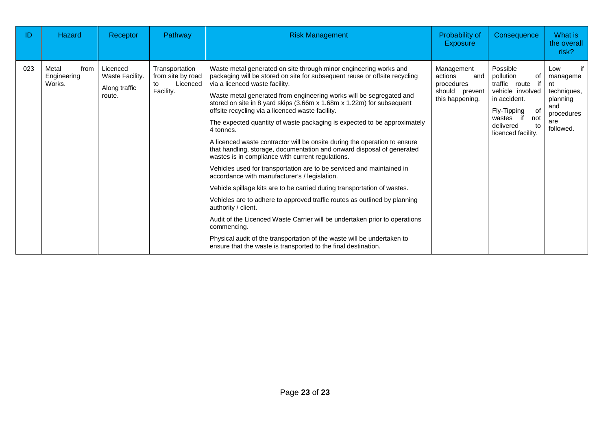| ID  | Hazard                                 | Receptor                                               | Pathway                                                            | <b>Risk Management</b>                                                                                                                                                                                                                                                                                                                                                                                                                                                                                                                                                                                                                                                                                                                                                                                                                                                                                                                                                                                                                                                                                                                                                                                                                         | Probability of<br><b>Exposure</b>                                               | Consequence                                                                                                                                                                 | What is<br>the overall<br>risk?                                                                 |
|-----|----------------------------------------|--------------------------------------------------------|--------------------------------------------------------------------|------------------------------------------------------------------------------------------------------------------------------------------------------------------------------------------------------------------------------------------------------------------------------------------------------------------------------------------------------------------------------------------------------------------------------------------------------------------------------------------------------------------------------------------------------------------------------------------------------------------------------------------------------------------------------------------------------------------------------------------------------------------------------------------------------------------------------------------------------------------------------------------------------------------------------------------------------------------------------------------------------------------------------------------------------------------------------------------------------------------------------------------------------------------------------------------------------------------------------------------------|---------------------------------------------------------------------------------|-----------------------------------------------------------------------------------------------------------------------------------------------------------------------------|-------------------------------------------------------------------------------------------------|
| 023 | Metal<br>from<br>Engineering<br>Works. | Licenced<br>Waste Facility.<br>Along traffic<br>route. | Transportation<br>from site by road<br>Licenced<br>to<br>Facility. | Waste metal generated on site through minor engineering works and<br>packaging will be stored on site for subsequent reuse or offsite recycling<br>via a licenced waste facility.<br>Waste metal generated from engineering works will be segregated and<br>stored on site in 8 yard skips (3.66m x 1.68m x 1.22m) for subsequent<br>offsite recycling via a licenced waste facility.<br>The expected quantity of waste packaging is expected to be approximately<br>4 tonnes.<br>A licenced waste contractor will be onsite during the operation to ensure<br>that handling, storage, documentation and onward disposal of generated<br>wastes is in compliance with current regulations.<br>Vehicles used for transportation are to be serviced and maintained in<br>accordance with manufacturer's / legislation.<br>Vehicle spillage kits are to be carried during transportation of wastes.<br>Vehicles are to adhere to approved traffic routes as outlined by planning<br>authority / client.<br>Audit of the Licenced Waste Carrier will be undertaken prior to operations<br>commencing.<br>Physical audit of the transportation of the waste will be undertaken to<br>ensure that the waste is transported to the final destination. | Management<br>actions<br>and<br>procedures<br>should prevent<br>this happening. | Possible<br>pollution<br>οf<br>if<br>traffic route<br>vehicle involved<br>in accident.<br>Fly-Tipping<br>оf<br>if<br>wastes<br>not<br>delivered<br>to<br>licenced facility. | if<br>Low<br>manageme<br>nt<br>techniques,<br>planning<br>and<br>procedures<br>are<br>followed. |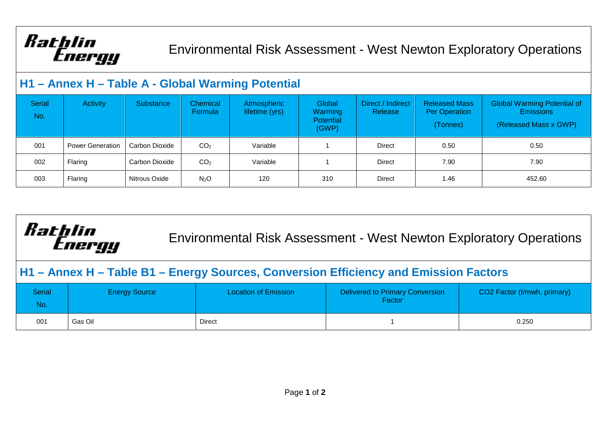#### Rathlin Environmental Risk Assessment - West Newton Exploratory Operations Energy

### **H1 – Annex H – Table A - Global Warming Potential**

Rathlin

| <b>Serial</b><br>No. | <b>Activity</b>         | Substance      | <b>Chemical</b><br>Formula | Atmospheric<br>lifetime (yrs) | Global<br>Warming<br><b>Potential</b><br>(GWP) | Direct / Indirect<br>Release | <b>Released Mass</b><br><b>Per Operation</b><br>(Tonnes) | <b>Global Warming Potential of</b><br><b>Emissions</b><br>(Released Mass x GWP) |
|----------------------|-------------------------|----------------|----------------------------|-------------------------------|------------------------------------------------|------------------------------|----------------------------------------------------------|---------------------------------------------------------------------------------|
| 001                  | <b>Power Generation</b> | Carbon Dioxide | CO <sub>2</sub>            | Variable                      |                                                | Direct                       | 0.50                                                     | 0.50                                                                            |
| 002                  | Flaring                 | Carbon Dioxide | CO <sub>2</sub>            | Variable                      |                                                | Direct                       | 7.90                                                     | 7.90                                                                            |
| 003                  | Flaring                 | Nitrous Oxide  | N <sub>2</sub> O           | 120                           | 310                                            | Direct                       | 1.46                                                     | 452.60                                                                          |

#### Environmental Risk Assessment - West Newton Exploratory Operations Energy

#### **H1 – Annex H – Table B1 – Energy Sources, Conversion Efficiency and Emission Factors**

| Serial<br>No. | <b>Energy Source</b> | <b>Location of Emission</b> | <b>Delivered to Primary Conversion</b><br>Factor | CO2 Factor (t/mwh, primary) |
|---------------|----------------------|-----------------------------|--------------------------------------------------|-----------------------------|
| 001           | Gas Oil              | Direct                      |                                                  | 0.250                       |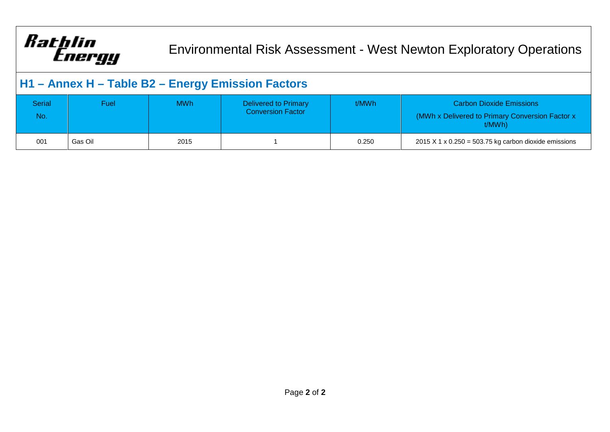# Rathlin<br>Energy

## Environmental Risk Assessment - West Newton Exploratory Operations

#### **H1 – Annex H – Table B2 – Energy Emission Factors** Serial Fuel MWh Delivered to Primary

| erial<br>NO. | -uel    | VIWh. | Delivered to Primary<br><b>Conversion Factor</b> | t/MWh_ | Carbon Dioxide Emissions<br>(MWh x Delivered to Primary Conversion Factor x<br>t/MWh) |
|--------------|---------|-------|--------------------------------------------------|--------|---------------------------------------------------------------------------------------|
| 001          | Gas Oil | 2015  |                                                  | 0.250  | 2015 X 1 x 0.250 = 503.75 kg carbon dioxide emissions                                 |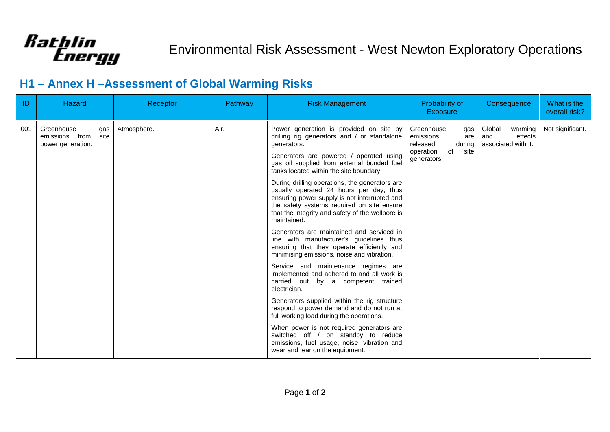## Rathlin<br>Energy Environmental Risk Assessment - West Newton Exploratory Operations

## **H1 – Annex H –Assessment of Global Warming Risks**

| ID  | <b>Hazard</b>                                                    | Receptor    | Pathway | <b>Risk Management</b>                                                                                                                                                                                                                                                                                                                                                                                                                                                                                                                                                                                                                                                                                                                                                                                                                                                                                                                                                                                                                                                                                                                                 | Probability of<br><b>Exposure</b>                                                                     | Consequence                                                | What is the<br>overall risk? |
|-----|------------------------------------------------------------------|-------------|---------|--------------------------------------------------------------------------------------------------------------------------------------------------------------------------------------------------------------------------------------------------------------------------------------------------------------------------------------------------------------------------------------------------------------------------------------------------------------------------------------------------------------------------------------------------------------------------------------------------------------------------------------------------------------------------------------------------------------------------------------------------------------------------------------------------------------------------------------------------------------------------------------------------------------------------------------------------------------------------------------------------------------------------------------------------------------------------------------------------------------------------------------------------------|-------------------------------------------------------------------------------------------------------|------------------------------------------------------------|------------------------------|
| 001 | Greenhouse<br>gas<br>site<br>emissions from<br>power generation. | Atmosphere. | Air.    | Power generation is provided on site by<br>drilling rig generators and / or standalone<br>generators.<br>Generators are powered / operated using<br>gas oil supplied from external bunded fuel<br>tanks located within the site boundary.<br>During drilling operations, the generators are<br>usually operated 24 hours per day, thus<br>ensuring power supply is not interrupted and<br>the safety systems required on site ensure<br>that the integrity and safety of the wellbore is<br>maintained.<br>Generators are maintained and serviced in<br>line with manufacturer's guidelines thus<br>ensuring that they operate efficiently and<br>minimising emissions, noise and vibration.<br>Service and maintenance regimes are<br>implemented and adhered to and all work is<br>carried out by a competent trained<br>electrician.<br>Generators supplied within the rig structure<br>respond to power demand and do not run at<br>full working load during the operations.<br>When power is not required generators are<br>switched off / on standby to reduce<br>emissions, fuel usage, noise, vibration and<br>wear and tear on the equipment. | Greenhouse<br>gas<br>emissions<br>are<br>released<br>during<br>operation<br>of<br>site<br>generators. | Global<br>warming<br>effects<br>and<br>associated with it. | Not significant.             |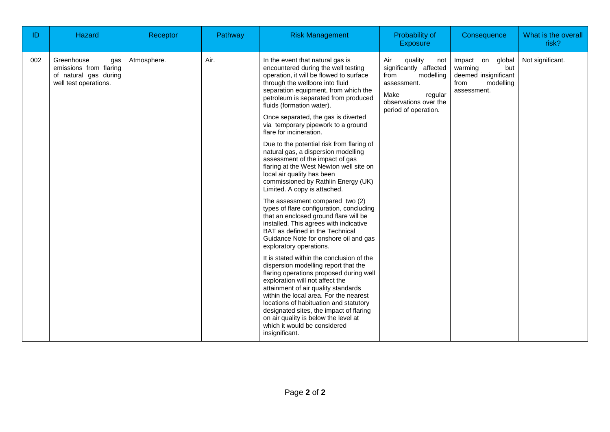| ID  | <b>Hazard</b>                                                                                 | Receptor    | <b>Pathway</b> | <b>Risk Management</b>                                                                                                                                                                                                                                                                                                                                                                                                          | Probability of<br><b>Exposure</b>                                                                                                                       | Consequence                                                                                       | What is the overall<br>risk? |
|-----|-----------------------------------------------------------------------------------------------|-------------|----------------|---------------------------------------------------------------------------------------------------------------------------------------------------------------------------------------------------------------------------------------------------------------------------------------------------------------------------------------------------------------------------------------------------------------------------------|---------------------------------------------------------------------------------------------------------------------------------------------------------|---------------------------------------------------------------------------------------------------|------------------------------|
| 002 | Greenhouse<br>qas<br>emissions from flaring<br>of natural gas during<br>well test operations. | Atmosphere. | Air.           | In the event that natural gas is<br>encountered during the well testing<br>operation, it will be flowed to surface<br>through the wellbore into fluid<br>separation equipment, from which the<br>petroleum is separated from produced<br>fluids (formation water).<br>Once separated, the gas is diverted<br>via temporary pipework to a ground<br>flare for incineration.                                                      | quality<br>Air<br>not<br>significantly affected<br>from<br>modelling<br>assessment.<br>regular<br>Make<br>observations over the<br>period of operation. | Impact on<br>global<br>warming<br>but<br>deemed insignificant<br>from<br>modelling<br>assessment. | Not significant.             |
|     |                                                                                               |             |                | Due to the potential risk from flaring of<br>natural gas, a dispersion modelling<br>assessment of the impact of gas<br>flaring at the West Newton well site on<br>local air quality has been<br>commissioned by Rathlin Energy (UK)<br>Limited. A copy is attached.                                                                                                                                                             |                                                                                                                                                         |                                                                                                   |                              |
|     |                                                                                               |             |                | The assessment compared two (2)<br>types of flare configuration, concluding<br>that an enclosed ground flare will be<br>installed. This agrees with indicative<br>BAT as defined in the Technical<br>Guidance Note for onshore oil and gas<br>exploratory operations.                                                                                                                                                           |                                                                                                                                                         |                                                                                                   |                              |
|     |                                                                                               |             |                | It is stated within the conclusion of the<br>dispersion modelling report that the<br>flaring operations proposed during well<br>exploration will not affect the<br>attainment of air quality standards<br>within the local area. For the nearest<br>locations of habituation and statutory<br>designated sites, the impact of flaring<br>on air quality is below the level at<br>which it would be considered<br>insignificant. |                                                                                                                                                         |                                                                                                   |                              |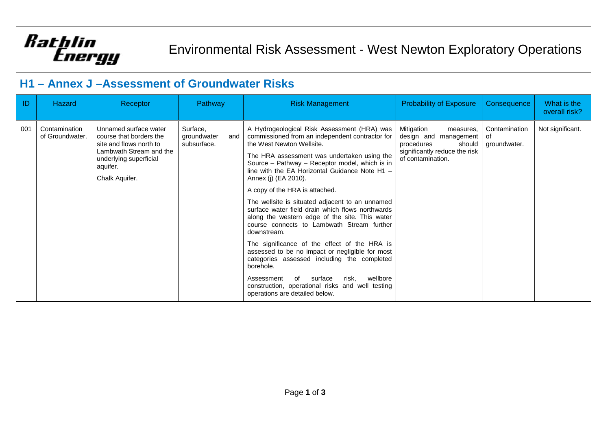## Rathlin<br>Energy Environmental Risk Assessment - West Newton Exploratory Operations

## **H1 – Annex J –Assessment of Groundwater Risks**

| ID  | Hazard                           | Receptor                                                                                                                                                       | Pathway                                |     | <b>Risk Management</b>                                                                                                                                                                                                                                                                                                                                                                                                                                                                                                                                                                                                                                                                                                                                                                                                                                                  | <b>Probability of Exposure</b>                                                                                                 | Consequence                         | What is the<br>overall risk? |
|-----|----------------------------------|----------------------------------------------------------------------------------------------------------------------------------------------------------------|----------------------------------------|-----|-------------------------------------------------------------------------------------------------------------------------------------------------------------------------------------------------------------------------------------------------------------------------------------------------------------------------------------------------------------------------------------------------------------------------------------------------------------------------------------------------------------------------------------------------------------------------------------------------------------------------------------------------------------------------------------------------------------------------------------------------------------------------------------------------------------------------------------------------------------------------|--------------------------------------------------------------------------------------------------------------------------------|-------------------------------------|------------------------------|
| 001 | Contamination<br>of Groundwater. | Unnamed surface water<br>course that borders the<br>site and flows north to<br>Lambwath Stream and the<br>underlying superficial<br>aquifer.<br>Chalk Aquifer. | Surface,<br>groundwater<br>subsurface. | and | A Hydrogeological Risk Assessment (HRA) was<br>commissioned from an independent contractor for<br>the West Newton Wellsite.<br>The HRA assessment was undertaken using the<br>Source - Pathway - Receptor model, which is in<br>line with the EA Horizontal Guidance Note H1 -<br>Annex (i) (EA 2010).<br>A copy of the HRA is attached.<br>The wellsite is situated adjacent to an unnamed<br>surface water field drain which flows northwards<br>along the western edge of the site. This water<br>course connects to Lambwath Stream further<br>downstream.<br>The significance of the effect of the HRA is<br>assessed to be no impact or negligible for most<br>categories assessed including the completed<br>borehole.<br>surface<br>wellbore<br>Assessment<br>of<br>risk,<br>construction, operational risks and well testing<br>operations are detailed below. | Mitigation<br>measures,<br>design and management<br>procedures<br>should<br>significantly reduce the risk<br>of contamination. | Contamination<br>οf<br>groundwater. | Not significant.             |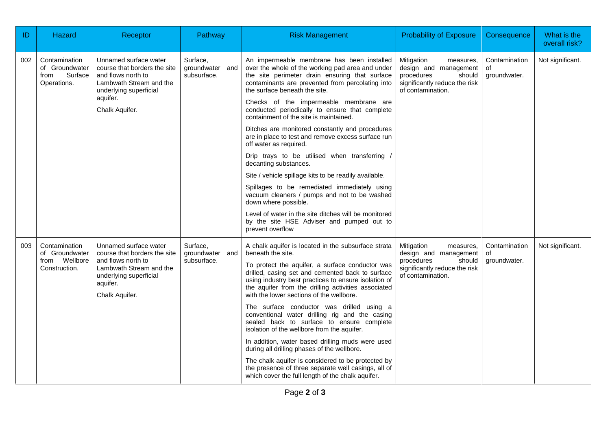| ID  | Hazard                                                                                                                                                                                                                                 | Receptor                                   | Pathway                                                                                                                                                                                                                                                        | <b>Risk Management</b>                                                                                                                                                                  | <b>Probability of Exposure</b>      | Consequence      | What is the<br>overall risk? |
|-----|----------------------------------------------------------------------------------------------------------------------------------------------------------------------------------------------------------------------------------------|--------------------------------------------|----------------------------------------------------------------------------------------------------------------------------------------------------------------------------------------------------------------------------------------------------------------|-----------------------------------------------------------------------------------------------------------------------------------------------------------------------------------------|-------------------------------------|------------------|------------------------------|
| 002 | Contamination<br>Unnamed surface water<br>of Groundwater<br>course that borders the site<br>Surface<br>from<br>and flows north to<br>Lambwath Stream and the<br>Operations.<br>underlying superficial                                  | Surface,<br>groundwater and<br>subsurface. | An impermeable membrane has been installed<br>over the whole of the working pad area and under<br>the site perimeter drain ensuring that surface<br>contaminants are prevented from percolating into<br>the surface beneath the site.                          | Mitigation<br>measures,<br>design and management<br>procedures<br>should<br>significantly reduce the risk<br>of contamination.                                                          | Contamination<br>0f<br>groundwater. | Not significant. |                              |
|     |                                                                                                                                                                                                                                        | aquifer.<br>Chalk Aquifer.                 |                                                                                                                                                                                                                                                                | Checks of the impermeable membrane are<br>conducted periodically to ensure that complete<br>containment of the site is maintained.                                                      |                                     |                  |                              |
|     |                                                                                                                                                                                                                                        |                                            |                                                                                                                                                                                                                                                                | Ditches are monitored constantly and procedures<br>are in place to test and remove excess surface run<br>off water as required.                                                         |                                     |                  |                              |
|     |                                                                                                                                                                                                                                        |                                            | Drip trays to be utilised when transferring<br>decanting substances.                                                                                                                                                                                           |                                                                                                                                                                                         |                                     |                  |                              |
|     |                                                                                                                                                                                                                                        |                                            |                                                                                                                                                                                                                                                                | Site / vehicle spillage kits to be readily available.                                                                                                                                   |                                     |                  |                              |
|     |                                                                                                                                                                                                                                        |                                            |                                                                                                                                                                                                                                                                | Spillages to be remediated immediately using<br>vacuum cleaners / pumps and not to be washed<br>down where possible.                                                                    |                                     |                  |                              |
|     |                                                                                                                                                                                                                                        |                                            |                                                                                                                                                                                                                                                                | Level of water in the site ditches will be monitored<br>by the site HSE Adviser and pumped out to<br>prevent overflow                                                                   |                                     |                  |                              |
| 003 | Contamination<br>Unnamed surface water<br>of Groundwater<br>course that borders the site<br>Wellbore<br>and flows north to<br>from<br>Lambwath Stream and the<br>Construction.<br>underlying superficial<br>aquifer.<br>Chalk Aquifer. | Surface,<br>groundwater and<br>subsurface. | A chalk aquifer is located in the subsurface strata<br>beneath the site.                                                                                                                                                                                       | Mitigation<br>measures,<br>design and management<br>procedures<br>should<br>significantly reduce the risk<br>of contamination.                                                          | Contamination<br>of<br>groundwater. | Not significant. |                              |
|     |                                                                                                                                                                                                                                        |                                            | To protect the aquifer, a surface conductor was<br>drilled, casing set and cemented back to surface<br>using industry best practices to ensure isolation of<br>the aquifer from the drilling activities associated<br>with the lower sections of the wellbore. |                                                                                                                                                                                         |                                     |                  |                              |
|     |                                                                                                                                                                                                                                        |                                            |                                                                                                                                                                                                                                                                | The surface conductor was drilled using a<br>conventional water drilling rig and the casing<br>sealed back to surface to ensure complete<br>isolation of the wellbore from the aquifer. |                                     |                  |                              |
|     |                                                                                                                                                                                                                                        |                                            |                                                                                                                                                                                                                                                                | In addition, water based drilling muds were used<br>during all drilling phases of the wellbore.                                                                                         |                                     |                  |                              |
|     |                                                                                                                                                                                                                                        |                                            |                                                                                                                                                                                                                                                                | The chalk aquifer is considered to be protected by<br>the presence of three separate well casings, all of<br>which cover the full length of the chalk aquifer.                          |                                     |                  |                              |